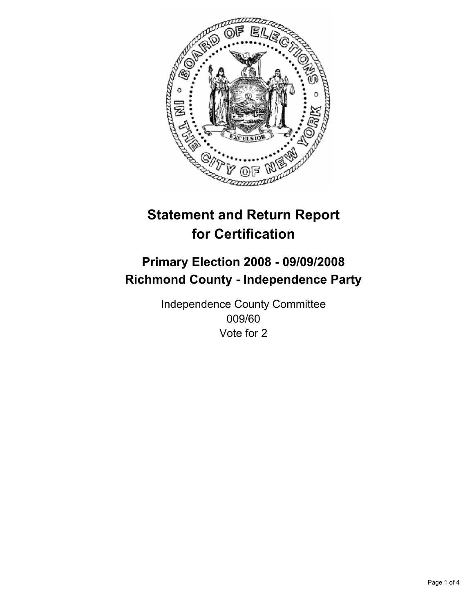

## **Primary Election 2008 - 09/09/2008 Richmond County - Independence Party**

Independence County Committee 009/60 Vote for 2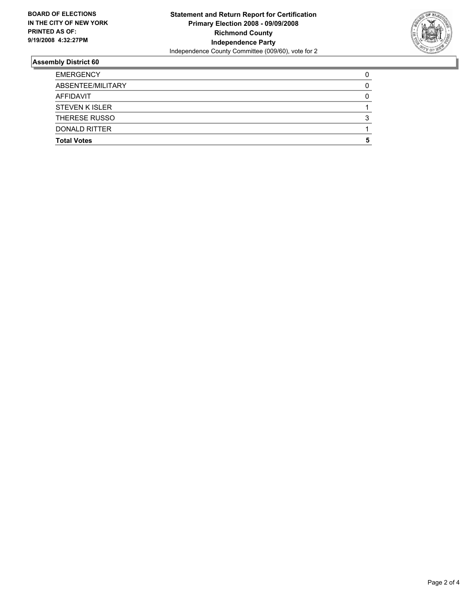

| <b>EMERGENCY</b>      |  |
|-----------------------|--|
| ABSENTEE/MILITARY     |  |
| <b>AFFIDAVIT</b>      |  |
| <b>STEVEN K ISLER</b> |  |
| THERESE RUSSO         |  |
| DONALD RITTER         |  |
| <b>Total Votes</b>    |  |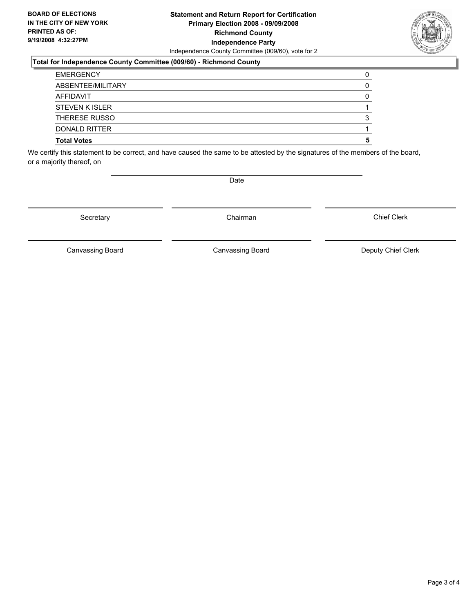### **Statement and Return Report for Certification Primary Election 2008 - 09/09/2008 Richmond County Independence Party** Independence County Committee (009/60), vote for 2

#### **Total for Independence County Committee (009/60) - Richmond County**

| <b>EMERGENCY</b>      |  |
|-----------------------|--|
| ABSENTEE/MILITARY     |  |
| AFFIDAVIT             |  |
| <b>STEVEN K ISLER</b> |  |
| <b>THERESE RUSSO</b>  |  |
| DONALD RITTER         |  |
| <b>Total Votes</b>    |  |

We certify this statement to be correct, and have caused the same to be attested by the signatures of the members of the board, or a majority thereof, on

Secretary **Chairman** 

Chief Clerk

Canvassing Board **Canvassing Board** Canvassing Board **Deputy Chief Clerk** 

Canvassing Board



Date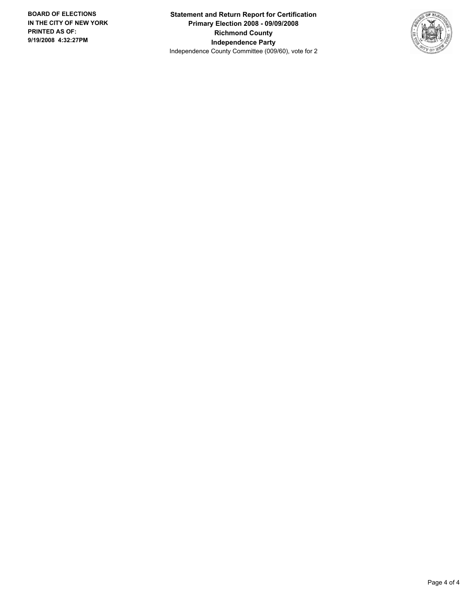**Statement and Return Report for Certification Primary Election 2008 - 09/09/2008 Richmond County Independence Party** Independence County Committee (009/60), vote for 2

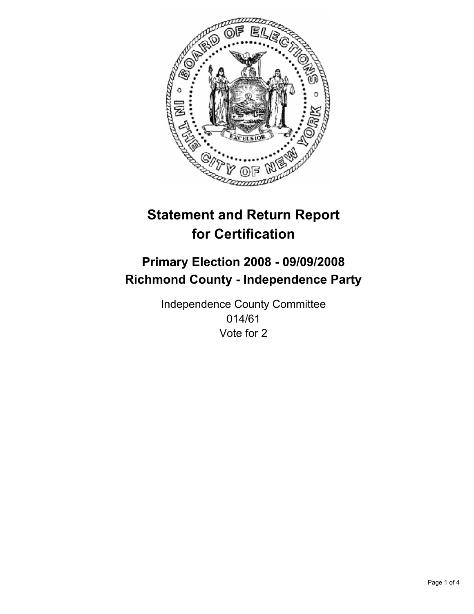

## **Primary Election 2008 - 09/09/2008 Richmond County - Independence Party**

Independence County Committee 014/61 Vote for 2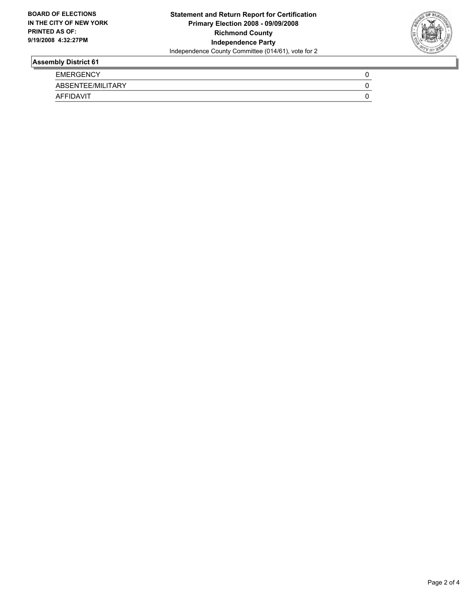

| <b>EMERGENCY</b>  |  |
|-------------------|--|
| ABSENTEE/MILITARY |  |
| <b>AFFIDAVIT</b>  |  |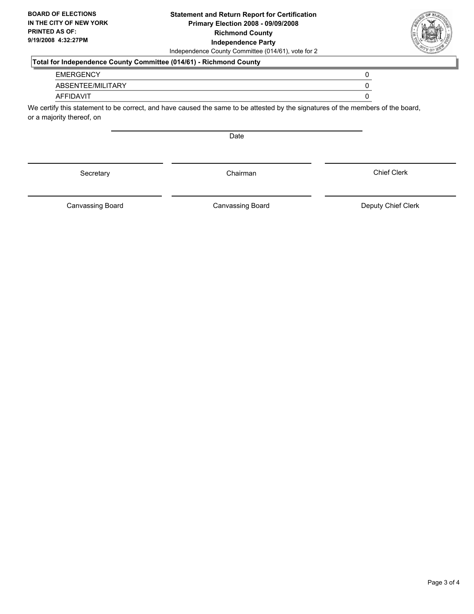### **Statement and Return Report for Certification Primary Election 2008 - 09/09/2008 Richmond County Independence Party** Independence County Committee (014/61), vote for 2

## **Total for Independence County Committee (014/61) - Richmond County**

#### EMERGENCY 0

ABSENTEE/MILITARY 0

## AFFIDAVIT 0

We certify this statement to be correct, and have caused the same to be attested by the signatures of the members of the board, or a majority thereof, on

Date

Secretary **Chairman** 

Canvassing Board

Canvassing Board **Canvassing Board** Canvassing Board **Deputy Chief Clerk** 

Chief Clerk

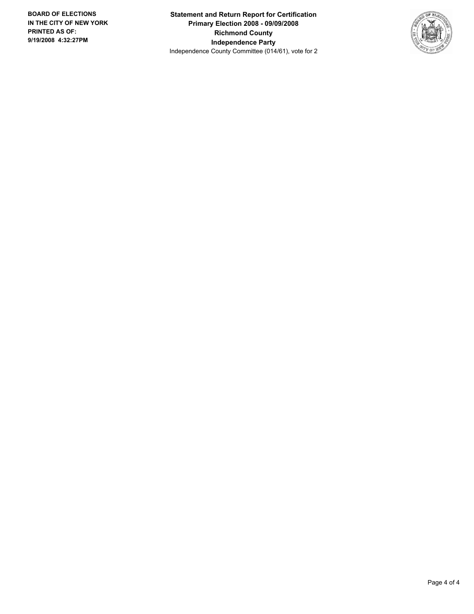**Statement and Return Report for Certification Primary Election 2008 - 09/09/2008 Richmond County Independence Party** Independence County Committee (014/61), vote for 2

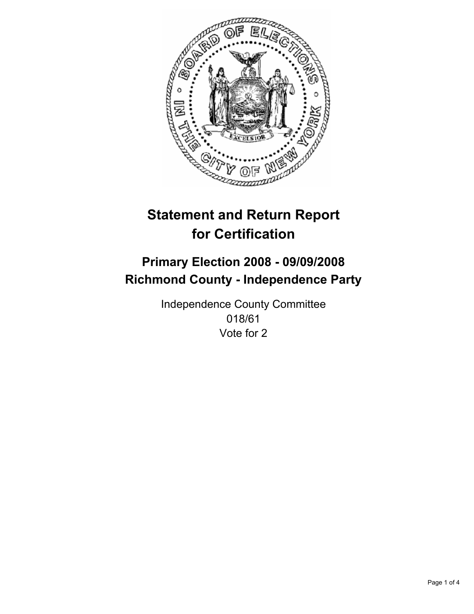

## **Primary Election 2008 - 09/09/2008 Richmond County - Independence Party**

Independence County Committee 018/61 Vote for 2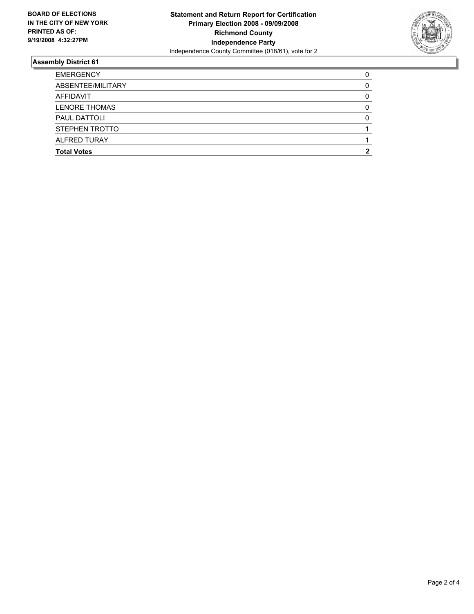

| <b>EMERGENCY</b>     |  |
|----------------------|--|
| ABSENTEE/MILITARY    |  |
| AFFIDAVIT            |  |
| <b>LENORE THOMAS</b> |  |
| <b>PAUL DATTOLI</b>  |  |
| STEPHEN TROTTO       |  |
| <b>ALFRED TURAY</b>  |  |
| <b>Total Votes</b>   |  |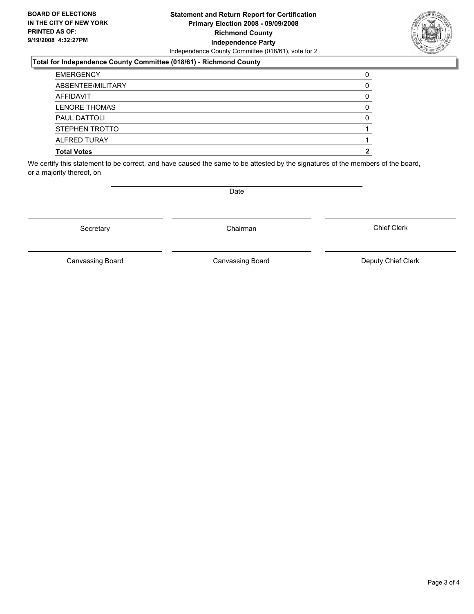### **Statement and Return Report for Certification Primary Election 2008 - 09/09/2008 Richmond County Independence Party** Independence County Committee (018/61), vote for 2

#### **Total for Independence County Committee (018/61) - Richmond County**

| <b>EMERGENCY</b>     |  |
|----------------------|--|
| ABSENTEE/MILITARY    |  |
| AFFIDAVIT            |  |
| <b>LENORE THOMAS</b> |  |
| PAUL DATTOLI         |  |
| STEPHEN TROTTO       |  |
| <b>ALFRED TURAY</b>  |  |
| <b>Total Votes</b>   |  |

We certify this statement to be correct, and have caused the same to be attested by the signatures of the members of the board, or a majority thereof, on

Secretary **Chairman** 

Canvassing Board

Canvassing Board **Canvassing Board** Canvassing Board **Deputy Chief Clerk** 

Chief Clerk

Page 3 of 4



Date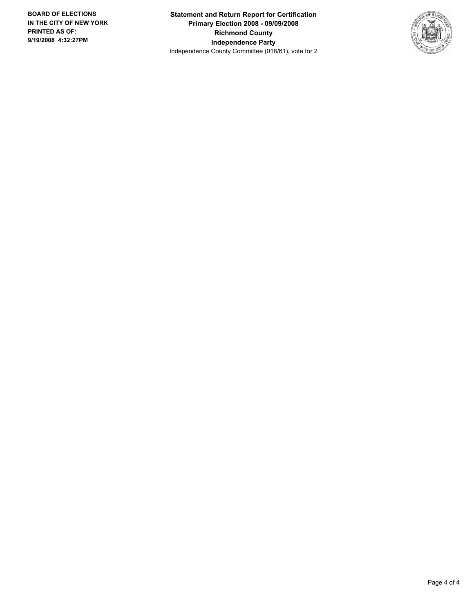**Statement and Return Report for Certification Primary Election 2008 - 09/09/2008 Richmond County Independence Party** Independence County Committee (018/61), vote for 2

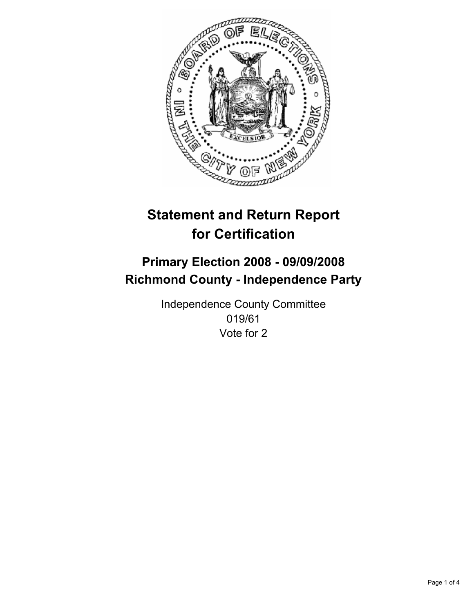

## **Primary Election 2008 - 09/09/2008 Richmond County - Independence Party**

Independence County Committee 019/61 Vote for 2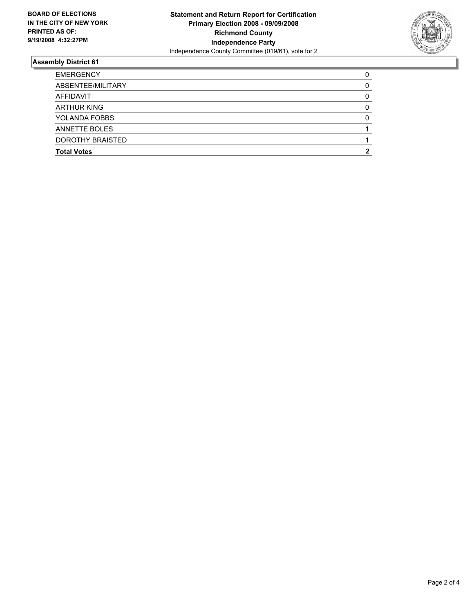

| <b>EMERGENCY</b>     |  |
|----------------------|--|
| ABSENTEE/MILITARY    |  |
| AFFIDAVIT            |  |
| <b>ARTHUR KING</b>   |  |
| YOLANDA FOBBS        |  |
| <b>ANNETTE BOLES</b> |  |
| DOROTHY BRAISTED     |  |
| <b>Total Votes</b>   |  |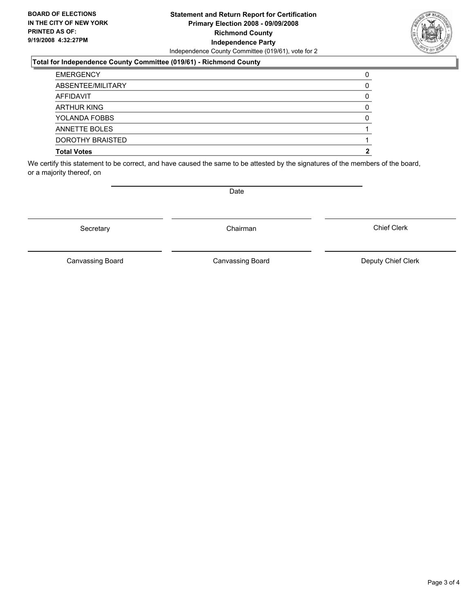### **Statement and Return Report for Certification Primary Election 2008 - 09/09/2008 Richmond County Independence Party** Independence County Committee (019/61), vote for 2

#### **Total for Independence County Committee (019/61) - Richmond County**

| <b>EMERGENCY</b>     |  |
|----------------------|--|
| ABSENTEE/MILITARY    |  |
| AFFIDAVIT            |  |
| <b>ARTHUR KING</b>   |  |
| YOLANDA FOBBS        |  |
| <b>ANNETTE BOLES</b> |  |
| DOROTHY BRAISTED     |  |
| <b>Total Votes</b>   |  |

We certify this statement to be correct, and have caused the same to be attested by the signatures of the members of the board, or a majority thereof, on

Date

Canvassing Board **Canvassing Board** Canvassing Board **Deputy Chief Clerk** 

Chief Clerk

Canvassing Board



Secretary **Chairman**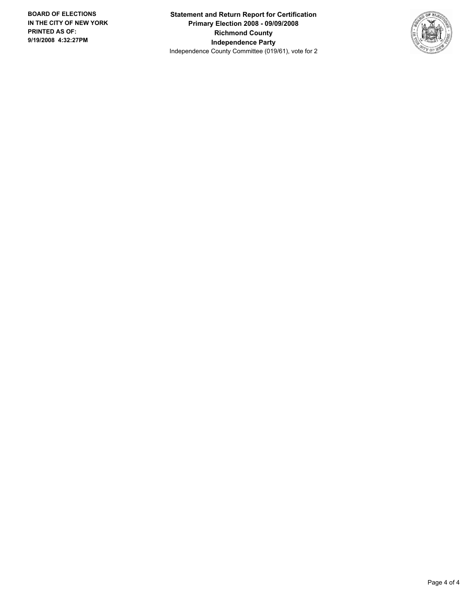**Statement and Return Report for Certification Primary Election 2008 - 09/09/2008 Richmond County Independence Party** Independence County Committee (019/61), vote for 2

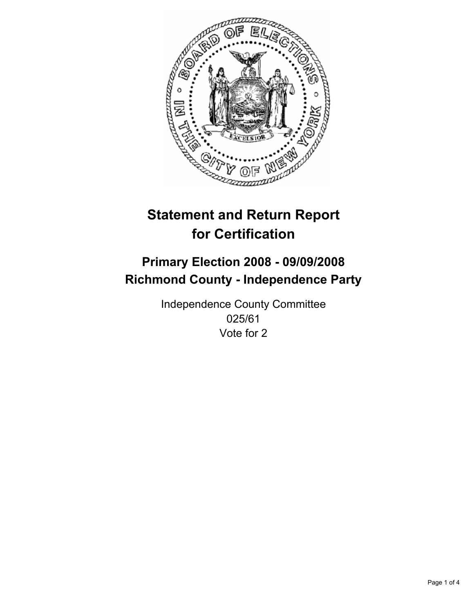

## **Primary Election 2008 - 09/09/2008 Richmond County - Independence Party**

Independence County Committee 025/61 Vote for 2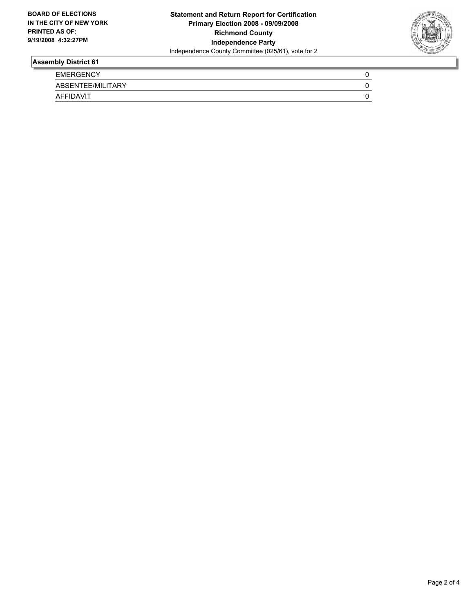

| <b>EMERGENCY</b>  |  |
|-------------------|--|
| ABSENTEE/MILITARY |  |
| AFFIDAVIT         |  |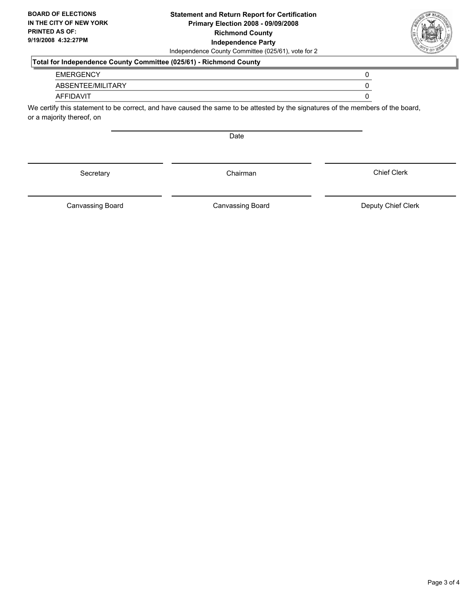### **Statement and Return Report for Certification Primary Election 2008 - 09/09/2008 Richmond County Independence Party** Independence County Committee (025/61), vote for 2

## **Total for Independence County Committee (025/61) - Richmond County**

#### EMERGENCY 0

ABSENTEE/MILITARY 0

## AFFIDAVIT 0

We certify this statement to be correct, and have caused the same to be attested by the signatures of the members of the board, or a majority thereof, on

Date

Secretary **Chairman** 

Canvassing Board

Canvassing Board **Canvassing Board** Canvassing Board **Deputy Chief Clerk** 

Chief Clerk

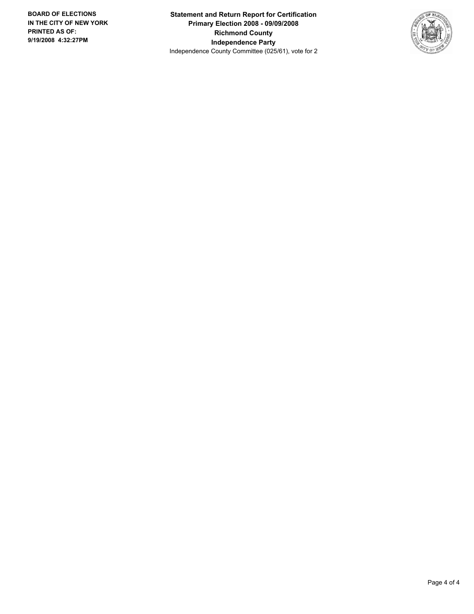**Statement and Return Report for Certification Primary Election 2008 - 09/09/2008 Richmond County Independence Party** Independence County Committee (025/61), vote for 2

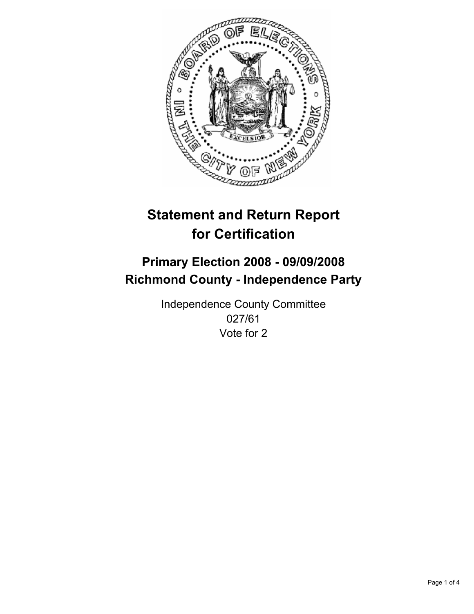

## **Primary Election 2008 - 09/09/2008 Richmond County - Independence Party**

Independence County Committee 027/61 Vote for 2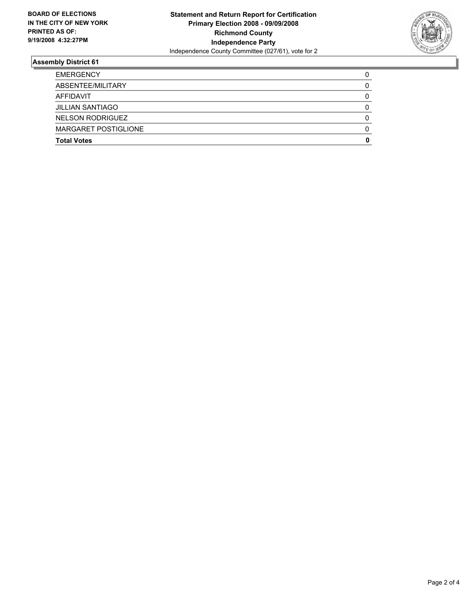

| MARGARET POSTIGLIONE    |  |
|-------------------------|--|
| NELSON RODRIGUEZ        |  |
| <b>JILLIAN SANTIAGO</b> |  |
| AFFIDAVIT               |  |
| ABSENTEE/MILITARY       |  |
| <b>EMERGENCY</b>        |  |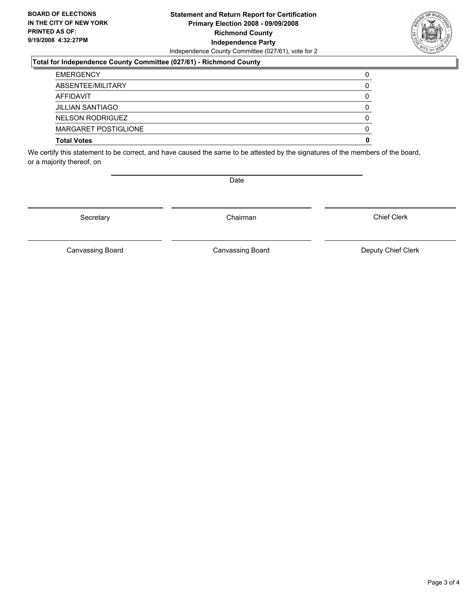### **Statement and Return Report for Certification Primary Election 2008 - 09/09/2008 Richmond County Independence Party** Independence County Committee (027/61), vote for 2

### **Total for Independence County Committee (027/61) - Richmond County**

| <b>EMERGENCY</b>            |  |
|-----------------------------|--|
| ABSENTEE/MILITARY           |  |
| AFFIDAVIT                   |  |
| <b>JILLIAN SANTIAGO</b>     |  |
| <b>NELSON RODRIGUEZ</b>     |  |
| <b>MARGARET POSTIGLIONE</b> |  |
| <b>Total Votes</b>          |  |

We certify this statement to be correct, and have caused the same to be attested by the signatures of the members of the board, or a majority thereof, on

Secretary **Chairman** 

Canvassing Board

Canvassing Board **Canvassing Board** Canvassing Board **Deputy Chief Clerk** 

Chief Clerk



Date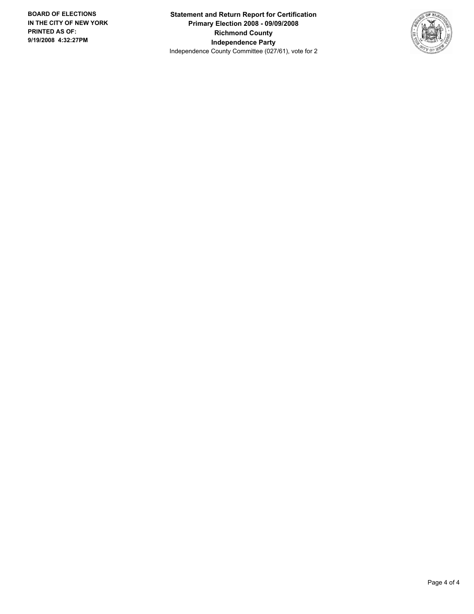**Statement and Return Report for Certification Primary Election 2008 - 09/09/2008 Richmond County Independence Party** Independence County Committee (027/61), vote for 2

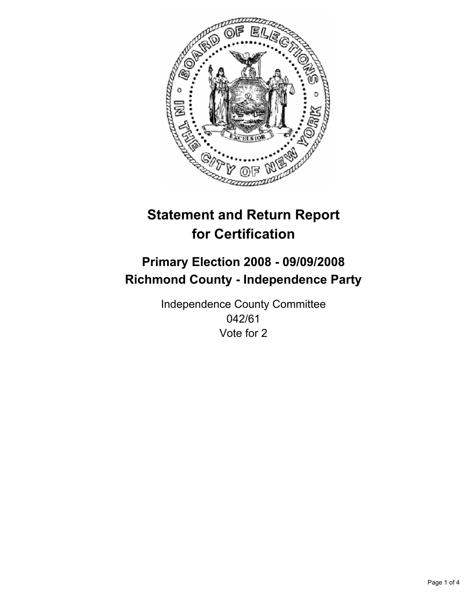

## **Primary Election 2008 - 09/09/2008 Richmond County - Independence Party**

Independence County Committee 042/61 Vote for 2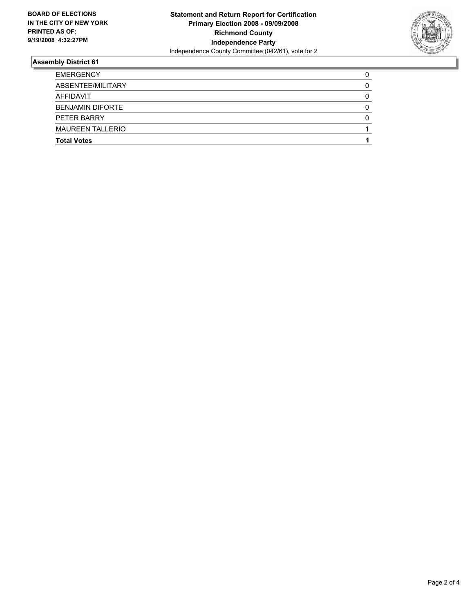

| <b>EMERGENCY</b>        |  |
|-------------------------|--|
| ABSENTEE/MILITARY       |  |
| <b>AFFIDAVIT</b>        |  |
| <b>BENJAMIN DIFORTE</b> |  |
| PETER BARRY             |  |
| <b>MAUREEN TALLERIO</b> |  |
| <b>Total Votes</b>      |  |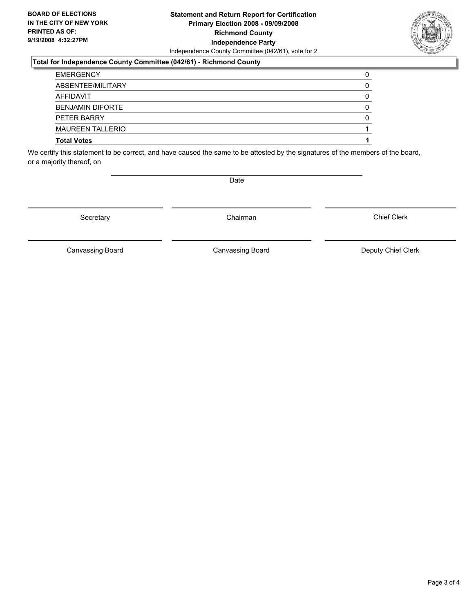### **Statement and Return Report for Certification Primary Election 2008 - 09/09/2008 Richmond County Independence Party** Independence County Committee (042/61), vote for 2

### **Total for Independence County Committee (042/61) - Richmond County**

| <b>EMERGENCY</b>        |  |
|-------------------------|--|
| ABSENTEE/MILITARY       |  |
| AFFIDAVIT               |  |
| <b>BENJAMIN DIFORTE</b> |  |
| PETER BARRY             |  |
| <b>MAUREEN TALLERIO</b> |  |
| <b>Total Votes</b>      |  |

We certify this statement to be correct, and have caused the same to be attested by the signatures of the members of the board, or a majority thereof, on

Secretary **Chairman** 

Canvassing Board **Canvassing Board** Canvassing Board **Deputy Chief Clerk** 

Canvassing Board

Chief Clerk

Page 3 of 4



Date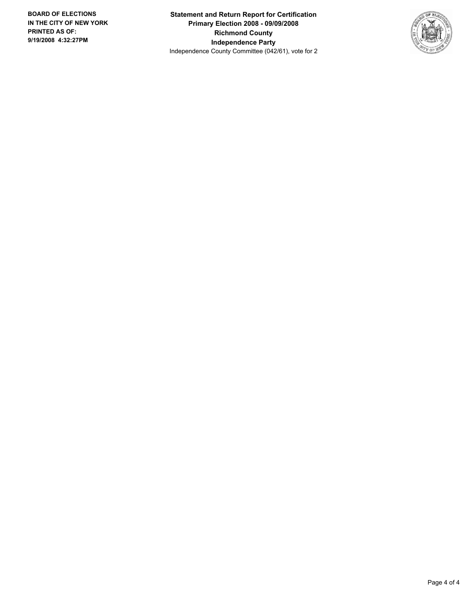**Statement and Return Report for Certification Primary Election 2008 - 09/09/2008 Richmond County Independence Party** Independence County Committee (042/61), vote for 2

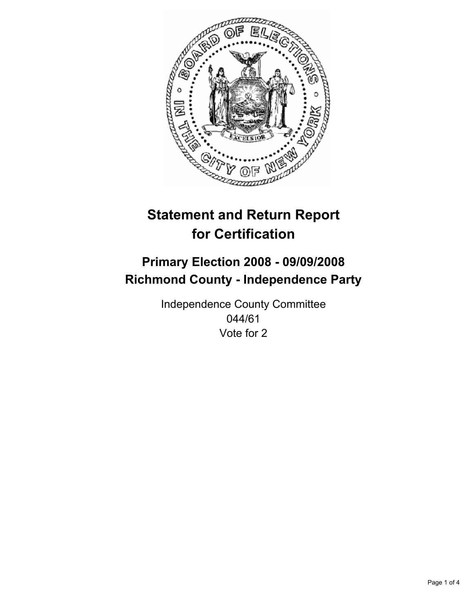

## **Primary Election 2008 - 09/09/2008 Richmond County - Independence Party**

Independence County Committee 044/61 Vote for 2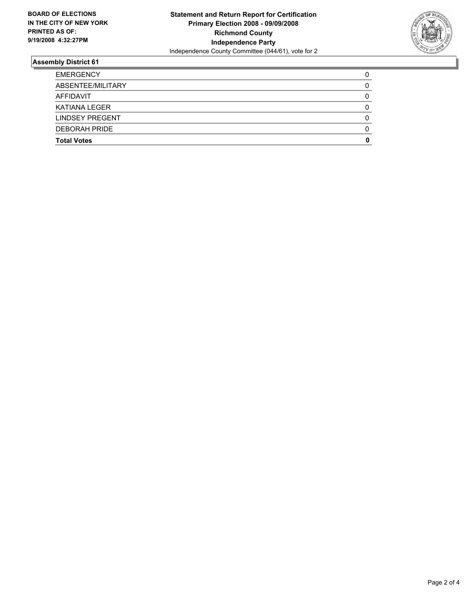

| <b>EMERGENCY</b>       |  |
|------------------------|--|
| ABSENTEE/MILITARY      |  |
| AFFIDAVIT              |  |
| KATIANA LEGER          |  |
| <b>LINDSEY PREGENT</b> |  |
| <b>DEBORAH PRIDE</b>   |  |
| <b>Total Votes</b>     |  |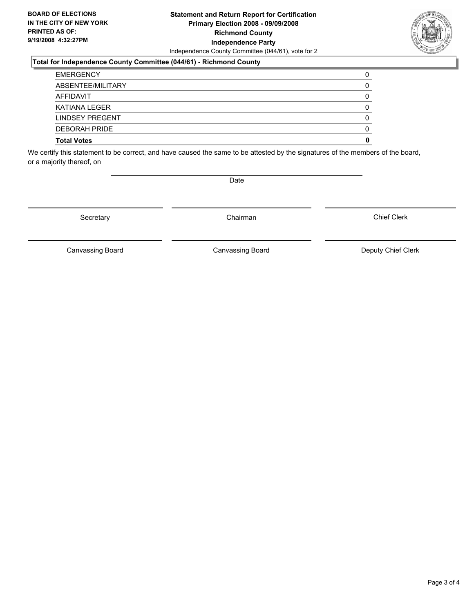### **Statement and Return Report for Certification Primary Election 2008 - 09/09/2008 Richmond County Independence Party** Independence County Committee (044/61), vote for 2

### **Total for Independence County Committee (044/61) - Richmond County**

| <b>Total Votes</b>   |  |
|----------------------|--|
| <b>DEBORAH PRIDE</b> |  |
| LINDSEY PREGENT      |  |
| KATIANA LEGER        |  |
| AFFIDAVIT            |  |
| ABSENTEE/MILITARY    |  |
| <b>EMERGENCY</b>     |  |

We certify this statement to be correct, and have caused the same to be attested by the signatures of the members of the board, or a majority thereof, on

Secretary **Chairman** 

Chief Clerk

Canvassing Board **Canvassing Board** Canvassing Board **Deputy Chief Clerk** 

Canvassing Board



Date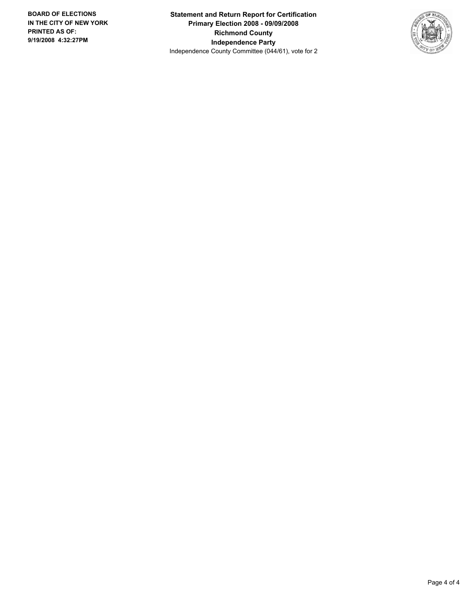**Statement and Return Report for Certification Primary Election 2008 - 09/09/2008 Richmond County Independence Party** Independence County Committee (044/61), vote for 2

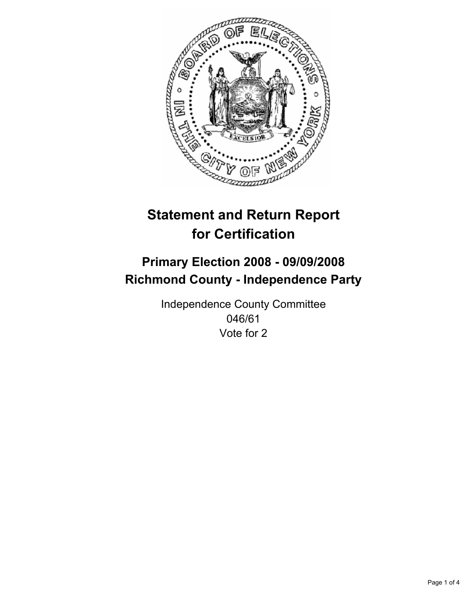

## **Primary Election 2008 - 09/09/2008 Richmond County - Independence Party**

Independence County Committee 046/61 Vote for 2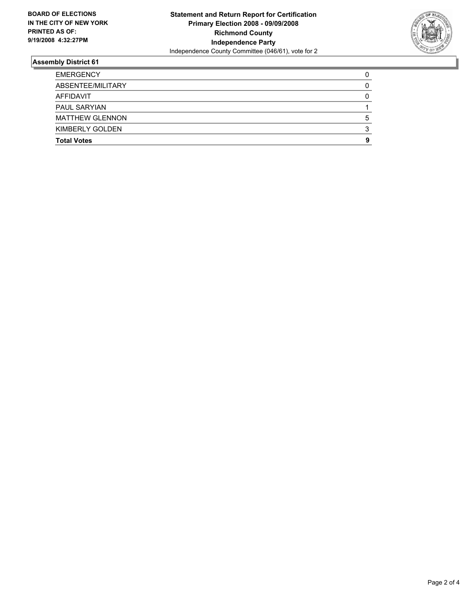

| <b>EMERGENCY</b>       |  |
|------------------------|--|
| ABSENTEE/MILITARY      |  |
| AFFIDAVIT              |  |
| <b>PAUL SARYIAN</b>    |  |
| <b>MATTHEW GLENNON</b> |  |
| KIMBERLY GOLDEN        |  |
| <b>Total Votes</b>     |  |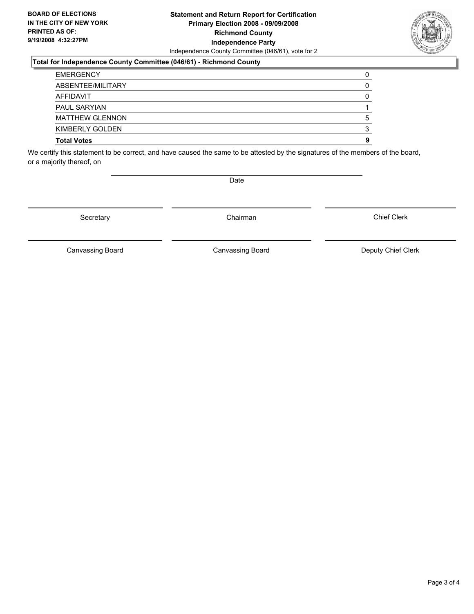### **Statement and Return Report for Certification Primary Election 2008 - 09/09/2008 Richmond County Independence Party** Independence County Committee (046/61), vote for 2

### **Total for Independence County Committee (046/61) - Richmond County**

| <b>Total Votes</b>     |  |
|------------------------|--|
| KIMBERLY GOLDEN        |  |
| <b>MATTHEW GLENNON</b> |  |
| <b>PAUL SARYIAN</b>    |  |
| AFFIDAVIT              |  |
| ABSENTEE/MILITARY      |  |
| <b>EMERGENCY</b>       |  |

We certify this statement to be correct, and have caused the same to be attested by the signatures of the members of the board, or a majority thereof, on

Date

Canvassing Board **Canvassing Board** Canvassing Board **Deputy Chief Clerk** 

Canvassing Board

Chief Clerk



Secretary **Chairman**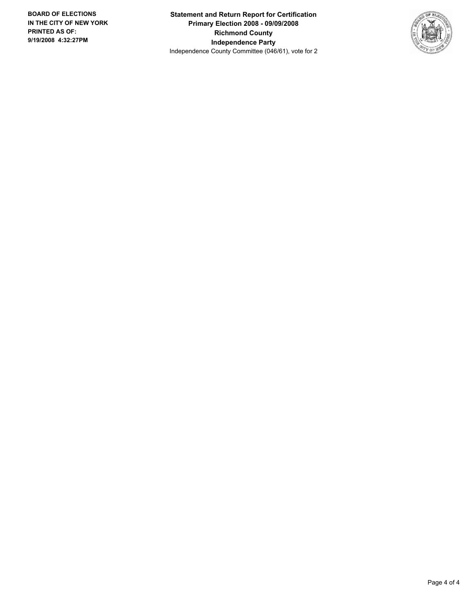**Statement and Return Report for Certification Primary Election 2008 - 09/09/2008 Richmond County Independence Party** Independence County Committee (046/61), vote for 2

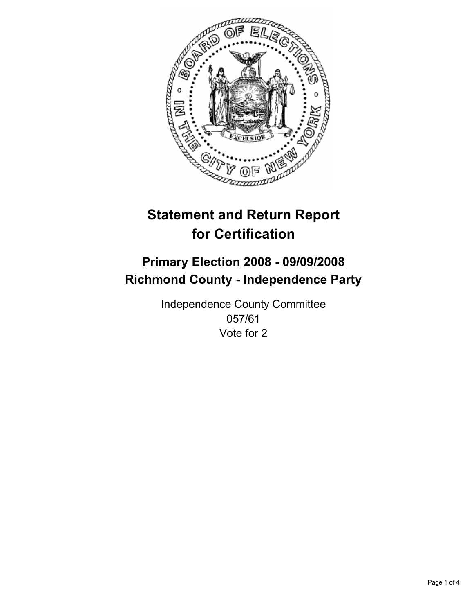

## **Primary Election 2008 - 09/09/2008 Richmond County - Independence Party**

Independence County Committee 057/61 Vote for 2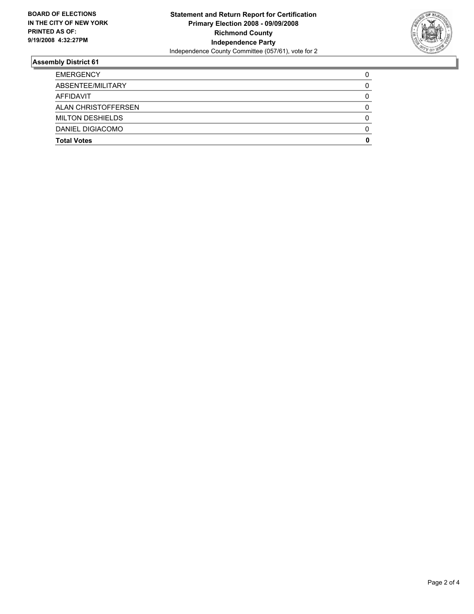

| <b>EMERGENCY</b>        |  |
|-------------------------|--|
| ABSENTEE/MILITARY       |  |
| AFFIDAVIT               |  |
| ALAN CHRISTOFFERSEN     |  |
| <b>MILTON DESHIELDS</b> |  |
| DANIEL DIGIACOMO        |  |
| <b>Total Votes</b>      |  |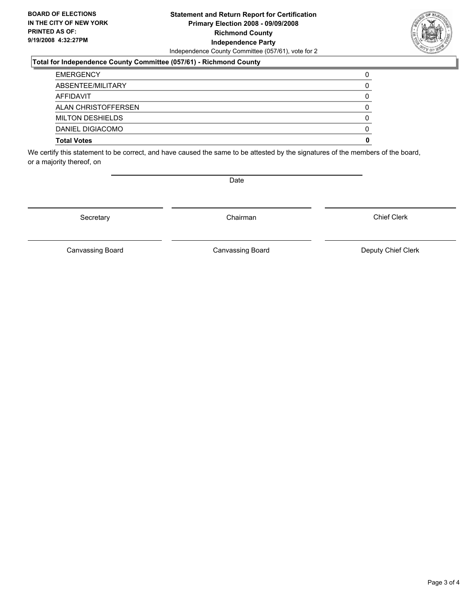#### **Statement and Return Report for Certification Primary Election 2008 - 09/09/2008 Richmond County Independence Party** Independence County Committee (057/61), vote for 2

#### **Total for Independence County Committee (057/61) - Richmond County**

| <b>EMERGENCY</b>        |  |
|-------------------------|--|
| ABSENTEE/MILITARY       |  |
| AFFIDAVIT               |  |
| ALAN CHRISTOFFERSEN     |  |
| <b>MILTON DESHIELDS</b> |  |
| DANIEL DIGIACOMO        |  |
| <b>Total Votes</b>      |  |

We certify this statement to be correct, and have caused the same to be attested by the signatures of the members of the board, or a majority thereof, on

Secretary **Chairman** 

Date

Chief Clerk

Canvassing Board **Canvassing Board** Canvassing Board **Deputy Chief Clerk** 

Canvassing Board

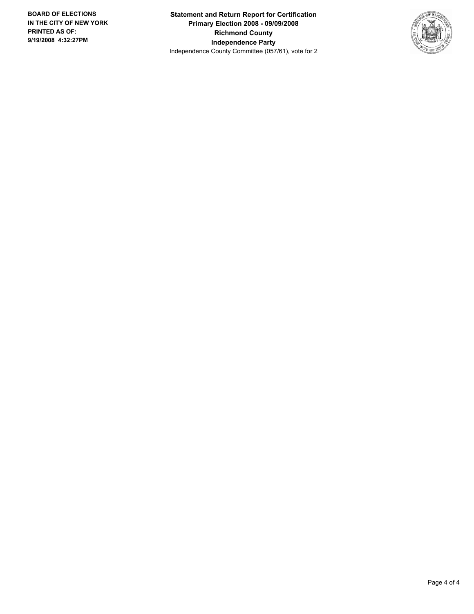**Statement and Return Report for Certification Primary Election 2008 - 09/09/2008 Richmond County Independence Party** Independence County Committee (057/61), vote for 2

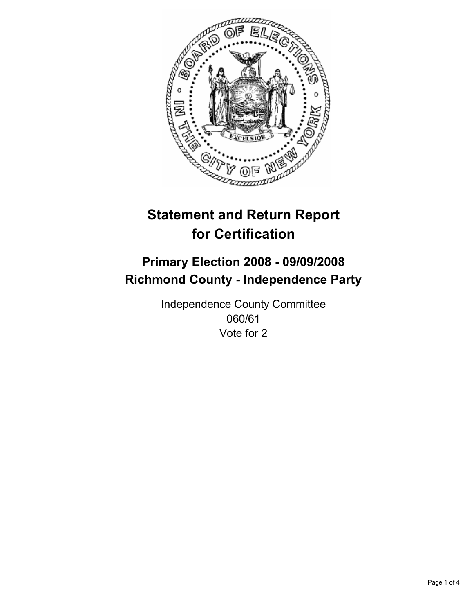

## **Primary Election 2008 - 09/09/2008 Richmond County - Independence Party**

Independence County Committee 060/61 Vote for 2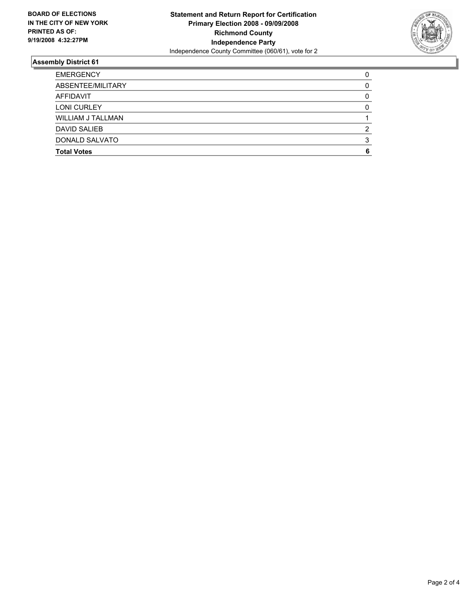

| <b>EMERGENCY</b>         |  |
|--------------------------|--|
| ABSENTEE/MILITARY        |  |
| AFFIDAVIT                |  |
| <b>LONI CURLEY</b>       |  |
| <b>WILLIAM J TALLMAN</b> |  |
| <b>DAVID SALIEB</b>      |  |
| <b>DONALD SALVATO</b>    |  |
| <b>Total Votes</b>       |  |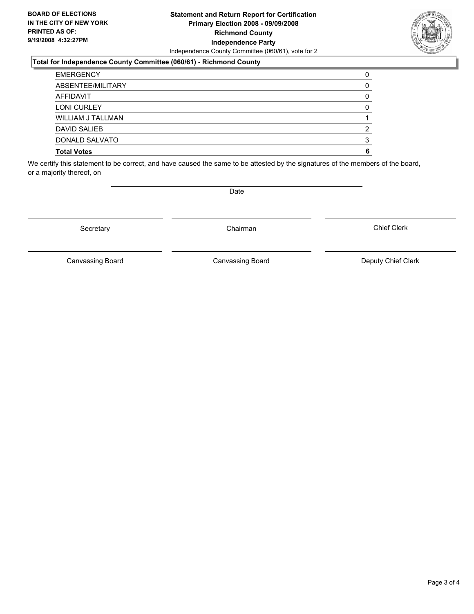#### **Statement and Return Report for Certification Primary Election 2008 - 09/09/2008 Richmond County Independence Party** Independence County Committee (060/61), vote for 2

#### **Total for Independence County Committee (060/61) - Richmond County**

| <b>EMERGENCY</b>      |  |
|-----------------------|--|
| ABSENTEE/MILITARY     |  |
| AFFIDAVIT             |  |
| <b>LONI CURLEY</b>    |  |
| WILLIAM J TALLMAN     |  |
| DAVID SALIEB          |  |
| <b>DONALD SALVATO</b> |  |
| <b>Total Votes</b>    |  |

We certify this statement to be correct, and have caused the same to be attested by the signatures of the members of the board, or a majority thereof, on

Secretary **Chairman** 

Canvassing Board

Canvassing Board **Canvassing Board** Canvassing Board **Deputy Chief Clerk** 

Chief Clerk



Date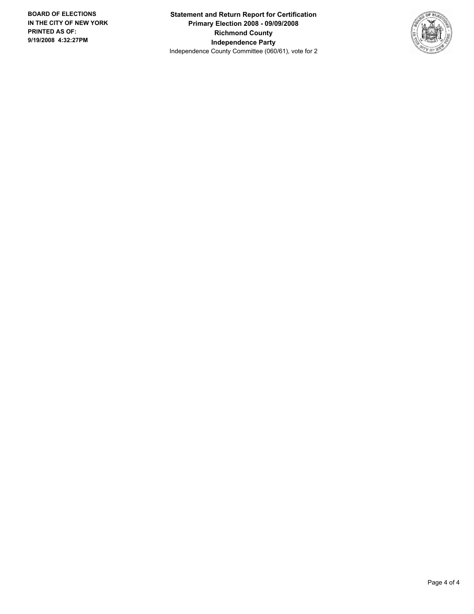**Statement and Return Report for Certification Primary Election 2008 - 09/09/2008 Richmond County Independence Party** Independence County Committee (060/61), vote for 2

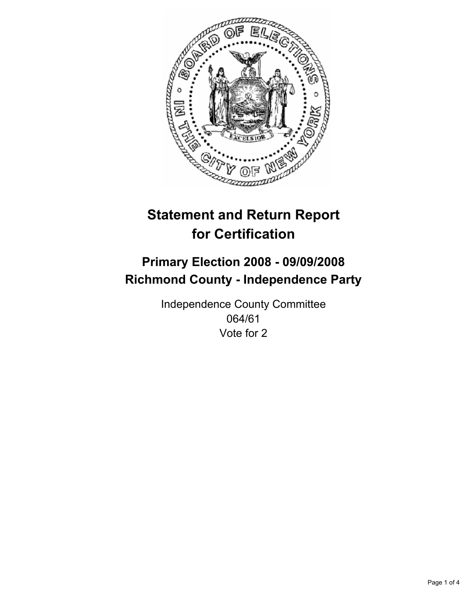

## **Primary Election 2008 - 09/09/2008 Richmond County - Independence Party**

Independence County Committee 064/61 Vote for 2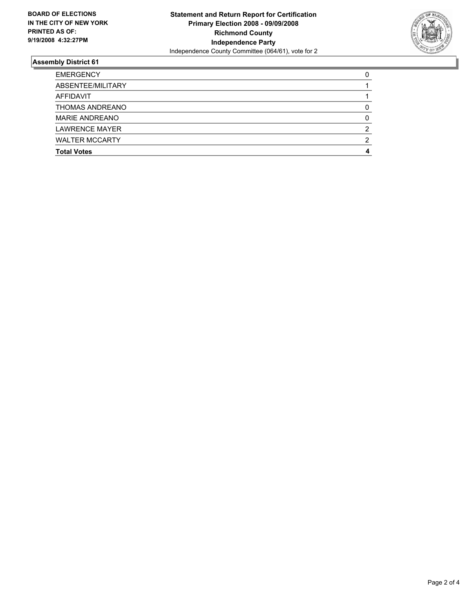

| <b>EMERGENCY</b>       |  |
|------------------------|--|
| ABSENTEE/MILITARY      |  |
| AFFIDAVIT              |  |
| <b>THOMAS ANDREANO</b> |  |
| <b>MARIE ANDREANO</b>  |  |
| <b>LAWRENCE MAYER</b>  |  |
| <b>WALTER MCCARTY</b>  |  |
| <b>Total Votes</b>     |  |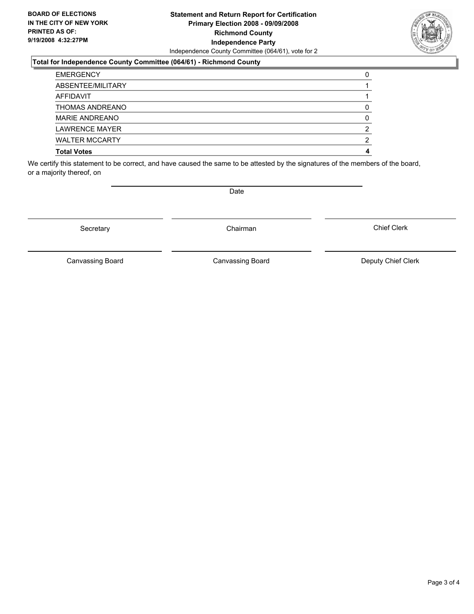#### **Statement and Return Report for Certification Primary Election 2008 - 09/09/2008 Richmond County Independence Party** Independence County Committee (064/61), vote for 2

#### **Total for Independence County Committee (064/61) - Richmond County**

| <b>Total Votes</b>    |  |
|-----------------------|--|
| <b>WALTER MCCARTY</b> |  |
| <b>LAWRENCE MAYER</b> |  |
| <b>MARIE ANDREANO</b> |  |
| THOMAS ANDREANO       |  |
| AFFIDAVIT             |  |
| ABSENTEE/MILITARY     |  |
| <b>EMERGENCY</b>      |  |

We certify this statement to be correct, and have caused the same to be attested by the signatures of the members of the board, or a majority thereof, on

Date

Canvassing Board **Canvassing Board** Canvassing Board **Deputy Chief Clerk** 

Chief Clerk

Canvassing Board



Secretary **Chairman**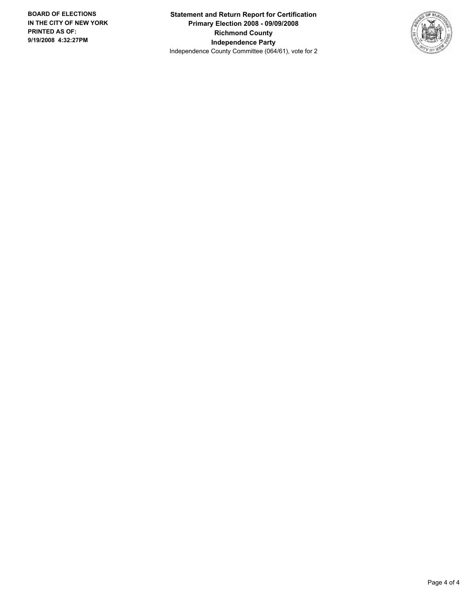**Statement and Return Report for Certification Primary Election 2008 - 09/09/2008 Richmond County Independence Party** Independence County Committee (064/61), vote for 2

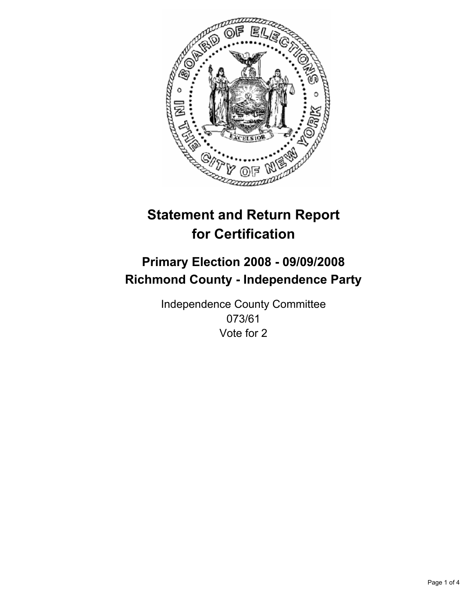

## **Primary Election 2008 - 09/09/2008 Richmond County - Independence Party**

Independence County Committee 073/61 Vote for 2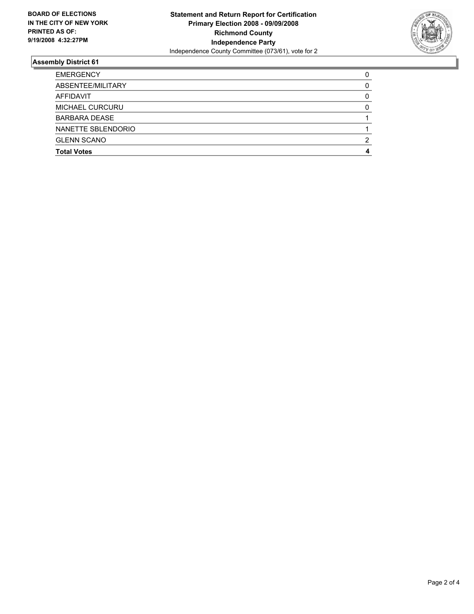

| <b>EMERGENCY</b>       |  |
|------------------------|--|
| ABSENTEE/MILITARY      |  |
| AFFIDAVIT              |  |
| <b>MICHAEL CURCURU</b> |  |
| <b>BARBARA DEASE</b>   |  |
| NANETTE SBLENDORIO     |  |
| <b>GLENN SCANO</b>     |  |
| <b>Total Votes</b>     |  |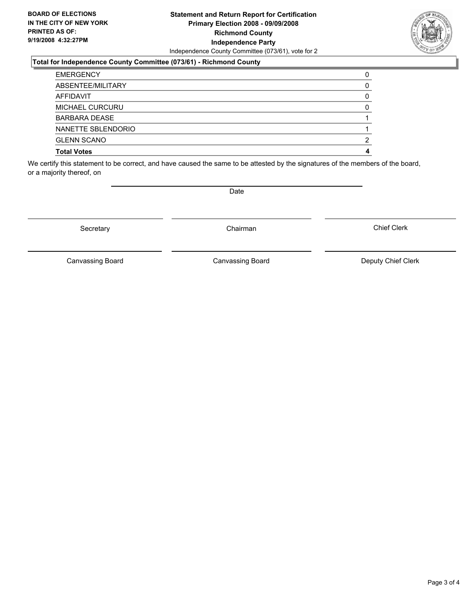#### **Statement and Return Report for Certification Primary Election 2008 - 09/09/2008 Richmond County Independence Party** Independence County Committee (073/61), vote for 2

#### **Total for Independence County Committee (073/61) - Richmond County**

| <b>Total Votes</b>     |  |
|------------------------|--|
| <b>GLENN SCANO</b>     |  |
| NANETTE SBLENDORIO     |  |
| <b>BARBARA DEASE</b>   |  |
| <b>MICHAEL CURCURU</b> |  |
| AFFIDAVIT              |  |
| ABSENTEE/MILITARY      |  |
| <b>EMERGENCY</b>       |  |

We certify this statement to be correct, and have caused the same to be attested by the signatures of the members of the board, or a majority thereof, on

Secretary **Chairman** 

Canvassing Board

Canvassing Board **Canvassing Board** Canvassing Board **Deputy Chief Clerk** 

Chief Clerk



Date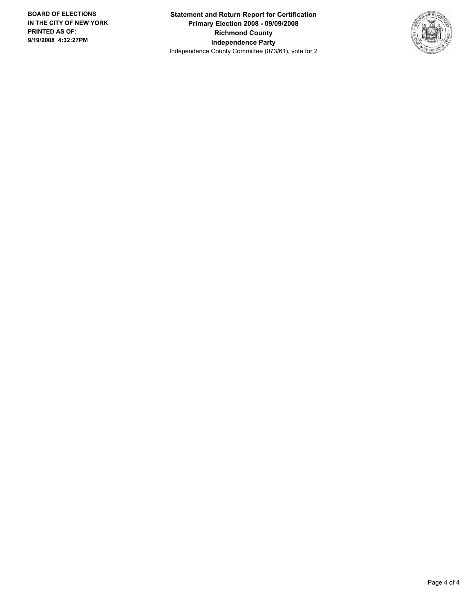**Statement and Return Report for Certification Primary Election 2008 - 09/09/2008 Richmond County Independence Party** Independence County Committee (073/61), vote for 2

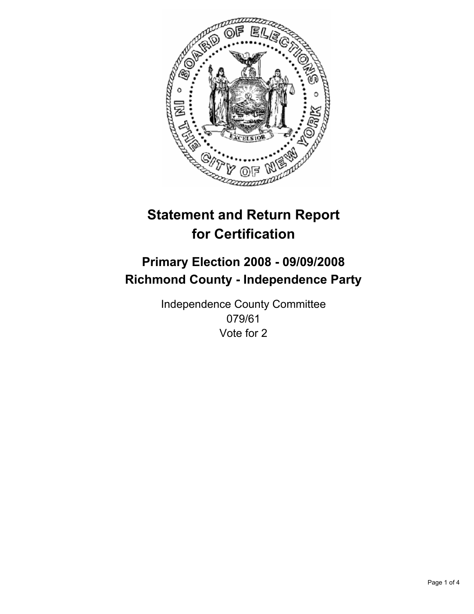

## **Primary Election 2008 - 09/09/2008 Richmond County - Independence Party**

Independence County Committee 079/61 Vote for 2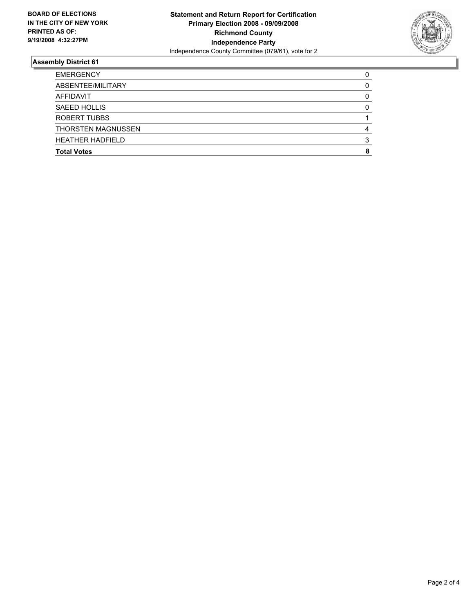

| <b>EMERGENCY</b>          |  |
|---------------------------|--|
| ABSENTEE/MILITARY         |  |
| AFFIDAVIT                 |  |
| SAEED HOLLIS              |  |
| ROBERT TUBBS              |  |
| <b>THORSTEN MAGNUSSEN</b> |  |
| <b>HEATHER HADFIELD</b>   |  |
| <b>Total Votes</b>        |  |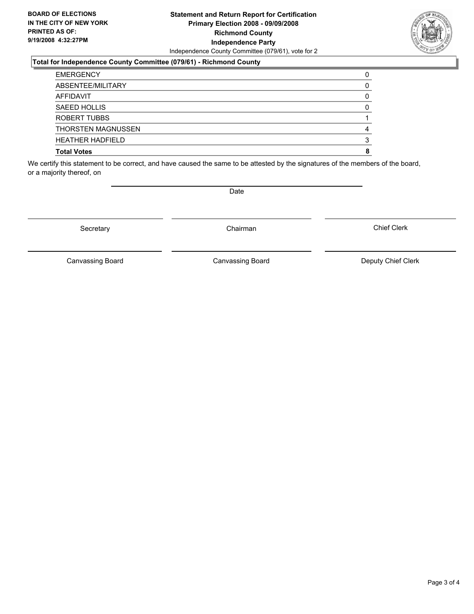#### **Statement and Return Report for Certification Primary Election 2008 - 09/09/2008 Richmond County Independence Party** Independence County Committee (079/61), vote for 2

#### **Total for Independence County Committee (079/61) - Richmond County**

| <b>EMERGENCY</b>          |  |
|---------------------------|--|
| ABSENTEE/MILITARY         |  |
| AFFIDAVIT                 |  |
| SAEED HOLLIS              |  |
| ROBERT TUBBS              |  |
| <b>THORSTEN MAGNUSSEN</b> |  |
| <b>HEATHER HADFIELD</b>   |  |
| <b>Total Votes</b>        |  |

We certify this statement to be correct, and have caused the same to be attested by the signatures of the members of the board, or a majority thereof, on

Secretary **Chairman** 

Date

Canvassing Board **Canvassing Board** Canvassing Board **Deputy Chief Clerk** 

Chief Clerk

Canvassing Board

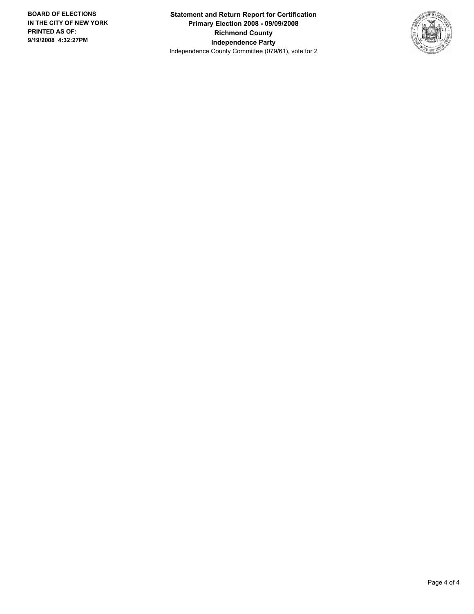**Statement and Return Report for Certification Primary Election 2008 - 09/09/2008 Richmond County Independence Party** Independence County Committee (079/61), vote for 2

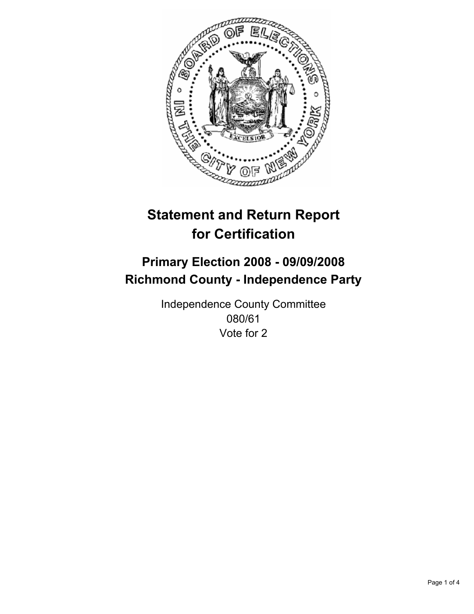

## **Primary Election 2008 - 09/09/2008 Richmond County - Independence Party**

Independence County Committee 080/61 Vote for 2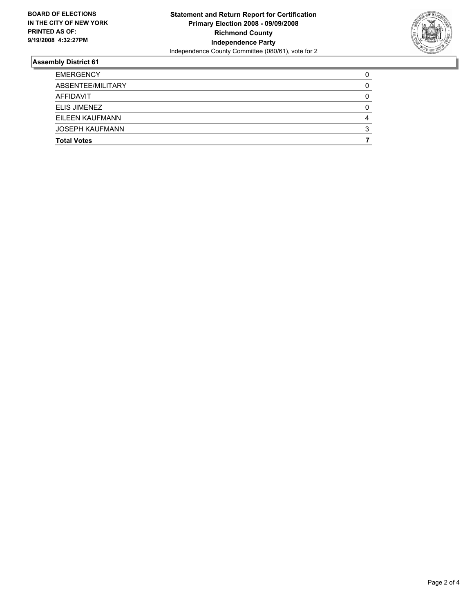

| <b>EMERGENCY</b>       |  |
|------------------------|--|
| ABSENTEE/MILITARY      |  |
| AFFIDAVIT              |  |
| ELIS JIMENEZ           |  |
| EILEEN KAUFMANN        |  |
| <b>JOSEPH KAUFMANN</b> |  |
| <b>Total Votes</b>     |  |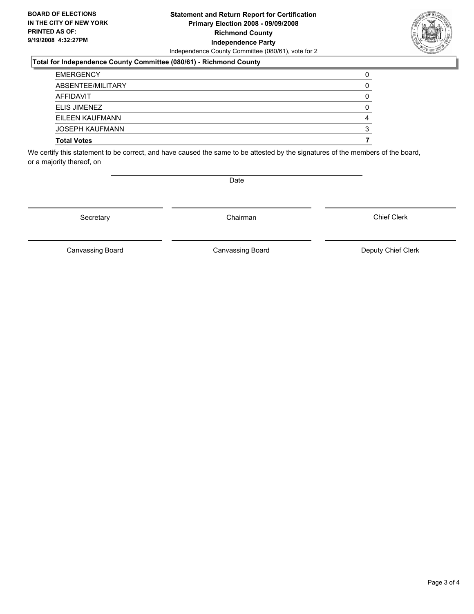#### **Statement and Return Report for Certification Primary Election 2008 - 09/09/2008 Richmond County Independence Party** Independence County Committee (080/61), vote for 2

#### **Total for Independence County Committee (080/61) - Richmond County**

| <b>Total Votes</b>     |  |
|------------------------|--|
| <b>JOSEPH KAUFMANN</b> |  |
| EILEEN KAUFMANN        |  |
| ELIS JIMENEZ           |  |
| AFFIDAVIT              |  |
| ABSENTEE/MILITARY      |  |
| <b>EMERGENCY</b>       |  |

We certify this statement to be correct, and have caused the same to be attested by the signatures of the members of the board, or a majority thereof, on

Secretary **Chairman** 

Chief Clerk

Canvassing Board **Canvassing Board** Canvassing Board **Deputy Chief Clerk** 

Canvassing Board



Date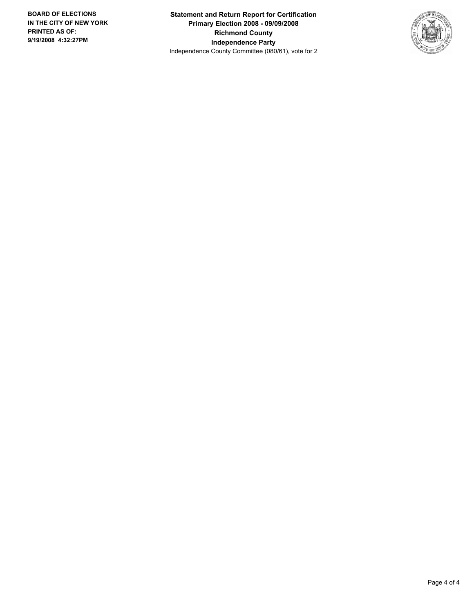**Statement and Return Report for Certification Primary Election 2008 - 09/09/2008 Richmond County Independence Party** Independence County Committee (080/61), vote for 2

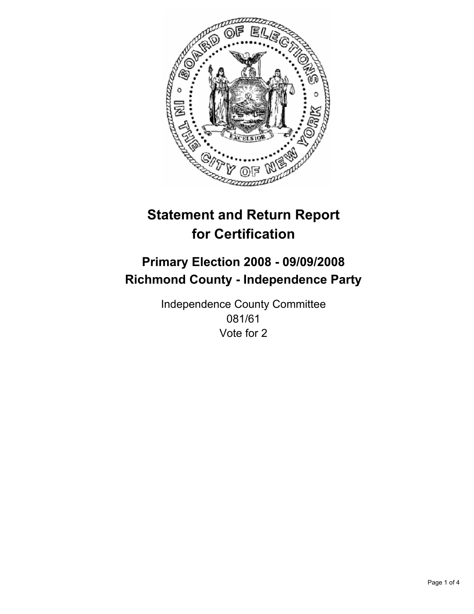

## **Primary Election 2008 - 09/09/2008 Richmond County - Independence Party**

Independence County Committee 081/61 Vote for 2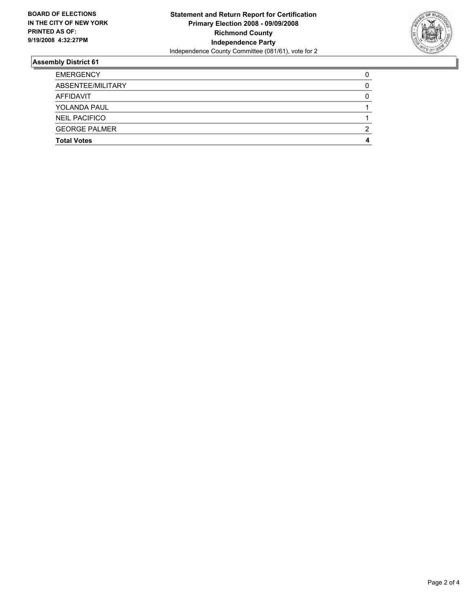

| <b>EMERGENCY</b>     |  |
|----------------------|--|
| ABSENTEE/MILITARY    |  |
| AFFIDAVIT            |  |
| <b>YOLANDA PAUL</b>  |  |
| <b>NEIL PACIFICO</b> |  |
| <b>GEORGE PALMER</b> |  |
| <b>Total Votes</b>   |  |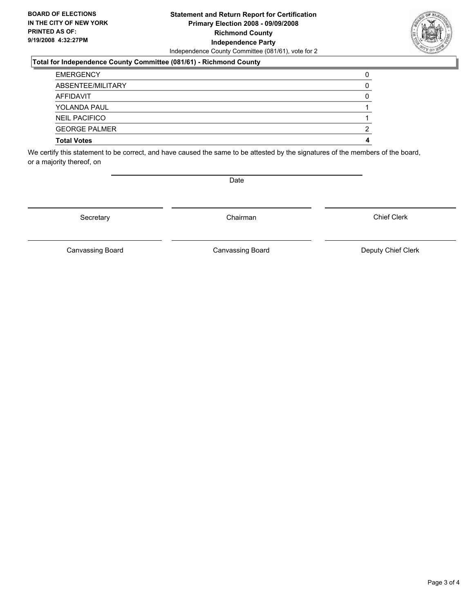#### **Statement and Return Report for Certification Primary Election 2008 - 09/09/2008 Richmond County Independence Party** Independence County Committee (081/61), vote for 2

#### **Total for Independence County Committee (081/61) - Richmond County**

| <b>Total Votes</b>   |  |
|----------------------|--|
| <b>GEORGE PALMER</b> |  |
| <b>NEIL PACIFICO</b> |  |
| <b>YOLANDA PAUL</b>  |  |
| AFFIDAVIT            |  |
| ABSENTEE/MILITARY    |  |
| <b>EMERGENCY</b>     |  |

We certify this statement to be correct, and have caused the same to be attested by the signatures of the members of the board, or a majority thereof, on

Secretary **Chairman** 

Chief Clerk

Canvassing Board **Canvassing Board** Canvassing Board **Deputy Chief Clerk** 

Canvassing Board



Date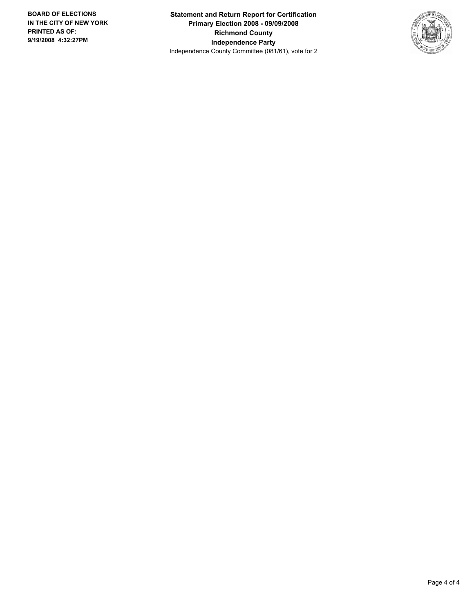**Statement and Return Report for Certification Primary Election 2008 - 09/09/2008 Richmond County Independence Party** Independence County Committee (081/61), vote for 2

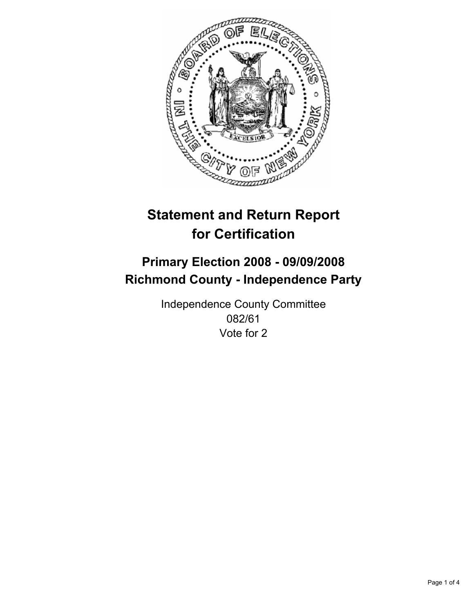

## **Primary Election 2008 - 09/09/2008 Richmond County - Independence Party**

Independence County Committee 082/61 Vote for 2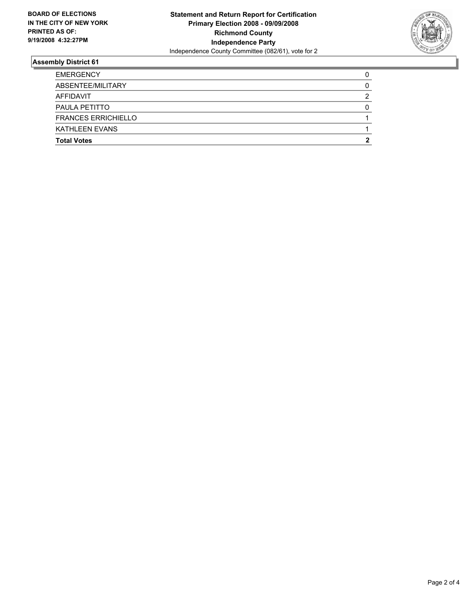

| <b>EMERGENCY</b>           |   |
|----------------------------|---|
| ABSENTEE/MILITARY          |   |
| AFFIDAVIT                  | າ |
| PAULA PETITTO              |   |
| <b>FRANCES ERRICHIELLO</b> |   |
| <b>KATHLEEN EVANS</b>      |   |
| <b>Total Votes</b>         |   |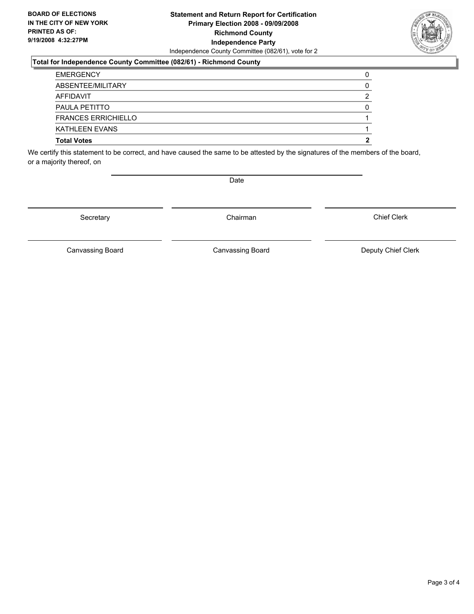#### **Statement and Return Report for Certification Primary Election 2008 - 09/09/2008 Richmond County Independence Party** Independence County Committee (082/61), vote for 2

#### **Total for Independence County Committee (082/61) - Richmond County**

| <b>Total Votes</b>         |   |
|----------------------------|---|
| <b>KATHLEEN EVANS</b>      |   |
| <b>FRANCES ERRICHIELLO</b> |   |
| PAULA PETITTO              |   |
| AFFIDAVIT                  | ◠ |
| ABSENTEE/MILITARY          |   |
| <b>EMERGENCY</b>           |   |

We certify this statement to be correct, and have caused the same to be attested by the signatures of the members of the board, or a majority thereof, on

Secretary **Chairman** 

Date

Chief Clerk

Canvassing Board **Canvassing Board** Canvassing Board **Deputy Chief Clerk** 

Canvassing Board

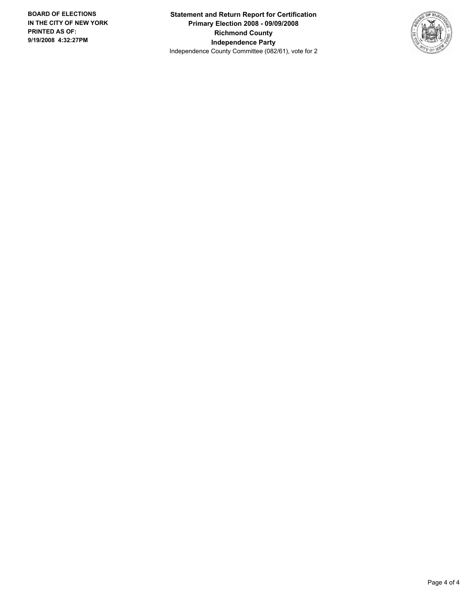**Statement and Return Report for Certification Primary Election 2008 - 09/09/2008 Richmond County Independence Party** Independence County Committee (082/61), vote for 2

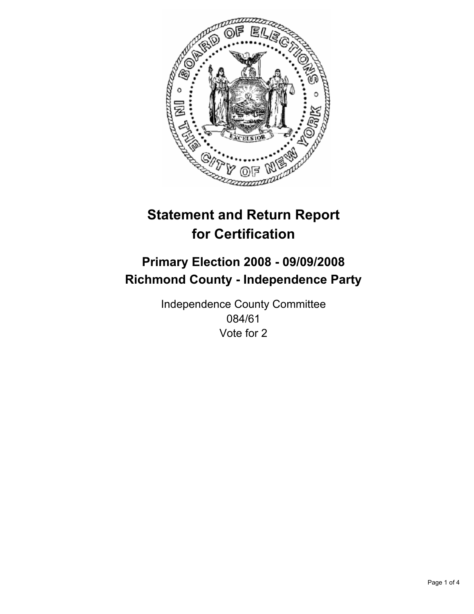

## **Primary Election 2008 - 09/09/2008 Richmond County - Independence Party**

Independence County Committee 084/61 Vote for 2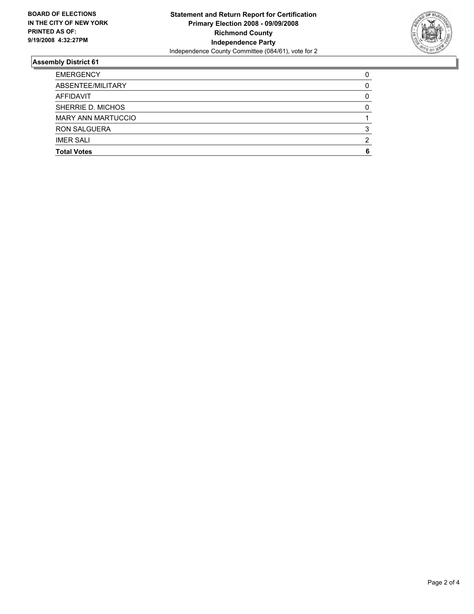

| <b>EMERGENCY</b>          |  |
|---------------------------|--|
| ABSENTEE/MILITARY         |  |
| AFFIDAVIT                 |  |
| SHERRIE D. MICHOS         |  |
| <b>MARY ANN MARTUCCIO</b> |  |
| <b>RON SALGUERA</b>       |  |
| <b>IMER SALI</b>          |  |
| <b>Total Votes</b>        |  |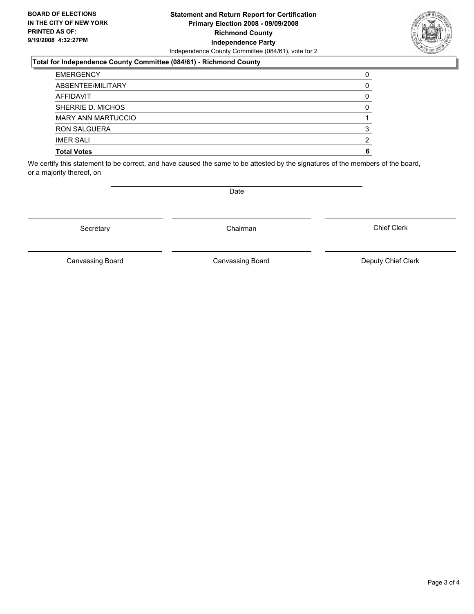#### **Statement and Return Report for Certification Primary Election 2008 - 09/09/2008 Richmond County Independence Party** Independence County Committee (084/61), vote for 2

#### **Total for Independence County Committee (084/61) - Richmond County**

| <b>Total Votes</b>        |  |
|---------------------------|--|
| <b>IMER SALI</b>          |  |
| <b>RON SALGUERA</b>       |  |
| <b>MARY ANN MARTUCCIO</b> |  |
| SHERRIE D. MICHOS         |  |
| AFFIDAVIT                 |  |
| ABSENTEE/MILITARY         |  |
| <b>EMERGENCY</b>          |  |

We certify this statement to be correct, and have caused the same to be attested by the signatures of the members of the board, or a majority thereof, on

Secretary **Chairman** 

Date

Canvassing Board **Canvassing Board** Canvassing Board **Deputy Chief Clerk** 

Chief Clerk

Canvassing Board

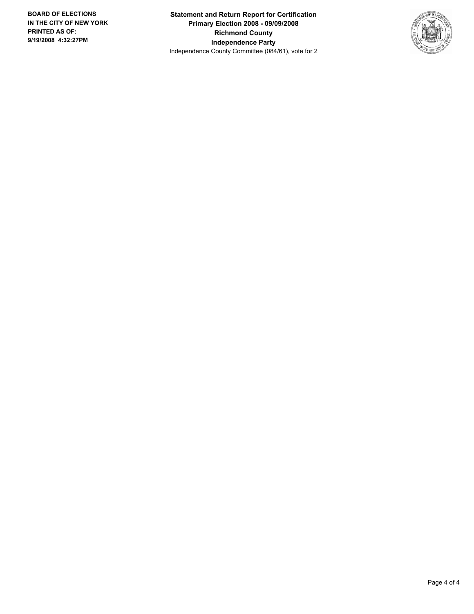**Statement and Return Report for Certification Primary Election 2008 - 09/09/2008 Richmond County Independence Party** Independence County Committee (084/61), vote for 2

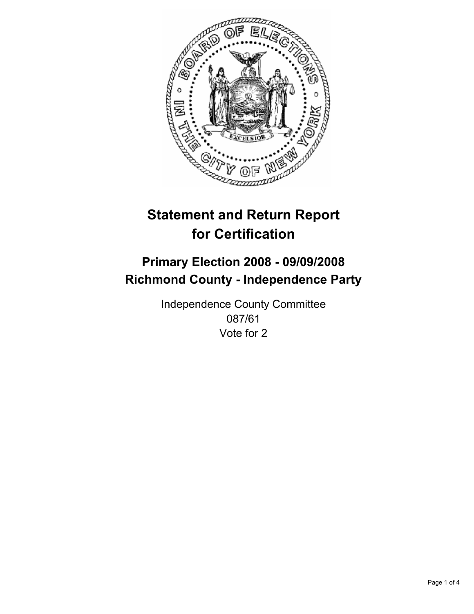

# **Primary Election 2008 - 09/09/2008 Richmond County - Independence Party**

Independence County Committee 087/61 Vote for 2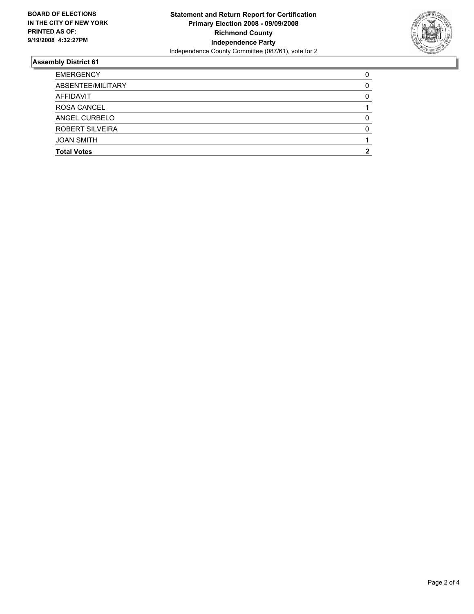

| <b>EMERGENCY</b>       |  |
|------------------------|--|
| ABSENTEE/MILITARY      |  |
| AFFIDAVIT              |  |
| <b>ROSA CANCEL</b>     |  |
| ANGEL CURBELO          |  |
| <b>ROBERT SILVEIRA</b> |  |
| <b>JOAN SMITH</b>      |  |
| <b>Total Votes</b>     |  |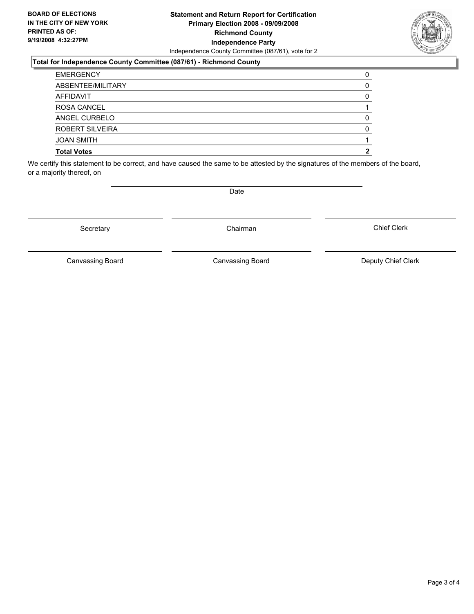#### **Statement and Return Report for Certification Primary Election 2008 - 09/09/2008 Richmond County Independence Party** Independence County Committee (087/61), vote for 2

### **Total for Independence County Committee (087/61) - Richmond County**

| <b>EMERGENCY</b>       |  |
|------------------------|--|
| ABSENTEE/MILITARY      |  |
| AFFIDAVIT              |  |
| <b>ROSA CANCEL</b>     |  |
| ANGEL CURBELO          |  |
| <b>ROBERT SILVEIRA</b> |  |
| <b>JOAN SMITH</b>      |  |
| <b>Total Votes</b>     |  |
|                        |  |

We certify this statement to be correct, and have caused the same to be attested by the signatures of the members of the board, or a majority thereof, on

Secretary **Chairman** 

Canvassing Board

Canvassing Board **Canvassing Board** Canvassing Board **Deputy Chief Clerk** 

Chief Clerk



Date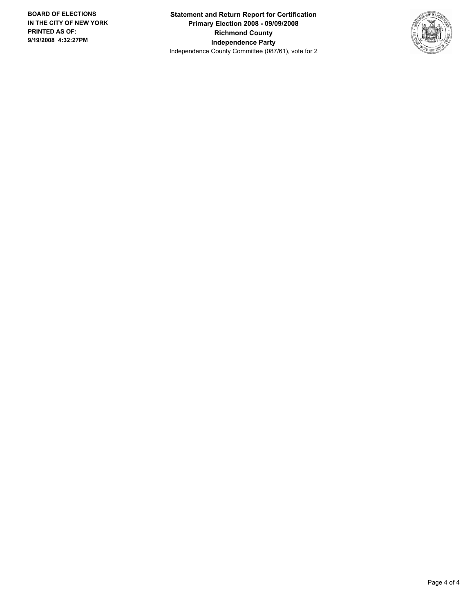**Statement and Return Report for Certification Primary Election 2008 - 09/09/2008 Richmond County Independence Party** Independence County Committee (087/61), vote for 2

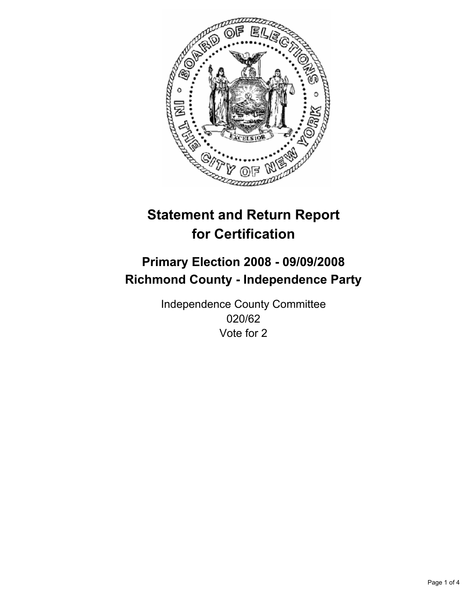

# **Primary Election 2008 - 09/09/2008 Richmond County - Independence Party**

Independence County Committee 020/62 Vote for 2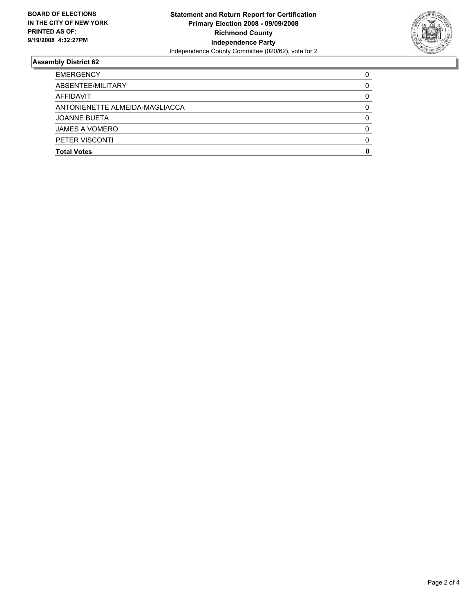

| <b>EMERGENCY</b>               |  |
|--------------------------------|--|
| ABSENTEE/MILITARY              |  |
| AFFIDAVIT                      |  |
| ANTONIENETTE ALMEIDA-MAGLIACCA |  |
| <b>JOANNE BUETA</b>            |  |
| JAMES A VOMERO                 |  |
| <b>PETER VISCONTI</b>          |  |
| <b>Total Votes</b>             |  |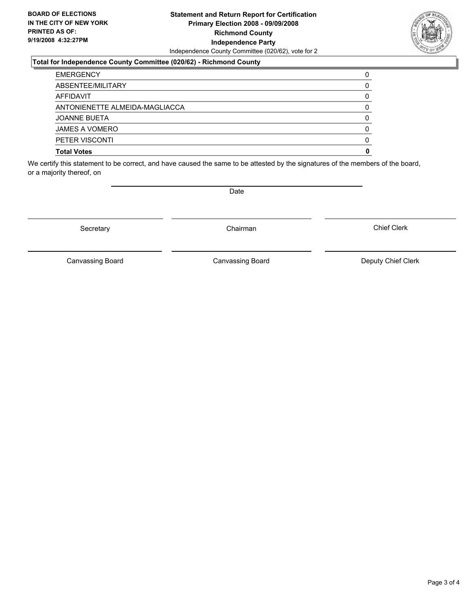#### **Statement and Return Report for Certification Primary Election 2008 - 09/09/2008 Richmond County Independence Party** Independence County Committee (020/62), vote for 2

#### **Total for Independence County Committee (020/62) - Richmond County**

| <b>EMERGENCY</b>               |  |
|--------------------------------|--|
| ABSENTEE/MILITARY              |  |
| AFFIDAVIT                      |  |
| ANTONIENETTE ALMEIDA-MAGLIACCA |  |
| <b>JOANNE BUETA</b>            |  |
| <b>JAMES A VOMERO</b>          |  |
| <b>PETER VISCONTI</b>          |  |
| <b>Total Votes</b>             |  |

We certify this statement to be correct, and have caused the same to be attested by the signatures of the members of the board, or a majority thereof, on

Secretary **Chairman** 

Canvassing Board **Canvassing Board** Canvassing Board **Deputy Chief Clerk** 

Chief Clerk

Canvassing Board



Date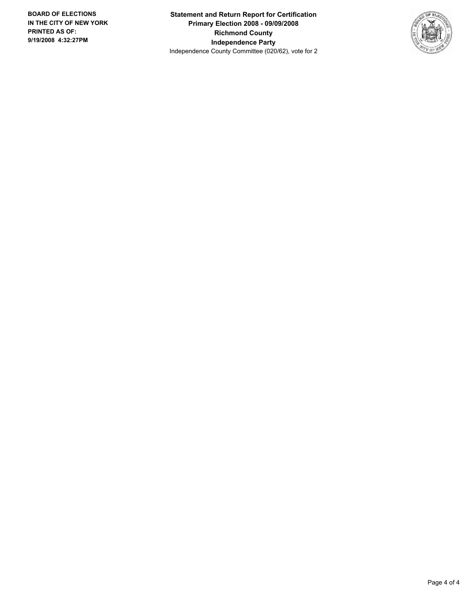**Statement and Return Report for Certification Primary Election 2008 - 09/09/2008 Richmond County Independence Party** Independence County Committee (020/62), vote for 2

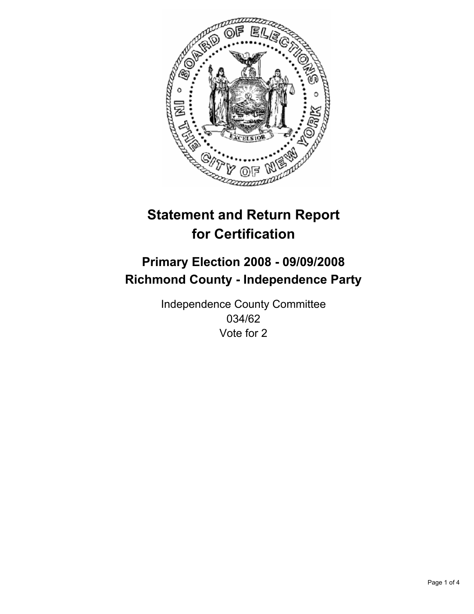

# **Primary Election 2008 - 09/09/2008 Richmond County - Independence Party**

Independence County Committee 034/62 Vote for 2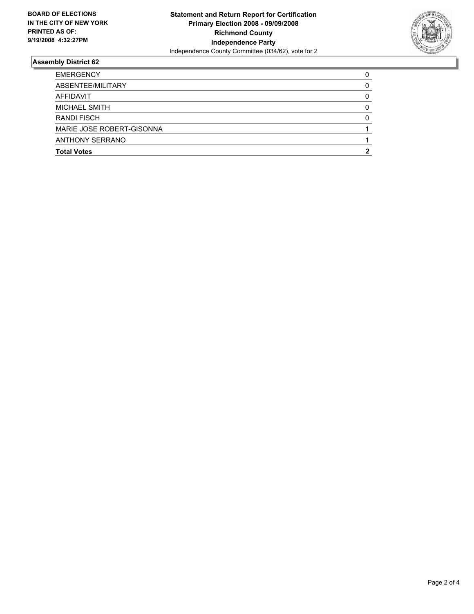

| <b>EMERGENCY</b>          |  |
|---------------------------|--|
| ABSENTEE/MILITARY         |  |
| AFFIDAVIT                 |  |
| <b>MICHAEL SMITH</b>      |  |
| <b>RANDI FISCH</b>        |  |
| MARIE JOSE ROBERT-GISONNA |  |
| <b>ANTHONY SERRANO</b>    |  |
| <b>Total Votes</b>        |  |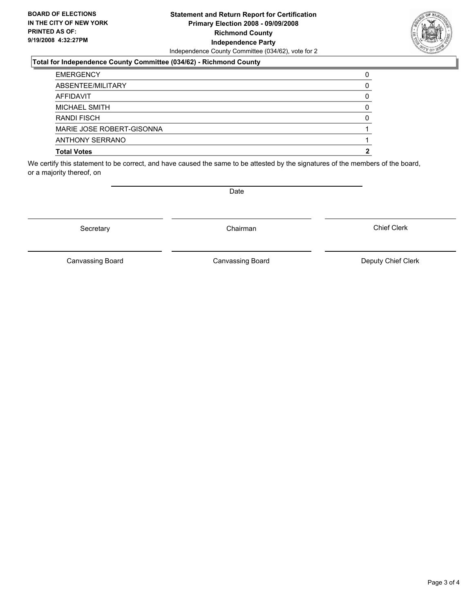#### **Statement and Return Report for Certification Primary Election 2008 - 09/09/2008 Richmond County Independence Party** Independence County Committee (034/62), vote for 2

### **Total for Independence County Committee (034/62) - Richmond County**

| <b>Total Votes</b>        |  |
|---------------------------|--|
| <b>ANTHONY SERRANO</b>    |  |
| MARIE JOSE ROBERT-GISONNA |  |
| <b>RANDI FISCH</b>        |  |
| <b>MICHAEL SMITH</b>      |  |
| AFFIDAVIT                 |  |
| ABSENTEE/MILITARY         |  |
| <b>EMERGENCY</b>          |  |

We certify this statement to be correct, and have caused the same to be attested by the signatures of the members of the board, or a majority thereof, on

Secretary **Chairman** 

Canvassing Board **Canvassing Board** Canvassing Board **Deputy Chief Clerk** 

Chief Clerk

Canvassing Board



Date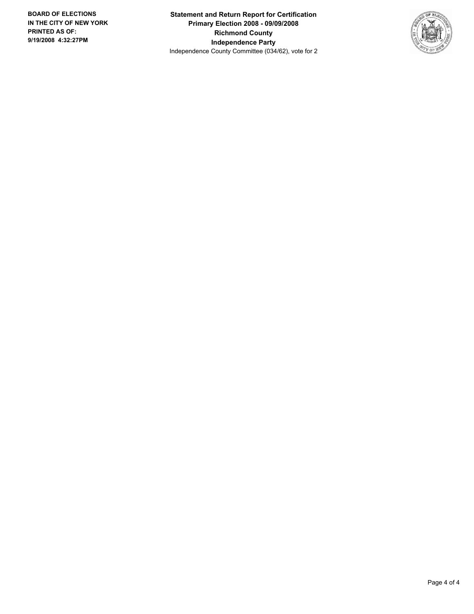**Statement and Return Report for Certification Primary Election 2008 - 09/09/2008 Richmond County Independence Party** Independence County Committee (034/62), vote for 2

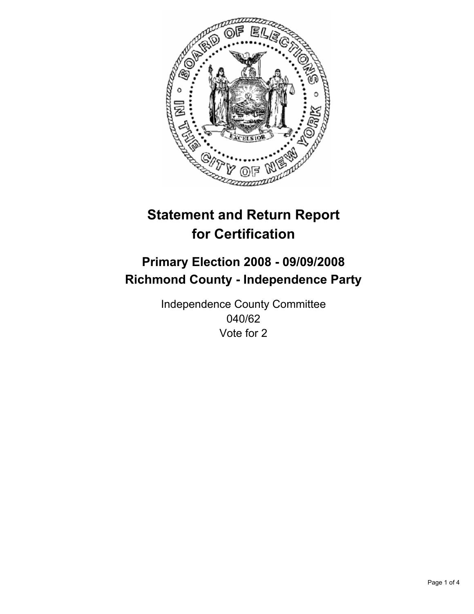

# **Primary Election 2008 - 09/09/2008 Richmond County - Independence Party**

Independence County Committee 040/62 Vote for 2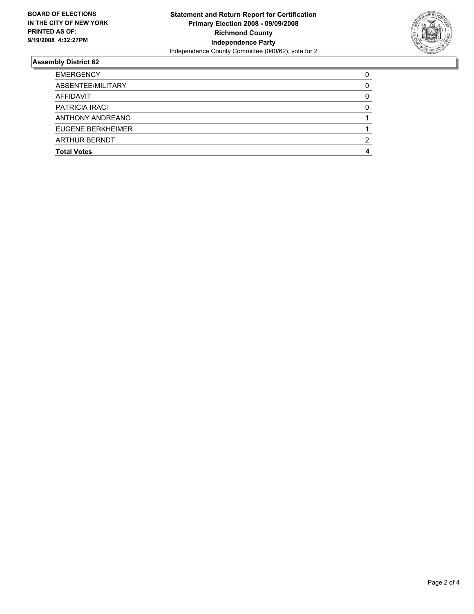

| <b>EMERGENCY</b>      |  |
|-----------------------|--|
| ABSENTEE/MILITARY     |  |
| AFFIDAVIT             |  |
| <b>PATRICIA IRACI</b> |  |
| ANTHONY ANDREANO      |  |
| EUGENE BERKHEIMER     |  |
| <b>ARTHUR BERNDT</b>  |  |
| <b>Total Votes</b>    |  |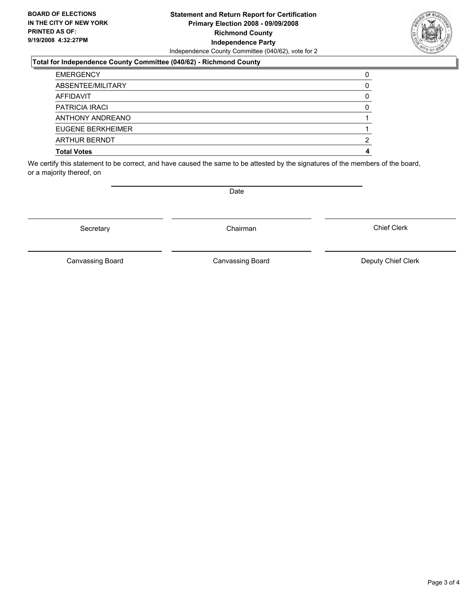#### **Statement and Return Report for Certification Primary Election 2008 - 09/09/2008 Richmond County Independence Party** Independence County Committee (040/62), vote for 2

#### **Total for Independence County Committee (040/62) - Richmond County**

| <b>EMERGENCY</b>      |  |
|-----------------------|--|
| ABSENTEE/MILITARY     |  |
| AFFIDAVIT             |  |
| <b>PATRICIA IRACI</b> |  |
| ANTHONY ANDREANO      |  |
| EUGENE BERKHEIMER     |  |
| <b>ARTHUR BERNDT</b>  |  |
| <b>Total Votes</b>    |  |

We certify this statement to be correct, and have caused the same to be attested by the signatures of the members of the board, or a majority thereof, on

Canvassing Board

Date

Canvassing Board **Canvassing Board** Canvassing Board **Deputy Chief Clerk** 

Chief Clerk



Secretary **Chairman**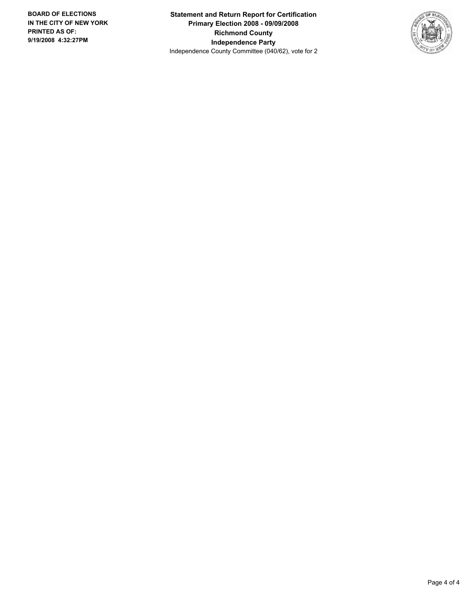**Statement and Return Report for Certification Primary Election 2008 - 09/09/2008 Richmond County Independence Party** Independence County Committee (040/62), vote for 2

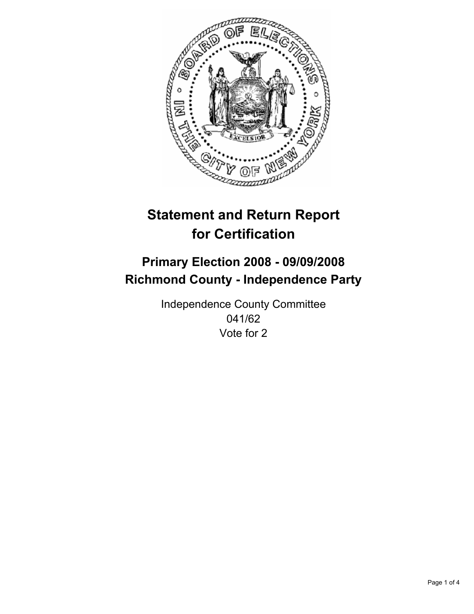

# **Primary Election 2008 - 09/09/2008 Richmond County - Independence Party**

Independence County Committee 041/62 Vote for 2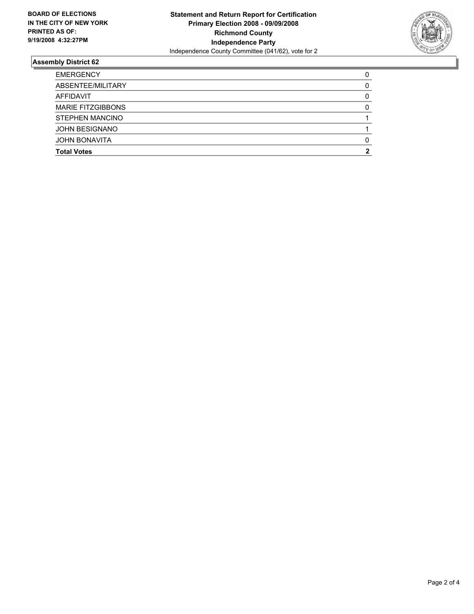

| <b>EMERGENCY</b>         |  |
|--------------------------|--|
| ABSENTEE/MILITARY        |  |
| AFFIDAVIT                |  |
| <b>MARIE FITZGIBBONS</b> |  |
| <b>STEPHEN MANCINO</b>   |  |
| <b>JOHN BESIGNANO</b>    |  |
| <b>JOHN BONAVITA</b>     |  |
| <b>Total Votes</b>       |  |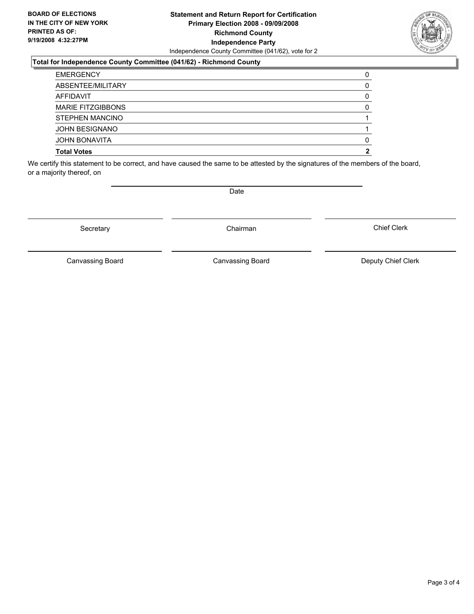#### **Statement and Return Report for Certification Primary Election 2008 - 09/09/2008 Richmond County Independence Party** Independence County Committee (041/62), vote for 2

### **Total for Independence County Committee (041/62) - Richmond County**

| <b>Total Votes</b>       |  |
|--------------------------|--|
| <b>JOHN BONAVITA</b>     |  |
| <b>JOHN BESIGNANO</b>    |  |
| STEPHEN MANCINO          |  |
| <b>MARIE FITZGIBBONS</b> |  |
| AFFIDAVIT                |  |
| ABSENTEE/MILITARY        |  |
| <b>EMERGENCY</b>         |  |

We certify this statement to be correct, and have caused the same to be attested by the signatures of the members of the board, or a majority thereof, on

Date

Canvassing Board **Canvassing Board** Canvassing Board **Deputy Chief Clerk** 

Chief Clerk

Canvassing Board



Secretary **Chairman**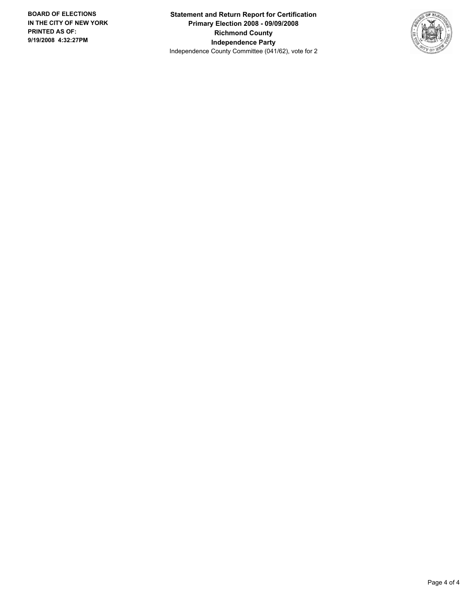**Statement and Return Report for Certification Primary Election 2008 - 09/09/2008 Richmond County Independence Party** Independence County Committee (041/62), vote for 2

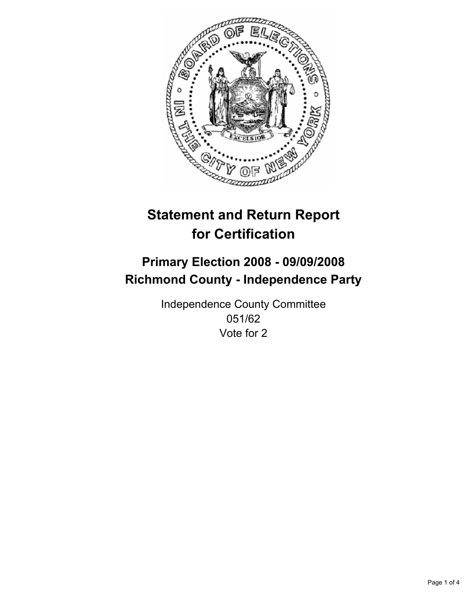

# **Primary Election 2008 - 09/09/2008 Richmond County - Independence Party**

Independence County Committee 051/62 Vote for 2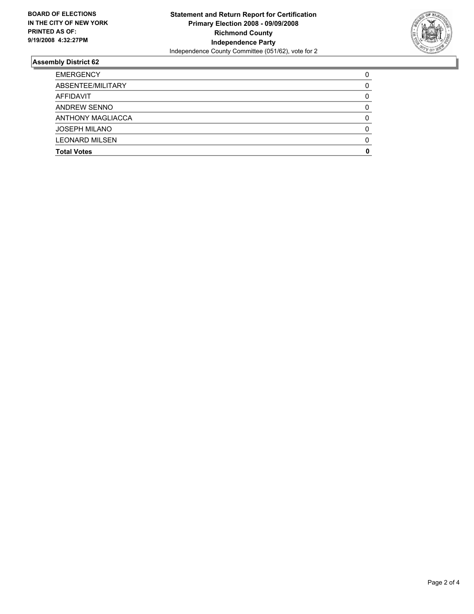

| <b>EMERGENCY</b>         |  |
|--------------------------|--|
| ABSENTEE/MILITARY        |  |
| AFFIDAVIT                |  |
| ANDREW SENNO             |  |
| <b>ANTHONY MAGLIACCA</b> |  |
| <b>JOSEPH MILANO</b>     |  |
| <b>LEONARD MILSEN</b>    |  |
| <b>Total Votes</b>       |  |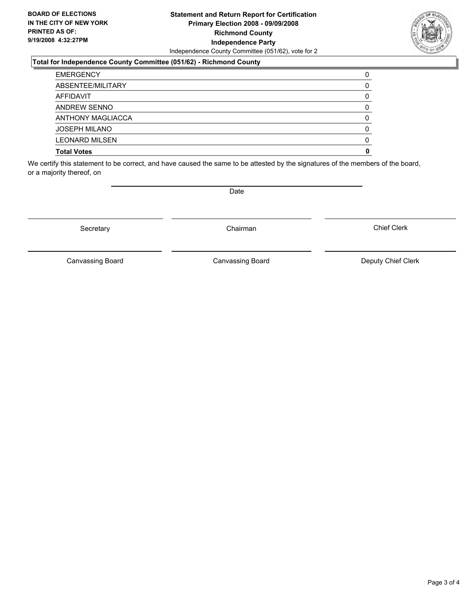#### **Statement and Return Report for Certification Primary Election 2008 - 09/09/2008 Richmond County Independence Party** Independence County Committee (051/62), vote for 2

### **Total for Independence County Committee (051/62) - Richmond County**

| <b>EMERGENCY</b>      |  |
|-----------------------|--|
| ABSENTEE/MILITARY     |  |
| AFFIDAVIT             |  |
| <b>ANDREW SENNO</b>   |  |
| ANTHONY MAGLIACCA     |  |
| <b>JOSEPH MILANO</b>  |  |
| <b>LEONARD MILSEN</b> |  |
| <b>Total Votes</b>    |  |

We certify this statement to be correct, and have caused the same to be attested by the signatures of the members of the board, or a majority thereof, on

Canvassing Board

Canvassing Board **Canvassing Board** Canvassing Board **Deputy Chief Clerk** 

Chief Clerk



Secretary **Chairman** 

Date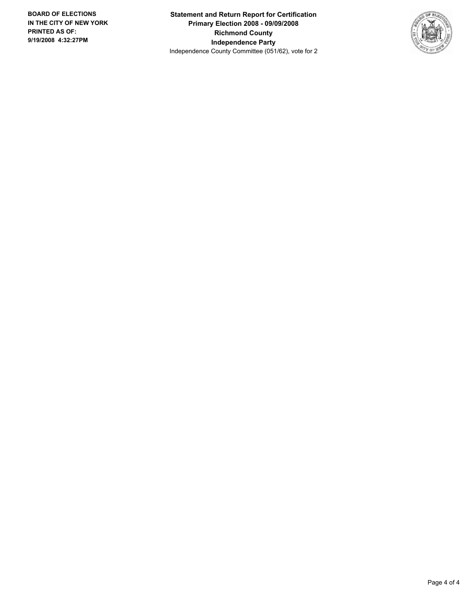**Statement and Return Report for Certification Primary Election 2008 - 09/09/2008 Richmond County Independence Party** Independence County Committee (051/62), vote for 2

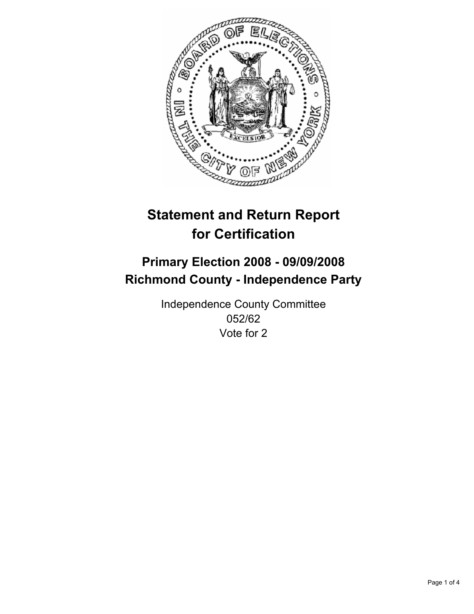

# **Primary Election 2008 - 09/09/2008 Richmond County - Independence Party**

Independence County Committee 052/62 Vote for 2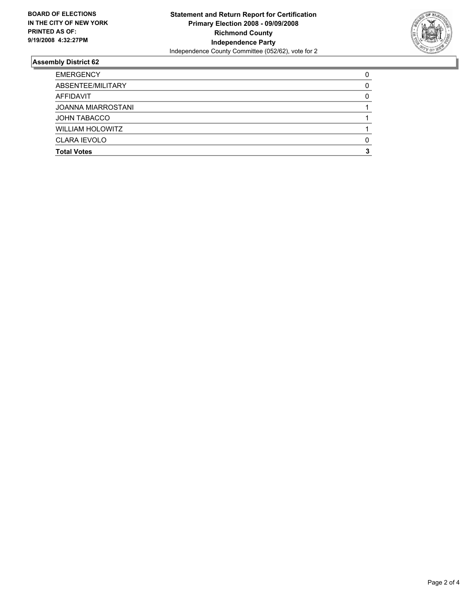

| <b>EMERGENCY</b>          |  |
|---------------------------|--|
| ABSENTEE/MILITARY         |  |
| AFFIDAVIT                 |  |
| <b>JOANNA MIARROSTANI</b> |  |
| <b>JOHN TABACCO</b>       |  |
| <b>WILLIAM HOLOWITZ</b>   |  |
| <b>CLARA IEVOLO</b>       |  |
| <b>Total Votes</b>        |  |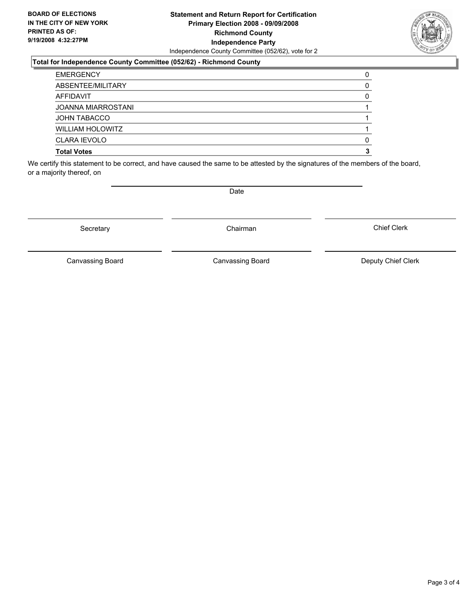#### **Statement and Return Report for Certification Primary Election 2008 - 09/09/2008 Richmond County Independence Party** Independence County Committee (052/62), vote for 2

#### **Total for Independence County Committee (052/62) - Richmond County**

| <b>Total Votes</b>        |  |
|---------------------------|--|
| <b>CLARA IEVOLO</b>       |  |
| <b>WILLIAM HOLOWITZ</b>   |  |
| <b>JOHN TABACCO</b>       |  |
| <b>JOANNA MIARROSTANI</b> |  |
| AFFIDAVIT                 |  |
| ABSENTEE/MILITARY         |  |
| <b>EMERGENCY</b>          |  |

We certify this statement to be correct, and have caused the same to be attested by the signatures of the members of the board, or a majority thereof, on

Date

Secretary **Chairman** 

Canvassing Board

Canvassing Board **Canvassing Board** Canvassing Board **Deputy Chief Clerk** 

Chief Clerk

Page 3 of 4

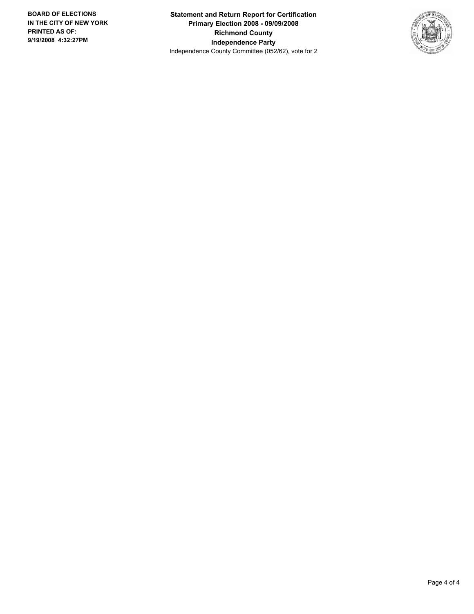**Statement and Return Report for Certification Primary Election 2008 - 09/09/2008 Richmond County Independence Party** Independence County Committee (052/62), vote for 2

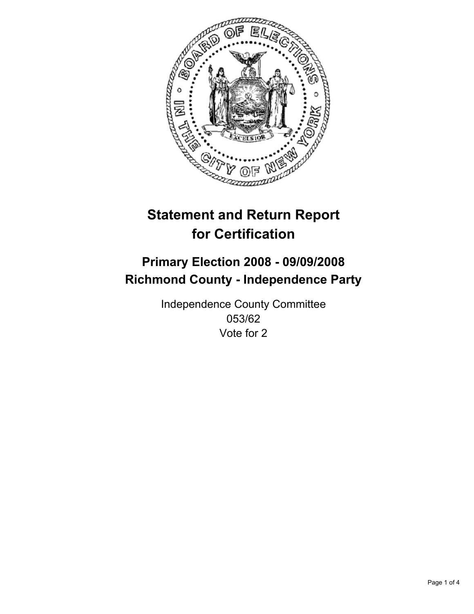

# **Primary Election 2008 - 09/09/2008 Richmond County - Independence Party**

Independence County Committee 053/62 Vote for 2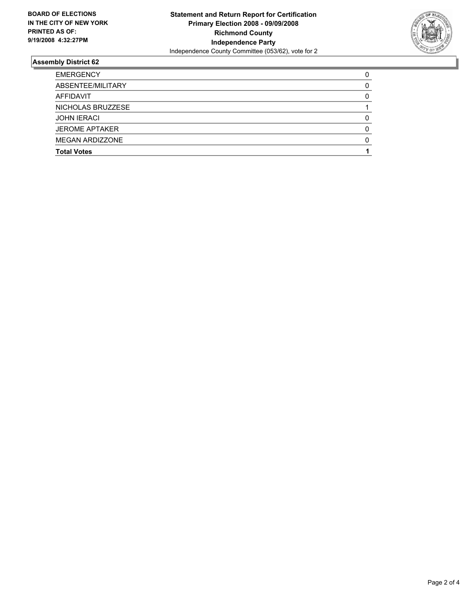

| <b>EMERGENCY</b>       |  |
|------------------------|--|
| ABSENTEE/MILITARY      |  |
| <b>AFFIDAVIT</b>       |  |
| NICHOLAS BRUZZESE      |  |
| <b>JOHN IERACI</b>     |  |
| <b>JEROME APTAKER</b>  |  |
| <b>MEGAN ARDIZZONE</b> |  |
| <b>Total Votes</b>     |  |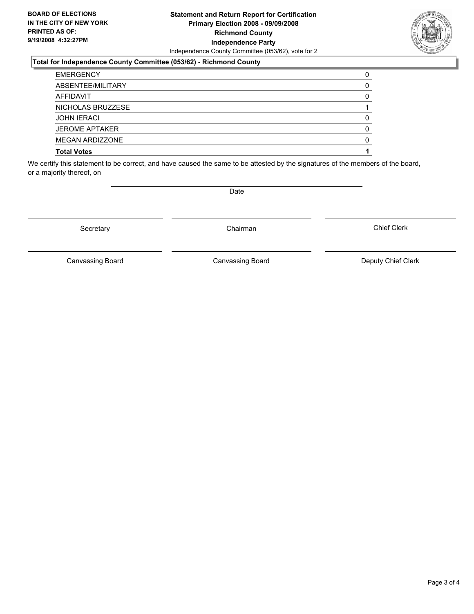#### **Statement and Return Report for Certification Primary Election 2008 - 09/09/2008 Richmond County Independence Party** Independence County Committee (053/62), vote for 2

### **Total for Independence County Committee (053/62) - Richmond County**

| <b>EMERGENCY</b>      |  |
|-----------------------|--|
| ABSENTEE/MILITARY     |  |
| AFFIDAVIT             |  |
| NICHOLAS BRUZZESE     |  |
| <b>JOHN IERACI</b>    |  |
| <b>JEROME APTAKER</b> |  |
| MEGAN ARDIZZONE       |  |
| <b>Total Votes</b>    |  |

We certify this statement to be correct, and have caused the same to be attested by the signatures of the members of the board, or a majority thereof, on

Secretary **Chairman** 

Canvassing Board

Date

Canvassing Board **Canvassing Board** Canvassing Board **Deputy Chief Clerk** 

Chief Clerk

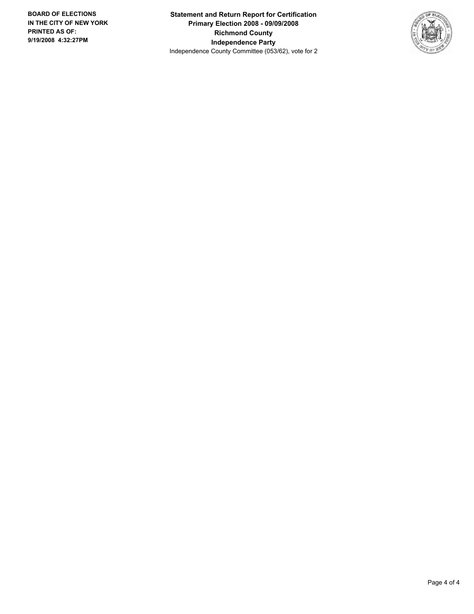**Statement and Return Report for Certification Primary Election 2008 - 09/09/2008 Richmond County Independence Party** Independence County Committee (053/62), vote for 2

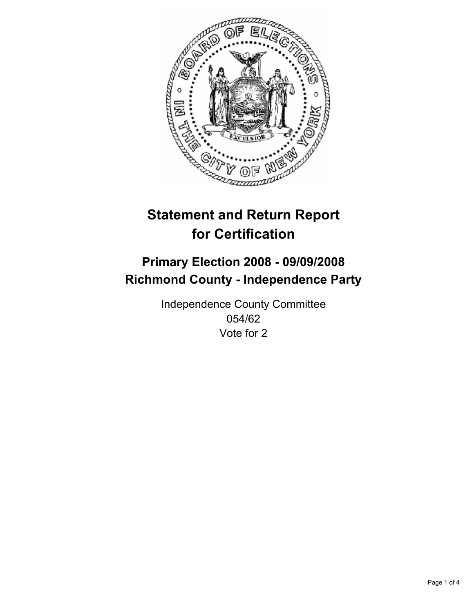

# **Primary Election 2008 - 09/09/2008 Richmond County - Independence Party**

Independence County Committee 054/62 Vote for 2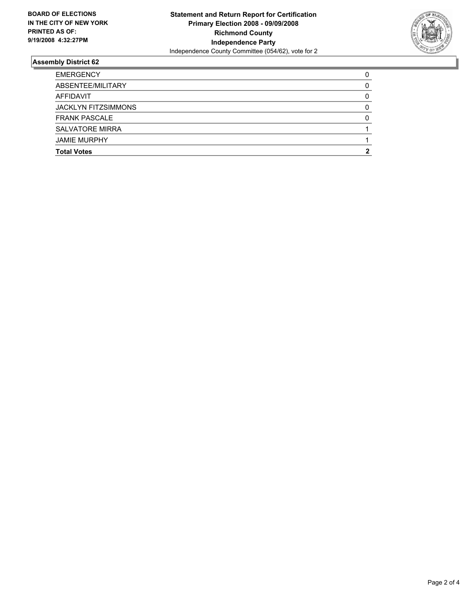

| <b>EMERGENCY</b>           |  |
|----------------------------|--|
| ABSENTEE/MILITARY          |  |
| AFFIDAVIT                  |  |
| <b>JACKLYN FITZSIMMONS</b> |  |
| <b>FRANK PASCALE</b>       |  |
| <b>SALVATORE MIRRA</b>     |  |
| <b>JAMIE MURPHY</b>        |  |
| <b>Total Votes</b>         |  |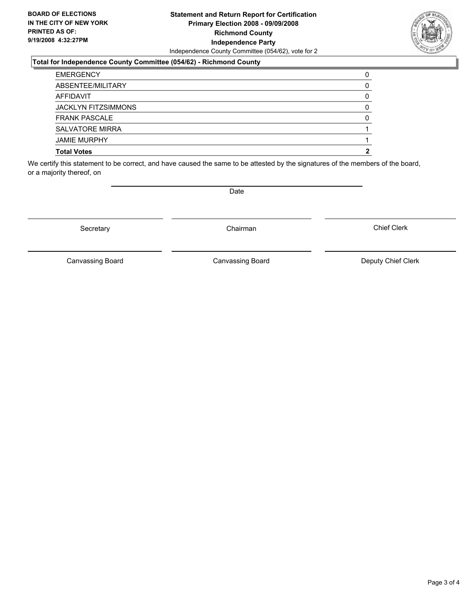#### **Statement and Return Report for Certification Primary Election 2008 - 09/09/2008 Richmond County Independence Party** Independence County Committee (054/62), vote for 2

### **Total for Independence County Committee (054/62) - Richmond County**

| <b>Total Votes</b>         |  |
|----------------------------|--|
| <b>JAMIE MURPHY</b>        |  |
| <b>SALVATORE MIRRA</b>     |  |
| <b>FRANK PASCALE</b>       |  |
| <b>JACKLYN FITZSIMMONS</b> |  |
| AFFIDAVIT                  |  |
| ABSENTEE/MILITARY          |  |
| <b>EMERGENCY</b>           |  |

We certify this statement to be correct, and have caused the same to be attested by the signatures of the members of the board, or a majority thereof, on

Secretary **Chairman** 

Canvassing Board **Canvassing Board** Canvassing Board **Deputy Chief Clerk** 

Chief Clerk

Canvassing Board



Date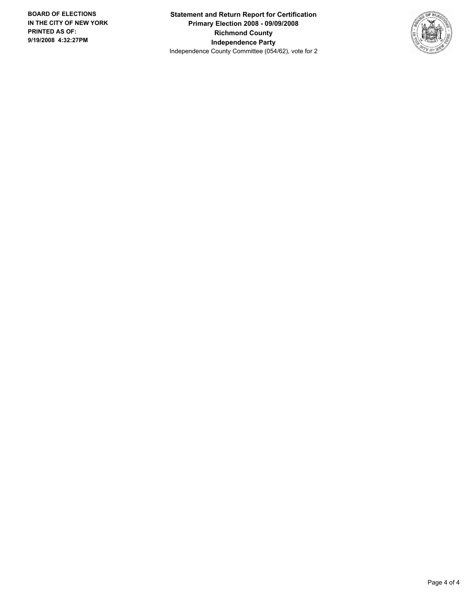**Statement and Return Report for Certification Primary Election 2008 - 09/09/2008 Richmond County Independence Party** Independence County Committee (054/62), vote for 2

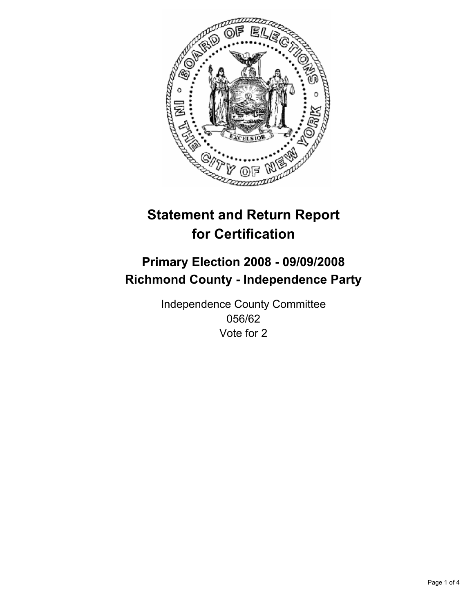

# **Primary Election 2008 - 09/09/2008 Richmond County - Independence Party**

Independence County Committee 056/62 Vote for 2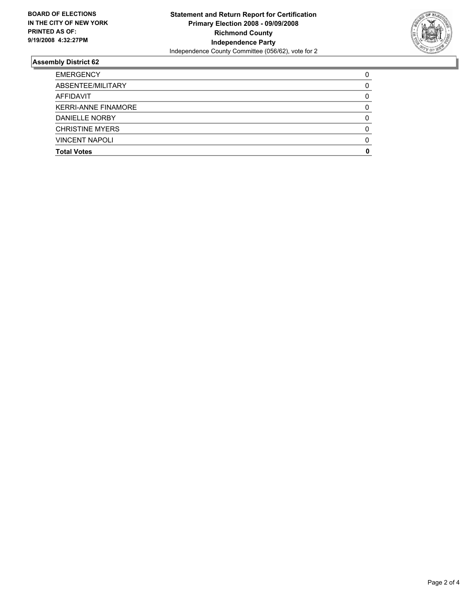

| <b>EMERGENCY</b>           |  |
|----------------------------|--|
| ABSENTEE/MILITARY          |  |
| AFFIDAVIT                  |  |
| <b>KERRI-ANNE FINAMORE</b> |  |
| DANIELLE NORBY             |  |
| <b>CHRISTINE MYERS</b>     |  |
| <b>VINCENT NAPOLI</b>      |  |
| <b>Total Votes</b>         |  |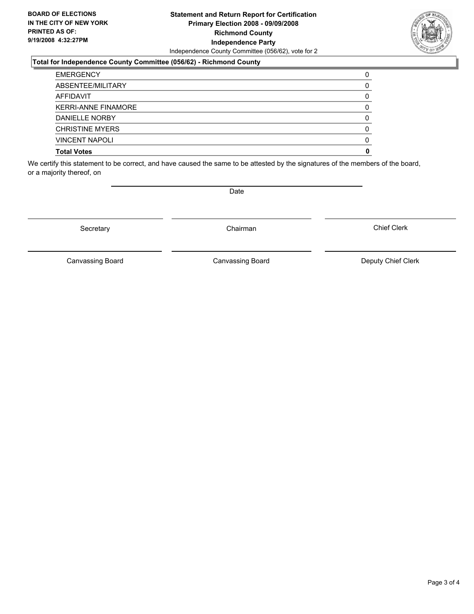#### **Statement and Return Report for Certification Primary Election 2008 - 09/09/2008 Richmond County Independence Party** Independence County Committee (056/62), vote for 2

### **Total for Independence County Committee (056/62) - Richmond County**

| <b>Total Votes</b>         |  |
|----------------------------|--|
| <b>VINCENT NAPOLI</b>      |  |
| <b>CHRISTINE MYERS</b>     |  |
| <b>DANIELLE NORBY</b>      |  |
| <b>KERRI-ANNE FINAMORE</b> |  |
| AFFIDAVIT                  |  |
| ABSENTEE/MILITARY          |  |
| <b>EMERGENCY</b>           |  |

We certify this statement to be correct, and have caused the same to be attested by the signatures of the members of the board, or a majority thereof, on

Secretary **Chairman** 

Canvassing Board **Canvassing Board** Canvassing Board **Deputy Chief Clerk** 

Chief Clerk

Canvassing Board



Date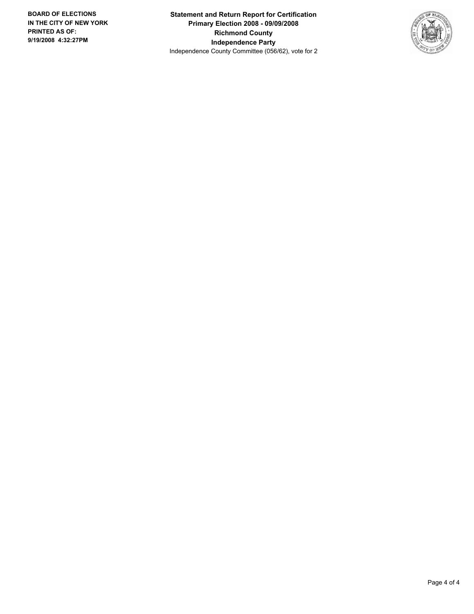**Statement and Return Report for Certification Primary Election 2008 - 09/09/2008 Richmond County Independence Party** Independence County Committee (056/62), vote for 2

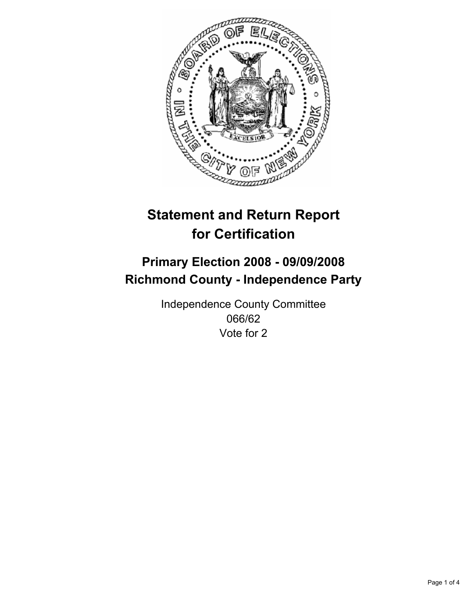

# **Primary Election 2008 - 09/09/2008 Richmond County - Independence Party**

Independence County Committee 066/62 Vote for 2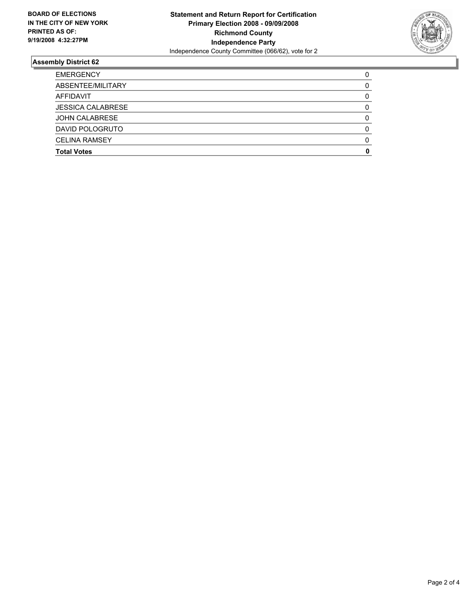

| <b>EMERGENCY</b>         |  |
|--------------------------|--|
| ABSENTEE/MILITARY        |  |
| AFFIDAVIT                |  |
| <b>JESSICA CALABRESE</b> |  |
| <b>JOHN CALABRESE</b>    |  |
| DAVID POLOGRUTO          |  |
| <b>CELINA RAMSEY</b>     |  |
| <b>Total Votes</b>       |  |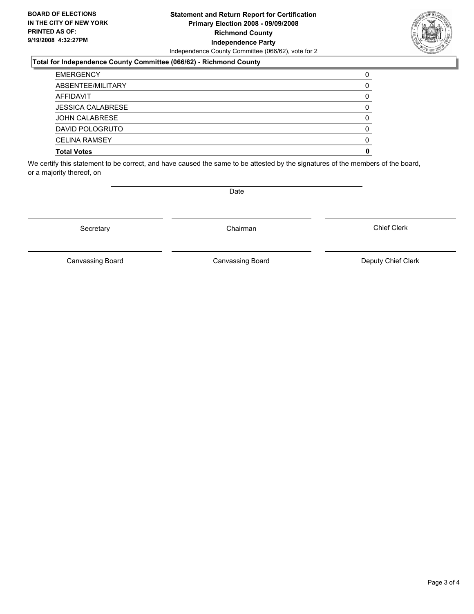#### **Statement and Return Report for Certification Primary Election 2008 - 09/09/2008 Richmond County Independence Party** Independence County Committee (066/62), vote for 2

### **Total for Independence County Committee (066/62) - Richmond County**

| <b>Total Votes</b>       |  |
|--------------------------|--|
| <b>CELINA RAMSEY</b>     |  |
| DAVID POLOGRUTO          |  |
| <b>JOHN CALABRESE</b>    |  |
| <b>JESSICA CALABRESE</b> |  |
| AFFIDAVIT                |  |
| ABSENTEE/MILITARY        |  |
| <b>EMERGENCY</b>         |  |

We certify this statement to be correct, and have caused the same to be attested by the signatures of the members of the board, or a majority thereof, on

Date

Secretary **Chairman** 

Canvassing Board

Canvassing Board **Canvassing Board** Canvassing Board **Deputy Chief Clerk** 

Chief Clerk

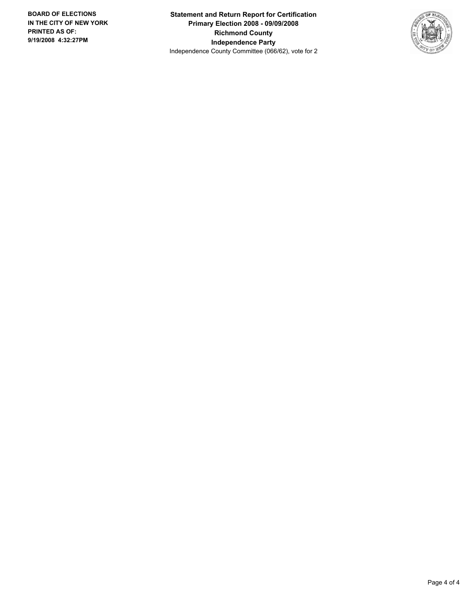**Statement and Return Report for Certification Primary Election 2008 - 09/09/2008 Richmond County Independence Party** Independence County Committee (066/62), vote for 2

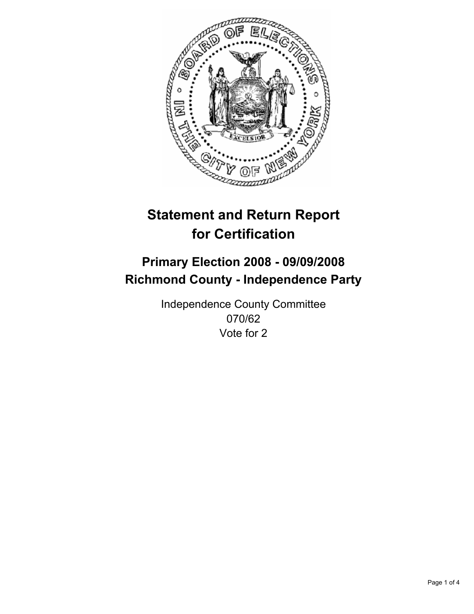

# **Primary Election 2008 - 09/09/2008 Richmond County - Independence Party**

Independence County Committee 070/62 Vote for 2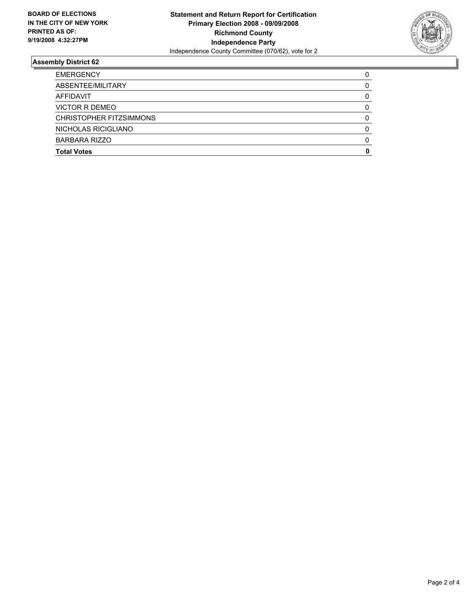

| <b>EMERGENCY</b>        |  |
|-------------------------|--|
| ABSENTEE/MILITARY       |  |
| AFFIDAVIT               |  |
| <b>VICTOR R DEMEO</b>   |  |
| CHRISTOPHER FITZSIMMONS |  |
| NICHOLAS RICIGLIANO     |  |
| BARBARA RIZZO           |  |
| <b>Total Votes</b>      |  |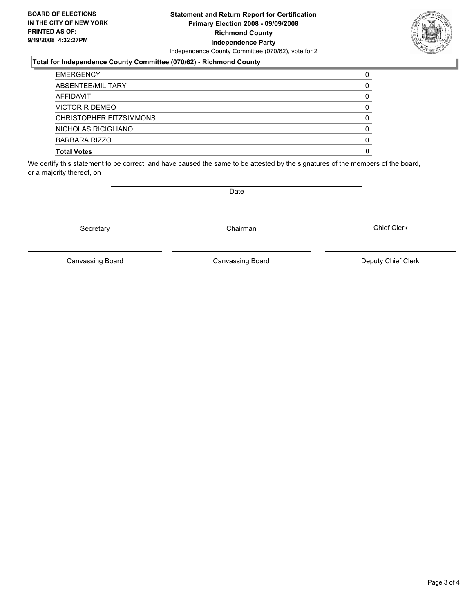#### **Statement and Return Report for Certification Primary Election 2008 - 09/09/2008 Richmond County Independence Party** Independence County Committee (070/62), vote for 2

### **Total for Independence County Committee (070/62) - Richmond County**

| <b>Total Votes</b>      |  |
|-------------------------|--|
| <b>BARBARA RIZZO</b>    |  |
| NICHOLAS RICIGLIANO     |  |
| CHRISTOPHER FITZSIMMONS |  |
| VICTOR R DEMEO          |  |
| AFFIDAVIT               |  |
| ABSENTEE/MILITARY       |  |
| <b>EMERGENCY</b>        |  |

We certify this statement to be correct, and have caused the same to be attested by the signatures of the members of the board, or a majority thereof, on

Secretary **Chairman** 

Canvassing Board

Canvassing Board **Canvassing Board** Canvassing Board **Deputy Chief Clerk** 

Chief Clerk



Date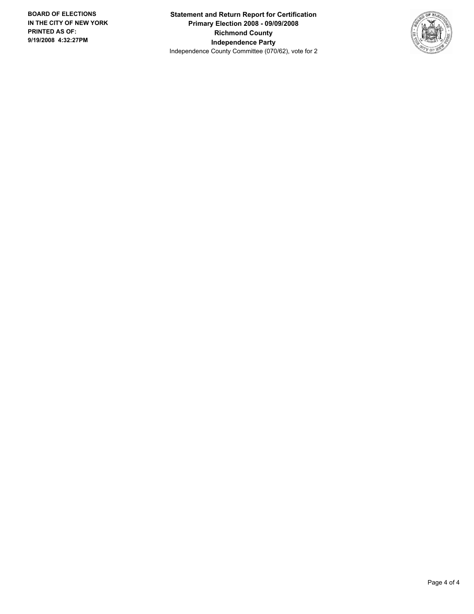**Statement and Return Report for Certification Primary Election 2008 - 09/09/2008 Richmond County Independence Party** Independence County Committee (070/62), vote for 2

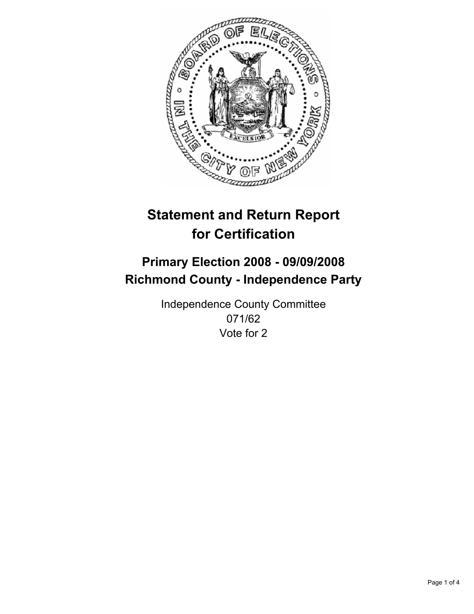

# **Primary Election 2008 - 09/09/2008 Richmond County - Independence Party**

Independence County Committee 071/62 Vote for 2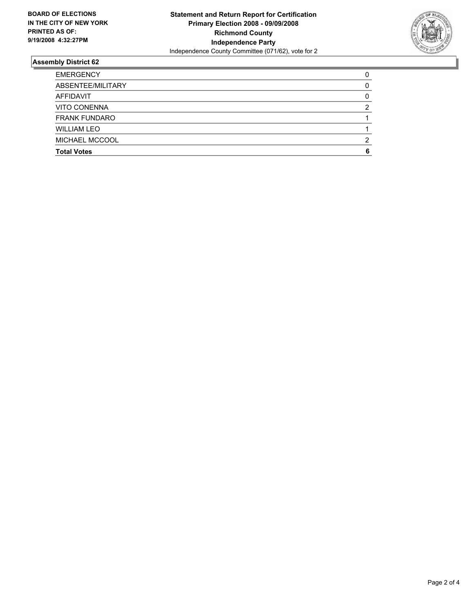

| <b>EMERGENCY</b>     |  |
|----------------------|--|
| ABSENTEE/MILITARY    |  |
| AFFIDAVIT            |  |
| <b>VITO CONENNA</b>  |  |
| <b>FRANK FUNDARO</b> |  |
| <b>WILLIAM LEO</b>   |  |
| MICHAEL MCCOOL       |  |
| <b>Total Votes</b>   |  |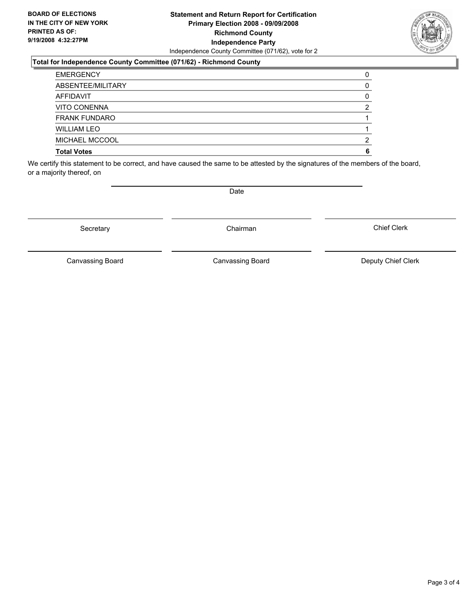#### **Statement and Return Report for Certification Primary Election 2008 - 09/09/2008 Richmond County Independence Party** Independence County Committee (071/62), vote for 2

### **Total for Independence County Committee (071/62) - Richmond County**

| <b>EMERGENCY</b>     |  |
|----------------------|--|
| ABSENTEE/MILITARY    |  |
| AFFIDAVIT            |  |
| VITO CONENNA         |  |
| <b>FRANK FUNDARO</b> |  |
| <b>WILLIAM LEO</b>   |  |
| MICHAEL MCCOOL       |  |
| <b>Total Votes</b>   |  |

We certify this statement to be correct, and have caused the same to be attested by the signatures of the members of the board, or a majority thereof, on

Date

Canvassing Board **Canvassing Board** Canvassing Board **Deputy Chief Clerk** 

Chief Clerk

Canvassing Board



Secretary **Chairman**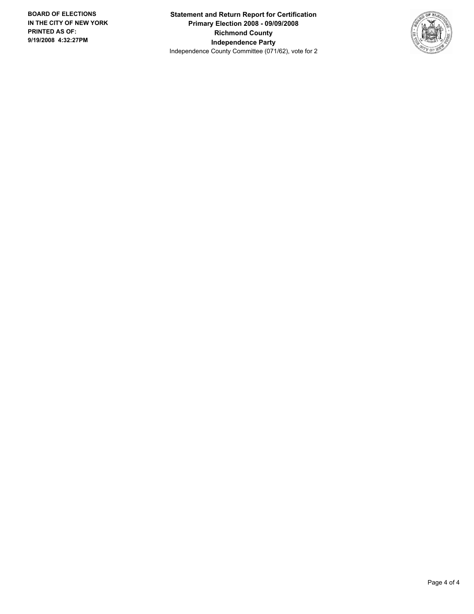**Statement and Return Report for Certification Primary Election 2008 - 09/09/2008 Richmond County Independence Party** Independence County Committee (071/62), vote for 2

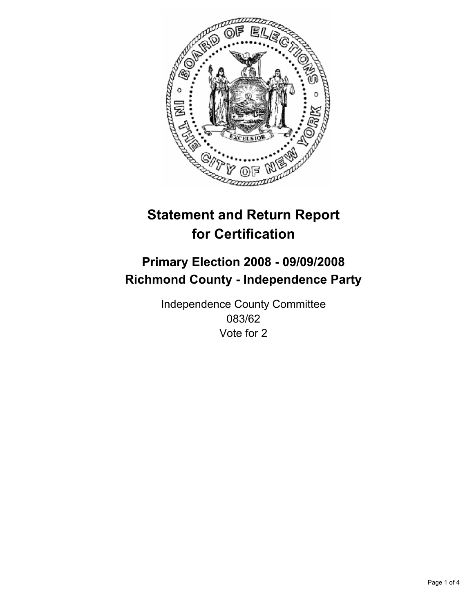

# **Primary Election 2008 - 09/09/2008 Richmond County - Independence Party**

Independence County Committee 083/62 Vote for 2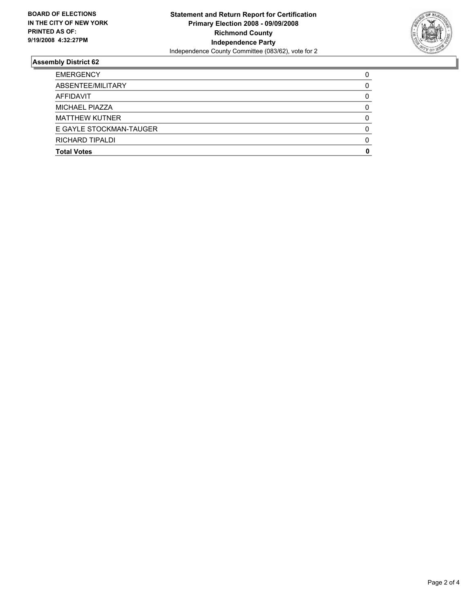

| <b>Total Votes</b>      |  |
|-------------------------|--|
| RICHARD TIPALDI         |  |
| E GAYLE STOCKMAN-TAUGER |  |
| <b>MATTHEW KUTNER</b>   |  |
| MICHAEL PIAZZA          |  |
| AFFIDAVIT               |  |
| ABSENTEE/MILITARY       |  |
| <b>EMERGENCY</b>        |  |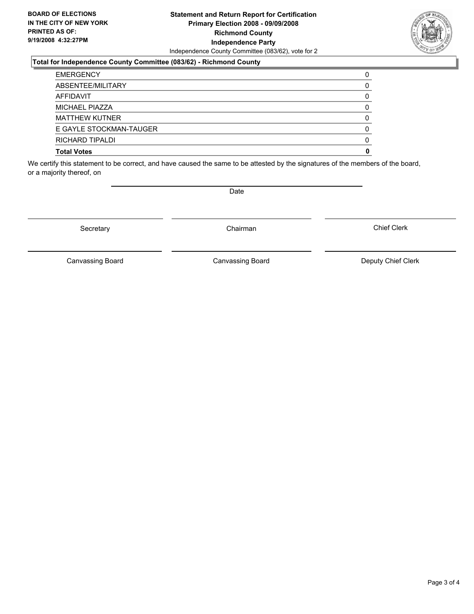#### **Statement and Return Report for Certification Primary Election 2008 - 09/09/2008 Richmond County Independence Party** Independence County Committee (083/62), vote for 2

### **Total for Independence County Committee (083/62) - Richmond County**

| <b>EMERGENCY</b>        |  |
|-------------------------|--|
| ABSENTEE/MILITARY       |  |
| AFFIDAVIT               |  |
| MICHAEL PIAZZA          |  |
| <b>MATTHEW KUTNER</b>   |  |
| E GAYLE STOCKMAN-TAUGER |  |
| RICHARD TIPALDI         |  |
| <b>Total Votes</b>      |  |

We certify this statement to be correct, and have caused the same to be attested by the signatures of the members of the board, or a majority thereof, on

Secretary **Chairman** 

Canvassing Board

Canvassing Board **Canvassing Board** Canvassing Board **Deputy Chief Clerk** 

Chief Clerk



Date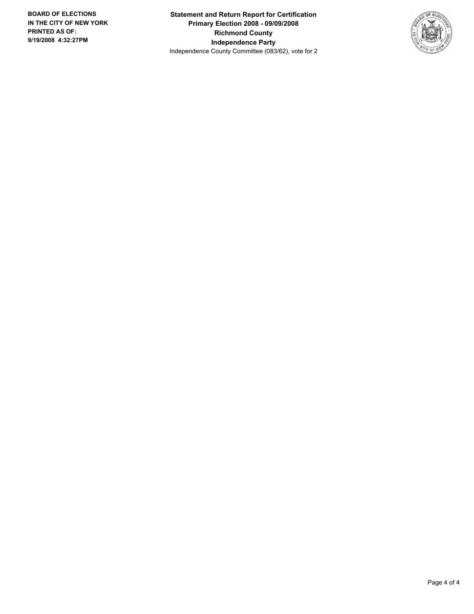**Statement and Return Report for Certification Primary Election 2008 - 09/09/2008 Richmond County Independence Party** Independence County Committee (083/62), vote for 2

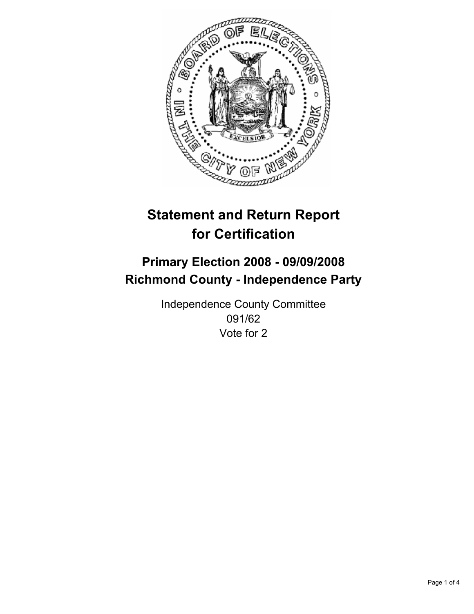

# **Primary Election 2008 - 09/09/2008 Richmond County - Independence Party**

Independence County Committee 091/62 Vote for 2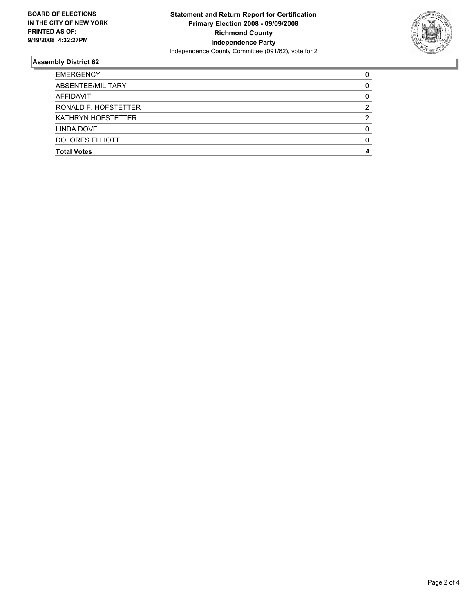

| <b>EMERGENCY</b>          |  |
|---------------------------|--|
| ABSENTEE/MILITARY         |  |
| AFFIDAVIT                 |  |
| RONALD F. HOFSTETTER      |  |
| <b>KATHRYN HOFSTETTER</b> |  |
| LINDA DOVE                |  |
| <b>DOLORES ELLIOTT</b>    |  |
| <b>Total Votes</b>        |  |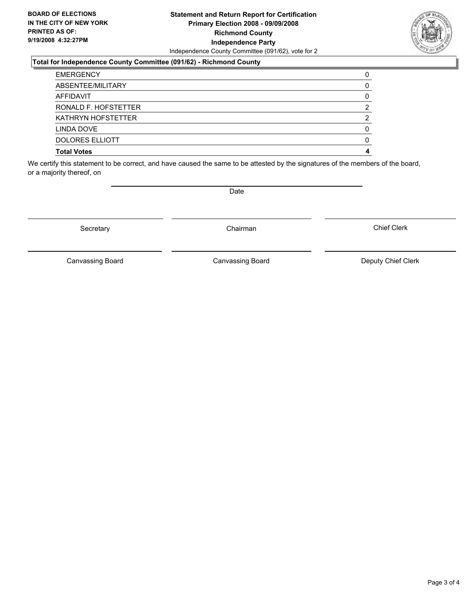#### **Statement and Return Report for Certification Primary Election 2008 - 09/09/2008 Richmond County Independence Party** Independence County Committee (091/62), vote for 2

#### **Total for Independence County Committee (091/62) - Richmond County**

| <b>Total Votes</b>        |  |
|---------------------------|--|
| DOLORES ELLIOTT           |  |
| LINDA DOVE                |  |
| <b>KATHRYN HOFSTETTER</b> |  |
| RONALD F. HOFSTETTER      |  |
| AFFIDAVIT                 |  |
| ABSENTEE/MILITARY         |  |
| <b>EMERGENCY</b>          |  |

We certify this statement to be correct, and have caused the same to be attested by the signatures of the members of the board, or a majority thereof, on

Secretary **Chairman** 

Date

Chief Clerk

Canvassing Board



Canvassing Board **Canvassing Board** Canvassing Board **Deputy Chief Clerk**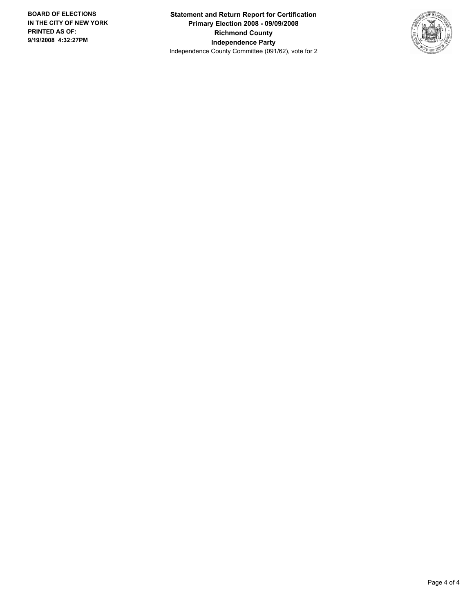**Statement and Return Report for Certification Primary Election 2008 - 09/09/2008 Richmond County Independence Party** Independence County Committee (091/62), vote for 2

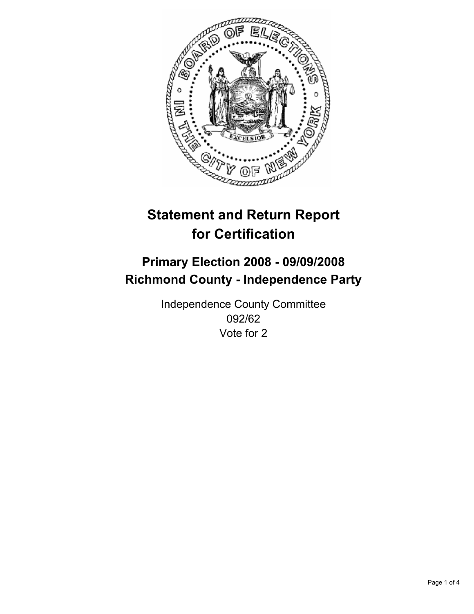

# **Primary Election 2008 - 09/09/2008 Richmond County - Independence Party**

Independence County Committee 092/62 Vote for 2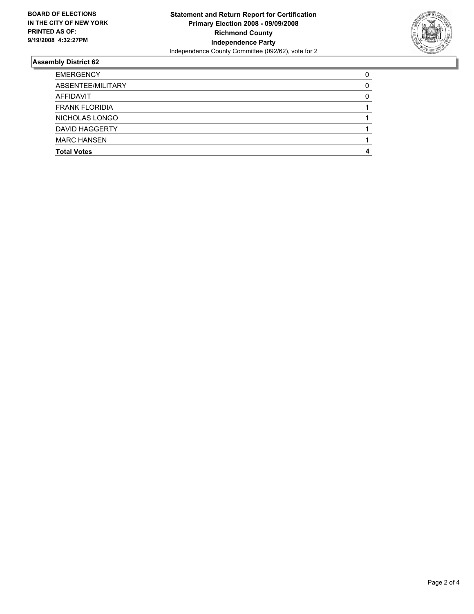

| <b>EMERGENCY</b>      |  |
|-----------------------|--|
| ABSENTEE/MILITARY     |  |
| AFFIDAVIT             |  |
| <b>FRANK FLORIDIA</b> |  |
| NICHOLAS LONGO        |  |
| <b>DAVID HAGGERTY</b> |  |
| <b>MARC HANSEN</b>    |  |
| <b>Total Votes</b>    |  |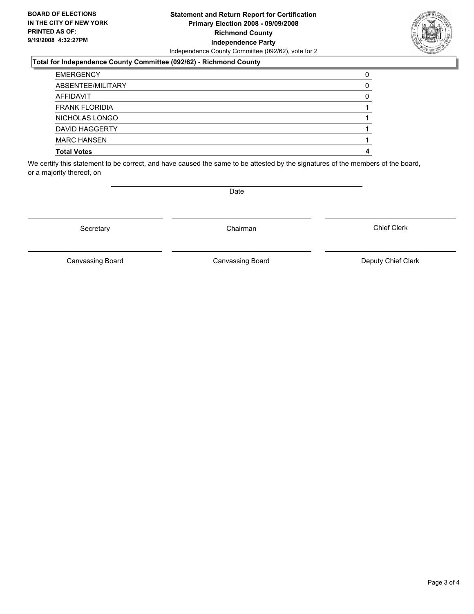#### **Statement and Return Report for Certification Primary Election 2008 - 09/09/2008 Richmond County Independence Party** Independence County Committee (092/62), vote for 2

#### **Total for Independence County Committee (092/62) - Richmond County**

| <b>EMERGENCY</b>      |  |
|-----------------------|--|
| ABSENTEE/MILITARY     |  |
| AFFIDAVIT             |  |
| <b>FRANK FLORIDIA</b> |  |
| NICHOLAS LONGO        |  |
| <b>DAVID HAGGERTY</b> |  |
| <b>MARC HANSEN</b>    |  |
| <b>Total Votes</b>    |  |

We certify this statement to be correct, and have caused the same to be attested by the signatures of the members of the board, or a majority thereof, on

Secretary **Chairman** 

Canvassing Board

Canvassing Board **Canvassing Board** Canvassing Board **Deputy Chief Clerk** 

Chief Clerk



Date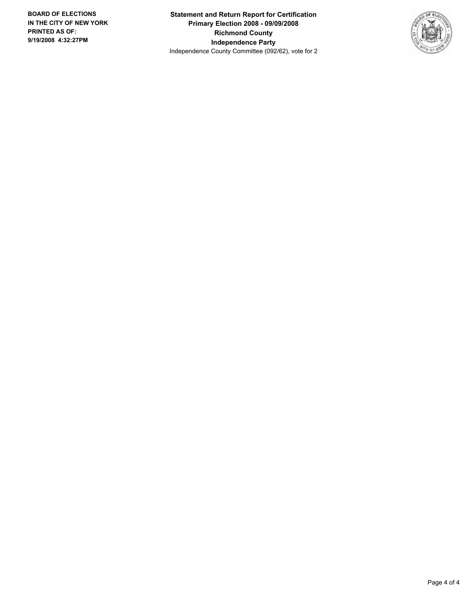**Statement and Return Report for Certification Primary Election 2008 - 09/09/2008 Richmond County Independence Party** Independence County Committee (092/62), vote for 2

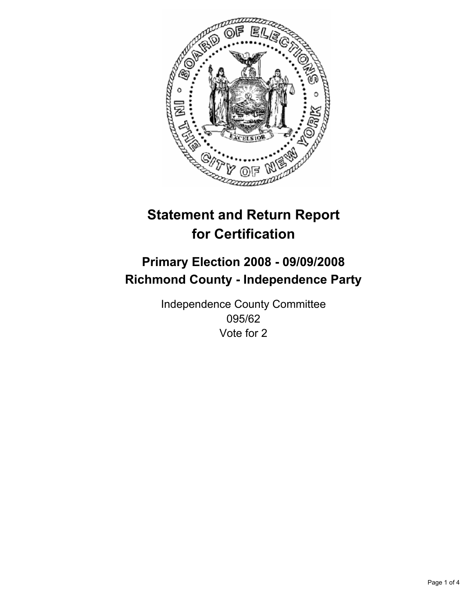

# **Primary Election 2008 - 09/09/2008 Richmond County - Independence Party**

Independence County Committee 095/62 Vote for 2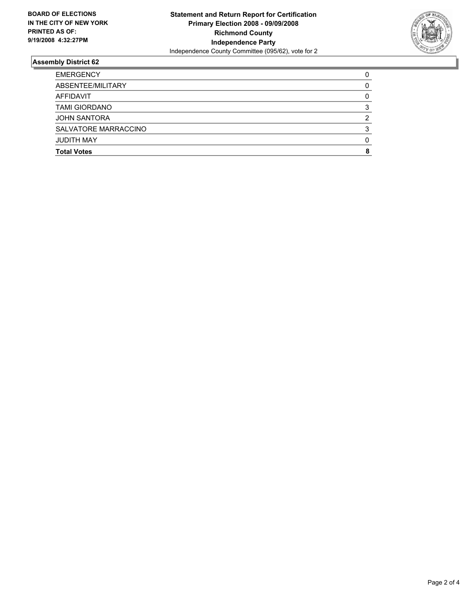

| <b>EMERGENCY</b>     |  |
|----------------------|--|
| ABSENTEE/MILITARY    |  |
| AFFIDAVIT            |  |
| <b>TAMI GIORDANO</b> |  |
| <b>JOHN SANTORA</b>  |  |
| SALVATORE MARRACCINO |  |
| <b>JUDITH MAY</b>    |  |
| <b>Total Votes</b>   |  |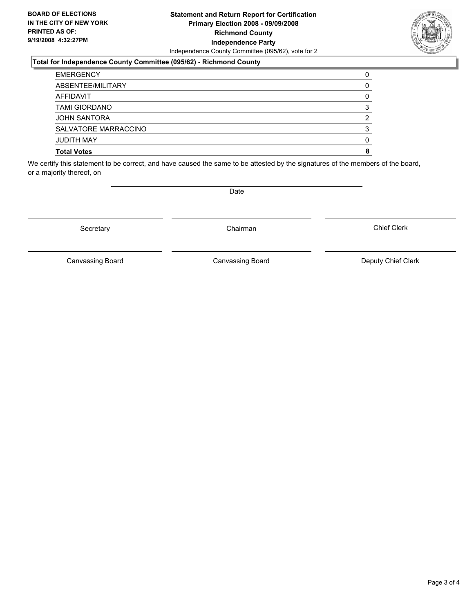#### **Statement and Return Report for Certification Primary Election 2008 - 09/09/2008 Richmond County Independence Party** Independence County Committee (095/62), vote for 2

### **Total for Independence County Committee (095/62) - Richmond County**

| <b>EMERGENCY</b>     |  |
|----------------------|--|
| ABSENTEE/MILITARY    |  |
| AFFIDAVIT            |  |
| <b>TAMI GIORDANO</b> |  |
| JOHN SANTORA         |  |
| SALVATORE MARRACCINO |  |
| <b>JUDITH MAY</b>    |  |
| <b>Total Votes</b>   |  |
|                      |  |

We certify this statement to be correct, and have caused the same to be attested by the signatures of the members of the board, or a majority thereof, on

Secretary **Chairman** 

Canvassing Board **Canvassing Board** Canvassing Board **Deputy Chief Clerk** 

Chief Clerk

Canvassing Board

Date

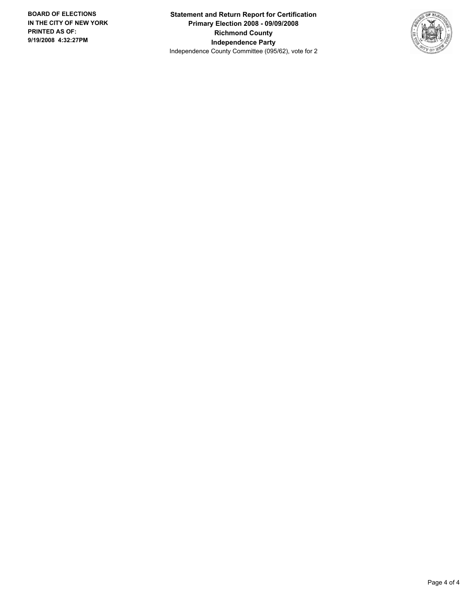**Statement and Return Report for Certification Primary Election 2008 - 09/09/2008 Richmond County Independence Party** Independence County Committee (095/62), vote for 2

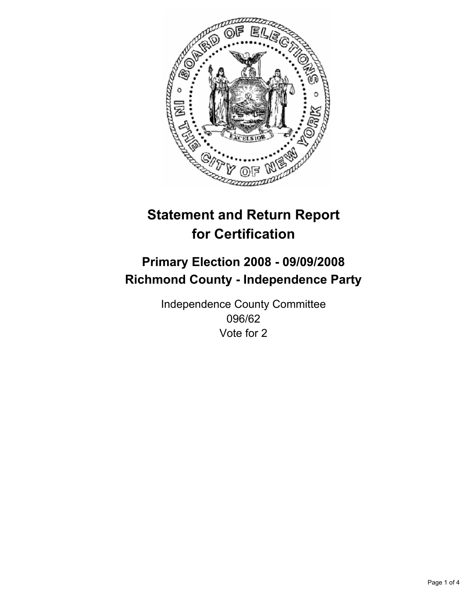

# **Primary Election 2008 - 09/09/2008 Richmond County - Independence Party**

Independence County Committee 096/62 Vote for 2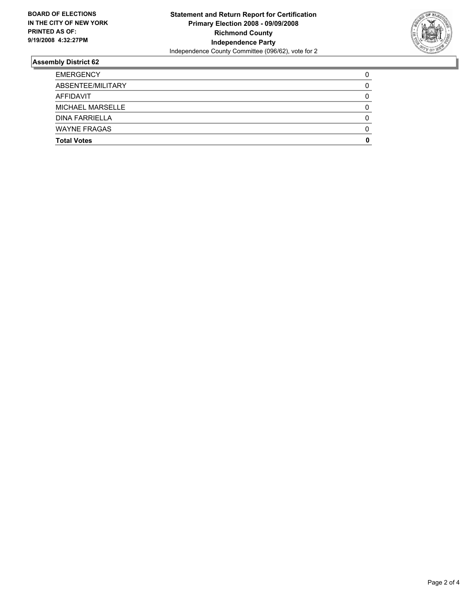

| <b>EMERGENCY</b>        |  |
|-------------------------|--|
| ABSENTEE/MILITARY       |  |
| AFFIDAVIT               |  |
| <b>MICHAEL MARSELLE</b> |  |
| <b>DINA FARRIELLA</b>   |  |
| <b>WAYNE FRAGAS</b>     |  |
| <b>Total Votes</b>      |  |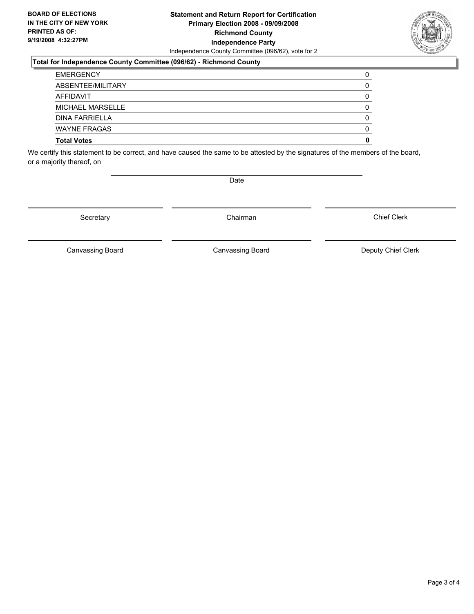#### **Statement and Return Report for Certification Primary Election 2008 - 09/09/2008 Richmond County Independence Party** Independence County Committee (096/62), vote for 2

#### **Total for Independence County Committee (096/62) - Richmond County**

| <b>Total Votes</b>      |  |
|-------------------------|--|
| <b>WAYNE FRAGAS</b>     |  |
| <b>DINA FARRIELLA</b>   |  |
| <b>MICHAEL MARSELLE</b> |  |
| AFFIDAVIT               |  |
| ABSENTEE/MILITARY       |  |
| <b>EMERGENCY</b>        |  |

We certify this statement to be correct, and have caused the same to be attested by the signatures of the members of the board, or a majority thereof, on

Secretary **Chairman** 

Chief Clerk

Canvassing Board **Canvassing Board** Canvassing Board **Deputy Chief Clerk** 

Canvassing Board



Date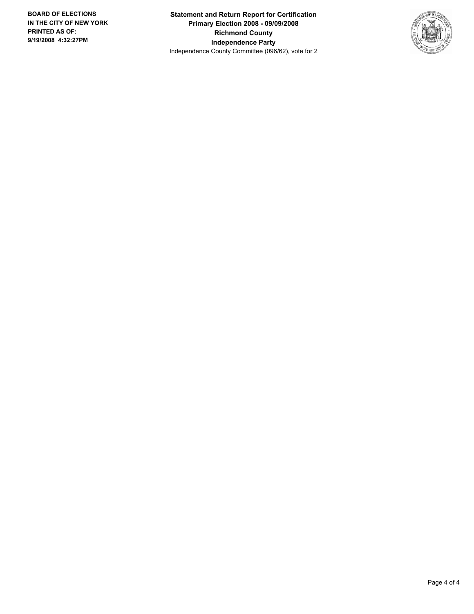**Statement and Return Report for Certification Primary Election 2008 - 09/09/2008 Richmond County Independence Party** Independence County Committee (096/62), vote for 2

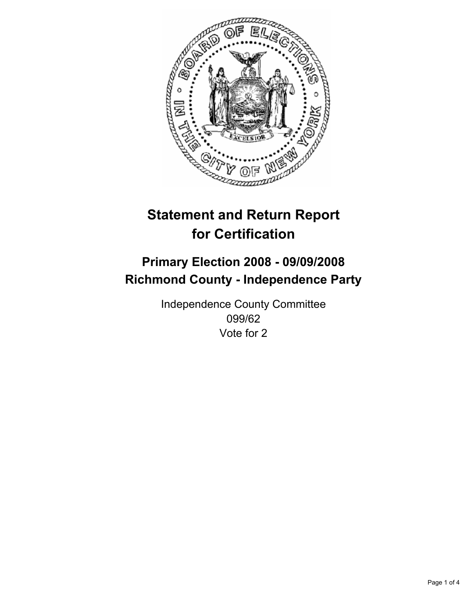

# **Primary Election 2008 - 09/09/2008 Richmond County - Independence Party**

Independence County Committee 099/62 Vote for 2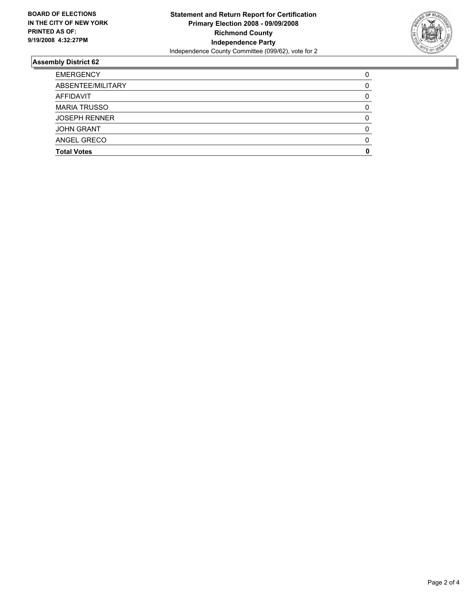

| <b>EMERGENCY</b>     |  |
|----------------------|--|
| ABSENTEE/MILITARY    |  |
| <b>AFFIDAVIT</b>     |  |
| <b>MARIA TRUSSO</b>  |  |
| <b>JOSEPH RENNER</b> |  |
| <b>JOHN GRANT</b>    |  |
| ANGEL GRECO          |  |
| <b>Total Votes</b>   |  |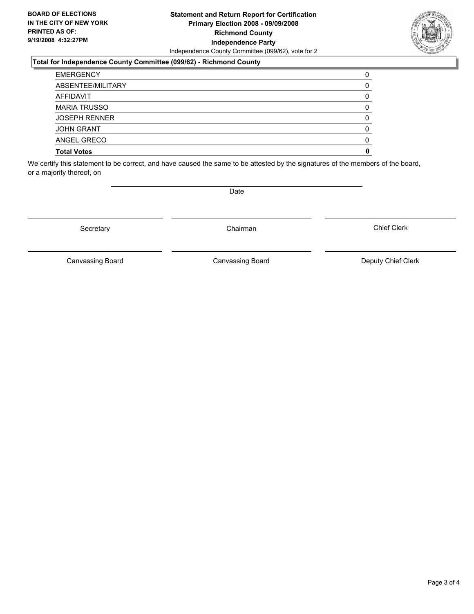#### **Statement and Return Report for Certification Primary Election 2008 - 09/09/2008 Richmond County Independence Party** Independence County Committee (099/62), vote for 2

#### **Total for Independence County Committee (099/62) - Richmond County**

| <b>EMERGENCY</b>     |  |
|----------------------|--|
| ABSENTEE/MILITARY    |  |
| <b>AFFIDAVIT</b>     |  |
| <b>MARIA TRUSSO</b>  |  |
| <b>JOSEPH RENNER</b> |  |
| <b>JOHN GRANT</b>    |  |
| ANGEL GRECO          |  |
| <b>Total Votes</b>   |  |

We certify this statement to be correct, and have caused the same to be attested by the signatures of the members of the board, or a majority thereof, on

Date

Secretary **Chairman** 

Canvassing Board

Canvassing Board **Canvassing Board** Canvassing Board **Deputy Chief Clerk** 

Chief Clerk

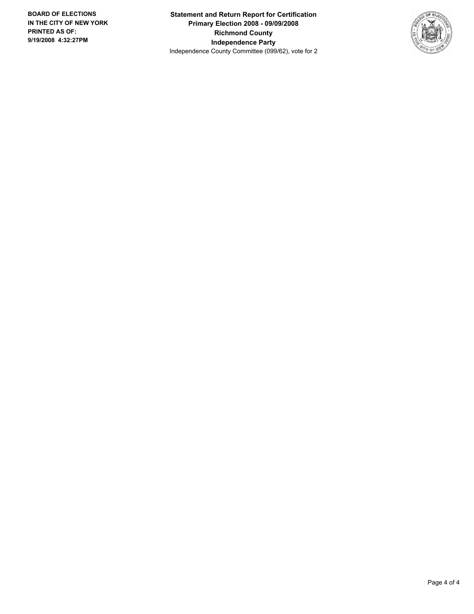**Statement and Return Report for Certification Primary Election 2008 - 09/09/2008 Richmond County Independence Party** Independence County Committee (099/62), vote for 2

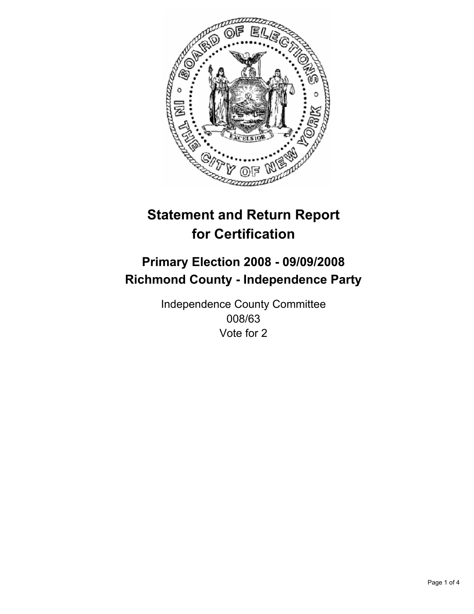

# **Primary Election 2008 - 09/09/2008 Richmond County - Independence Party**

Independence County Committee 008/63 Vote for 2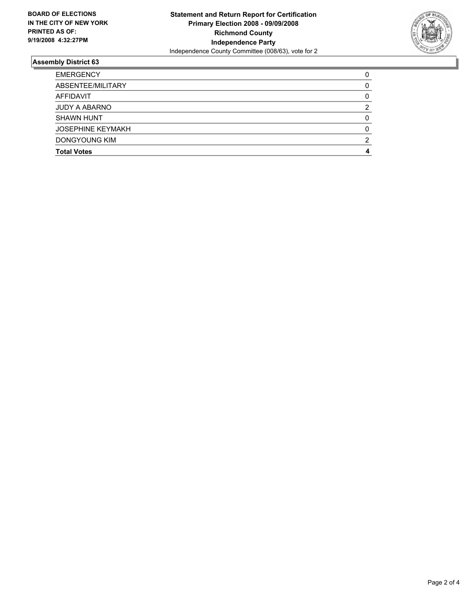

| <b>EMERGENCY</b>         |  |
|--------------------------|--|
| ABSENTEE/MILITARY        |  |
| AFFIDAVIT                |  |
| <b>JUDY A ABARNO</b>     |  |
| <b>SHAWN HUNT</b>        |  |
| <b>JOSEPHINE KEYMAKH</b> |  |
| DONGYOUNG KIM            |  |
| <b>Total Votes</b>       |  |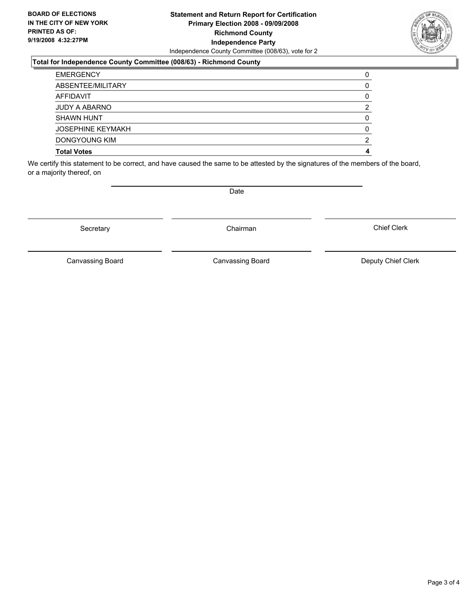#### **Statement and Return Report for Certification Primary Election 2008 - 09/09/2008 Richmond County Independence Party** Independence County Committee (008/63), vote for 2

#### **Total for Independence County Committee (008/63) - Richmond County**

| <b>EMERGENCY</b>         |  |
|--------------------------|--|
| ABSENTEE/MILITARY        |  |
| AFFIDAVIT                |  |
| <b>JUDY A ABARNO</b>     |  |
| <b>SHAWN HUNT</b>        |  |
| <b>JOSEPHINE KEYMAKH</b> |  |
| DONGYOUNG KIM            |  |
| <b>Total Votes</b>       |  |

We certify this statement to be correct, and have caused the same to be attested by the signatures of the members of the board, or a majority thereof, on

Secretary **Chairman** 

Canvassing Board

Canvassing Board **Canvassing Board** Canvassing Board **Deputy Chief Clerk** 

Chief Clerk

Date

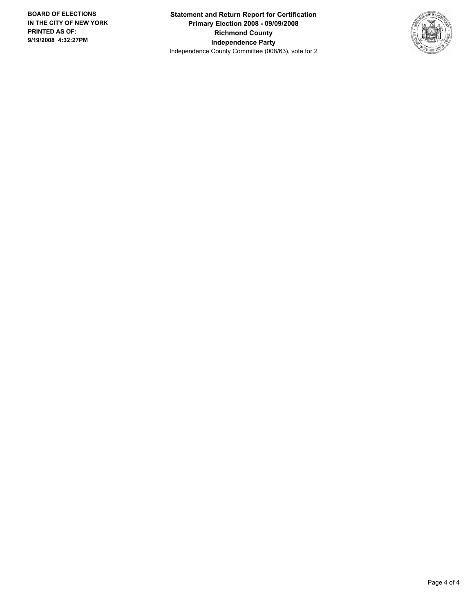**Statement and Return Report for Certification Primary Election 2008 - 09/09/2008 Richmond County Independence Party** Independence County Committee (008/63), vote for 2

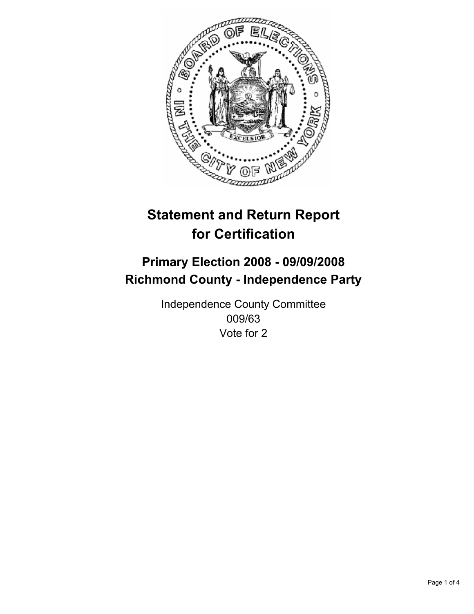

# **Primary Election 2008 - 09/09/2008 Richmond County - Independence Party**

Independence County Committee 009/63 Vote for 2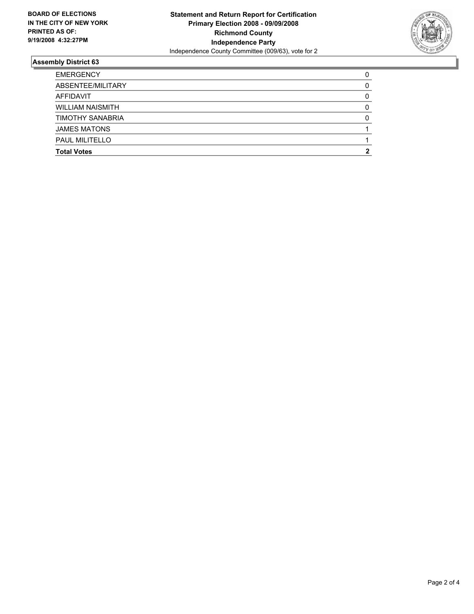

| <b>EMERGENCY</b>        |  |
|-------------------------|--|
| ABSENTEE/MILITARY       |  |
| AFFIDAVIT               |  |
| <b>WILLIAM NAISMITH</b> |  |
| <b>TIMOTHY SANABRIA</b> |  |
| <b>JAMES MATONS</b>     |  |
| <b>PAUL MILITELLO</b>   |  |
| <b>Total Votes</b>      |  |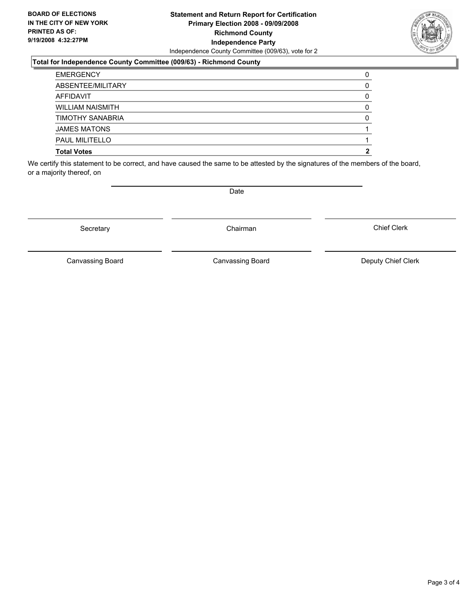#### **Statement and Return Report for Certification Primary Election 2008 - 09/09/2008 Richmond County Independence Party** Independence County Committee (009/63), vote for 2

#### **Total for Independence County Committee (009/63) - Richmond County**

| <b>EMERGENCY</b>        |  |
|-------------------------|--|
| ABSENTEE/MILITARY       |  |
| AFFIDAVIT               |  |
| <b>WILLIAM NAISMITH</b> |  |
| <b>TIMOTHY SANABRIA</b> |  |
| <b>JAMES MATONS</b>     |  |
| <b>PAUL MILITELLO</b>   |  |
| <b>Total Votes</b>      |  |

We certify this statement to be correct, and have caused the same to be attested by the signatures of the members of the board, or a majority thereof, on

Secretary **Chairman** 

Date

Canvassing Board **Canvassing Board** Canvassing Board **Deputy Chief Clerk** 

Chief Clerk

Canvassing Board

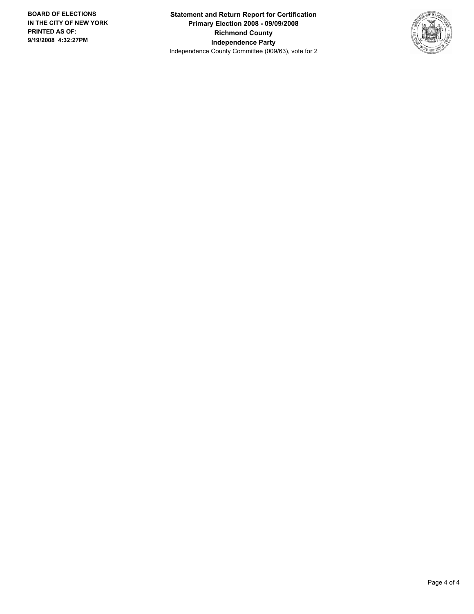**Statement and Return Report for Certification Primary Election 2008 - 09/09/2008 Richmond County Independence Party** Independence County Committee (009/63), vote for 2

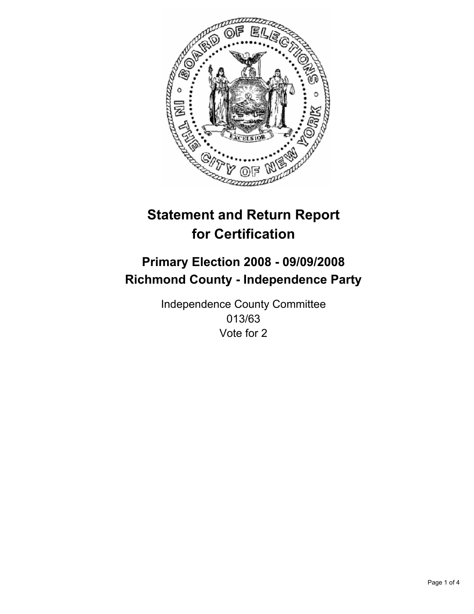

# **Primary Election 2008 - 09/09/2008 Richmond County - Independence Party**

Independence County Committee 013/63 Vote for 2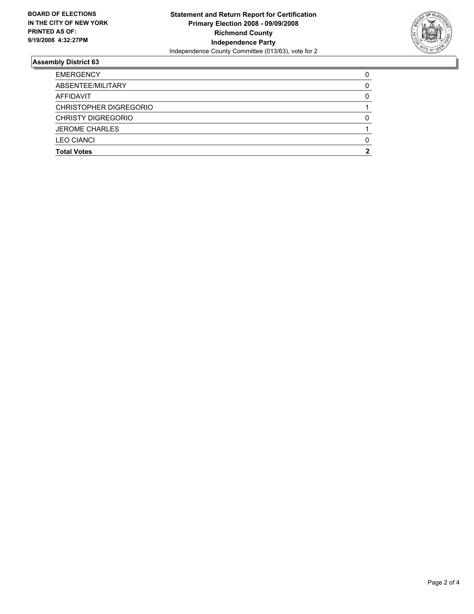

| <b>LEO CIANCI</b><br><b>Total Votes</b> |  |
|-----------------------------------------|--|
| <b>JEROME CHARLES</b>                   |  |
| <b>CHRISTY DIGREGORIO</b>               |  |
| CHRISTOPHER DIGREGORIO                  |  |
| AFFIDAVIT                               |  |
| ABSENTEE/MILITARY                       |  |
| <b>EMERGENCY</b>                        |  |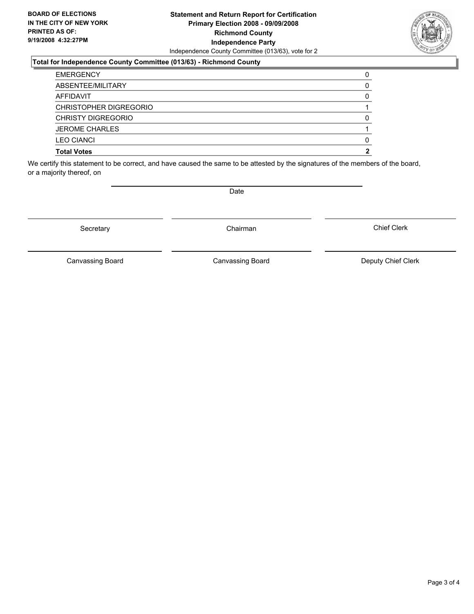#### **Statement and Return Report for Certification Primary Election 2008 - 09/09/2008 Richmond County Independence Party** Independence County Committee (013/63), vote for 2

### **Total for Independence County Committee (013/63) - Richmond County**

| <b>Total Votes</b>        |  |
|---------------------------|--|
| <b>LEO CIANCI</b>         |  |
| <b>JEROME CHARLES</b>     |  |
| <b>CHRISTY DIGREGORIO</b> |  |
| CHRISTOPHER DIGREGORIO    |  |
| AFFIDAVIT                 |  |
| ABSENTEE/MILITARY         |  |
| <b>EMERGENCY</b>          |  |

We certify this statement to be correct, and have caused the same to be attested by the signatures of the members of the board, or a majority thereof, on

Canvassing Board

Canvassing Board **Canvassing Board** Canvassing Board **Deputy Chief Clerk** 

Chief Clerk

Page 3 of 4



Secretary **Chairman** 

Date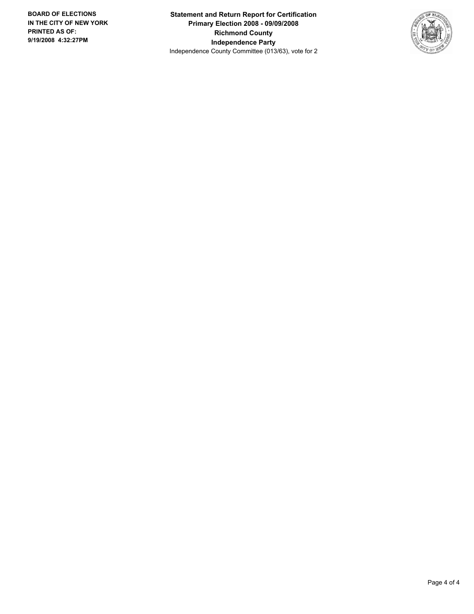**Statement and Return Report for Certification Primary Election 2008 - 09/09/2008 Richmond County Independence Party** Independence County Committee (013/63), vote for 2

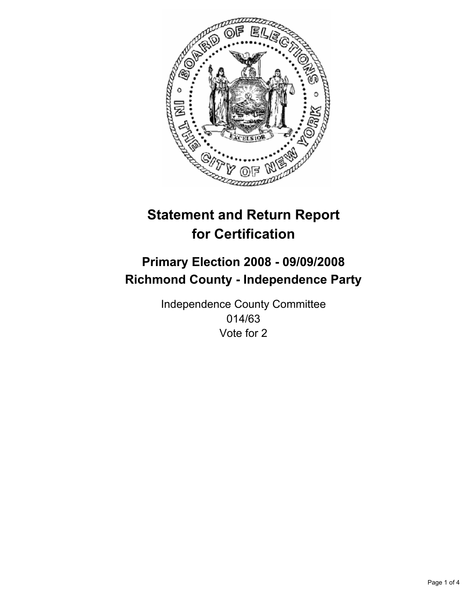

# **Primary Election 2008 - 09/09/2008 Richmond County - Independence Party**

Independence County Committee 014/63 Vote for 2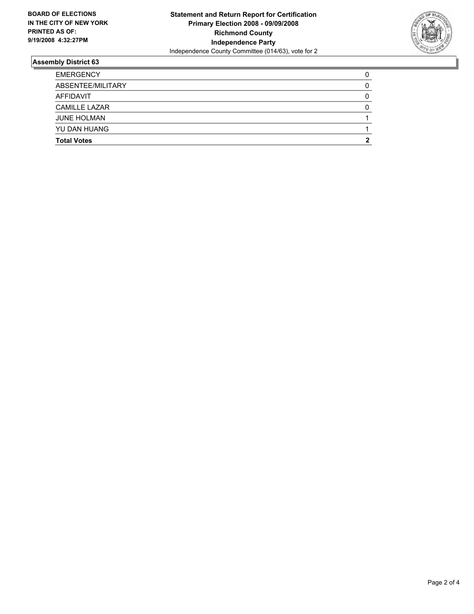

| <b>EMERGENCY</b>     |  |
|----------------------|--|
| ABSENTEE/MILITARY    |  |
| AFFIDAVIT            |  |
| <b>CAMILLE LAZAR</b> |  |
| <b>JUNE HOLMAN</b>   |  |
| YU DAN HUANG         |  |
| <b>Total Votes</b>   |  |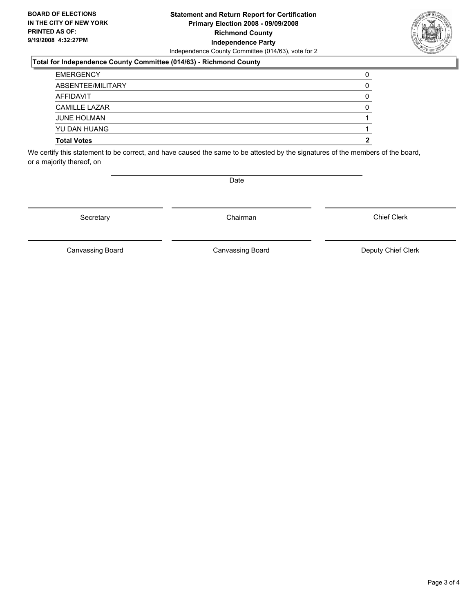#### **Statement and Return Report for Certification Primary Election 2008 - 09/09/2008 Richmond County Independence Party** Independence County Committee (014/63), vote for 2

#### **Total for Independence County Committee (014/63) - Richmond County**

| <b>Total Votes</b>   |  |
|----------------------|--|
| YU DAN HUANG         |  |
| <b>JUNE HOLMAN</b>   |  |
| <b>CAMILLE LAZAR</b> |  |
| AFFIDAVIT            |  |
| ABSENTEE/MILITARY    |  |
| <b>EMERGENCY</b>     |  |

We certify this statement to be correct, and have caused the same to be attested by the signatures of the members of the board, or a majority thereof, on

Secretary **Chairman** 

Date

Chief Clerk

Canvassing Board **Canvassing Board** Canvassing Board **Deputy Chief Clerk** 

Canvassing Board

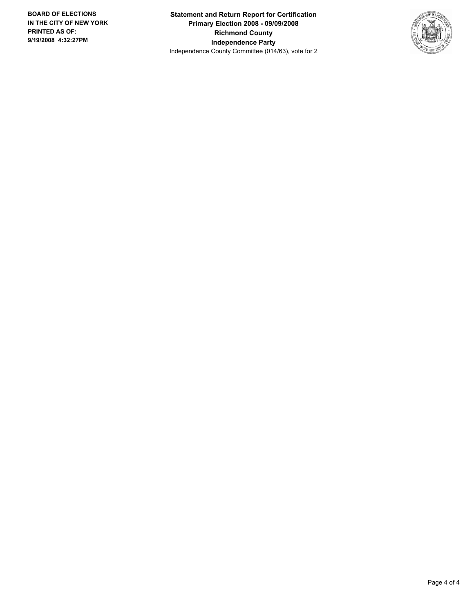**Statement and Return Report for Certification Primary Election 2008 - 09/09/2008 Richmond County Independence Party** Independence County Committee (014/63), vote for 2

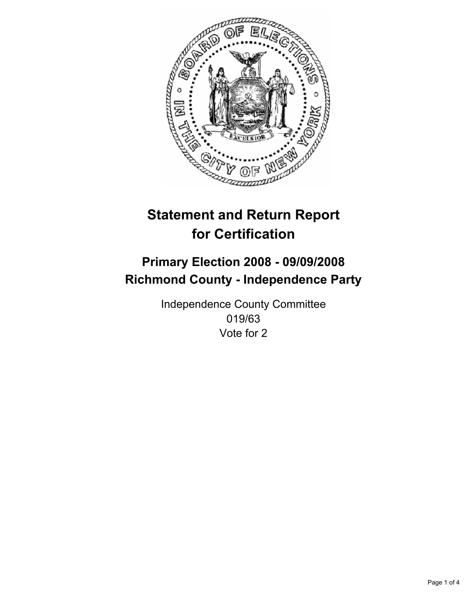

# **Primary Election 2008 - 09/09/2008 Richmond County - Independence Party**

Independence County Committee 019/63 Vote for 2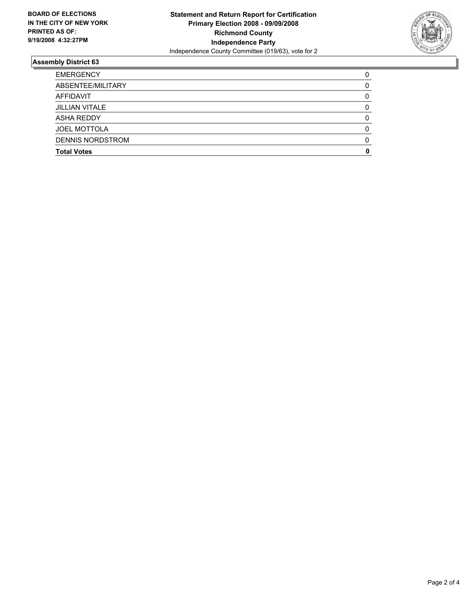

| <b>EMERGENCY</b>        |  |
|-------------------------|--|
| ABSENTEE/MILITARY       |  |
| AFFIDAVIT               |  |
| <b>JILLIAN VITALE</b>   |  |
| <b>ASHA REDDY</b>       |  |
| <b>JOEL MOTTOLA</b>     |  |
| <b>DENNIS NORDSTROM</b> |  |
| <b>Total Votes</b>      |  |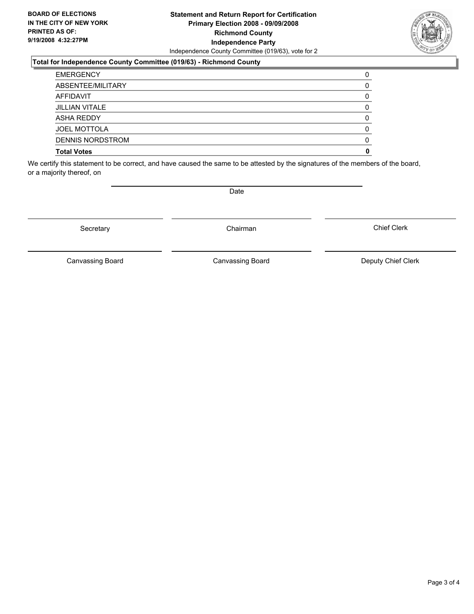#### **Statement and Return Report for Certification Primary Election 2008 - 09/09/2008 Richmond County Independence Party** Independence County Committee (019/63), vote for 2

#### **Total for Independence County Committee (019/63) - Richmond County**

| <b>EMERGENCY</b>        |  |
|-------------------------|--|
| ABSENTEE/MILITARY       |  |
| AFFIDAVIT               |  |
| JILLIAN VITALE          |  |
| ASHA REDDY              |  |
| <b>JOEL MOTTOLA</b>     |  |
| <b>DENNIS NORDSTROM</b> |  |
| <b>Total Votes</b>      |  |

We certify this statement to be correct, and have caused the same to be attested by the signatures of the members of the board, or a majority thereof, on

Secretary **Chairman** 

Canvassing Board **Canvassing Board** Canvassing Board **Deputy Chief Clerk** 

Chief Clerk

Canvassing Board



Date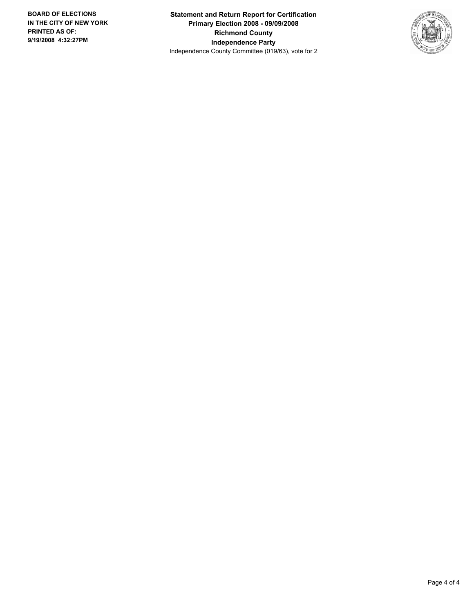**Statement and Return Report for Certification Primary Election 2008 - 09/09/2008 Richmond County Independence Party** Independence County Committee (019/63), vote for 2

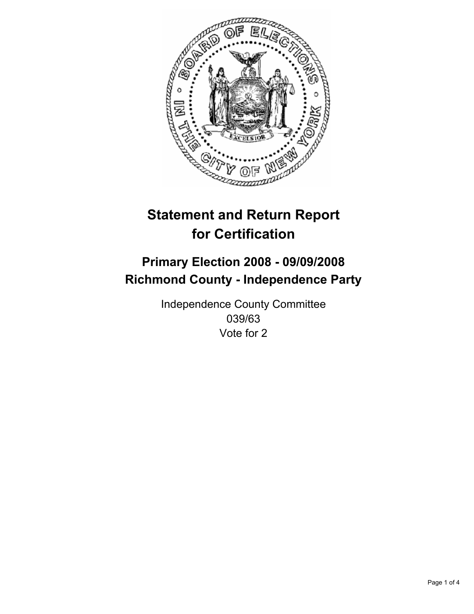

# **Primary Election 2008 - 09/09/2008 Richmond County - Independence Party**

Independence County Committee 039/63 Vote for 2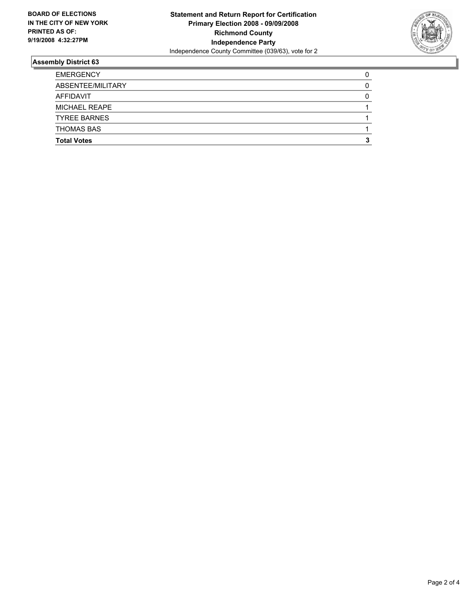

| <b>EMERGENCY</b>     |  |
|----------------------|--|
| ABSENTEE/MILITARY    |  |
| AFFIDAVIT            |  |
| <b>MICHAEL REAPE</b> |  |
| <b>TYREE BARNES</b>  |  |
| <b>THOMAS BAS</b>    |  |
| <b>Total Votes</b>   |  |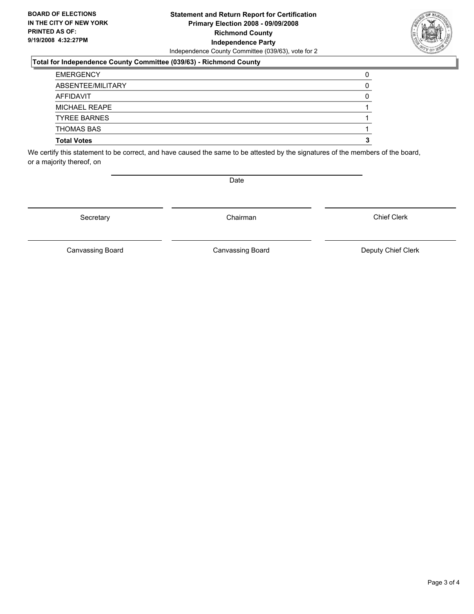#### **Statement and Return Report for Certification Primary Election 2008 - 09/09/2008 Richmond County Independence Party** Independence County Committee (039/63), vote for 2

#### **Total for Independence County Committee (039/63) - Richmond County**

| <b>EMERGENCY</b>    |  |
|---------------------|--|
| ABSENTEE/MILITARY   |  |
| AFFIDAVIT           |  |
| MICHAEL REAPE       |  |
| <b>TYREE BARNES</b> |  |
| <b>THOMAS BAS</b>   |  |
| <b>Total Votes</b>  |  |

We certify this statement to be correct, and have caused the same to be attested by the signatures of the members of the board, or a majority thereof, on

Secretary **Chairman** 

Chief Clerk

Canvassing Board **Canvassing Board** Canvassing Board **Deputy Chief Clerk** 

Canvassing Board



Date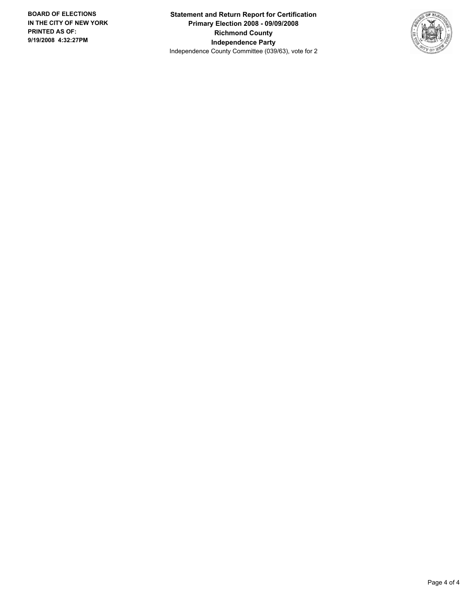**Statement and Return Report for Certification Primary Election 2008 - 09/09/2008 Richmond County Independence Party** Independence County Committee (039/63), vote for 2

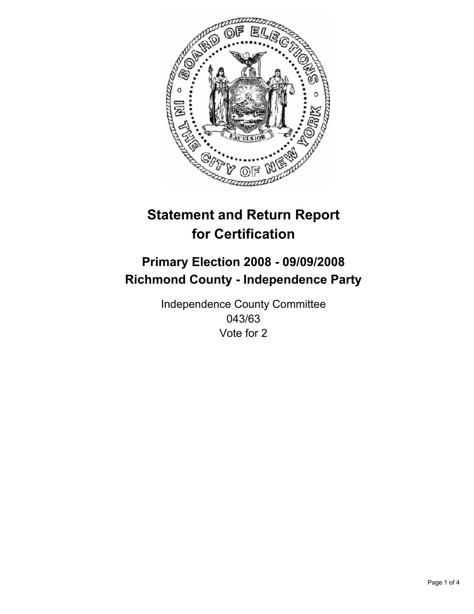

# **Primary Election 2008 - 09/09/2008 Richmond County - Independence Party**

Independence County Committee 043/63 Vote for 2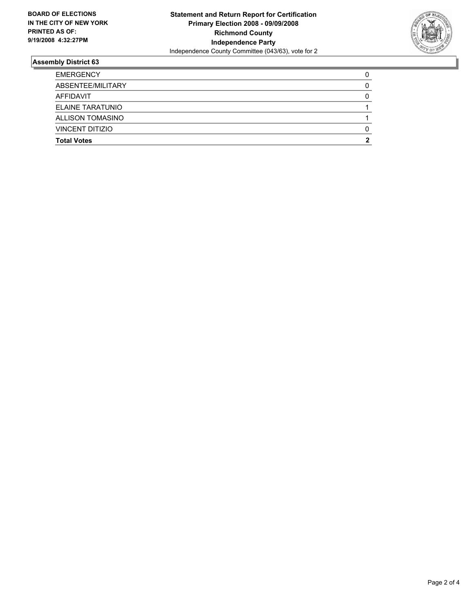

| <b>EMERGENCY</b>        |  |
|-------------------------|--|
| ABSENTEE/MILITARY       |  |
| AFFIDAVIT               |  |
| <b>ELAINE TARATUNIO</b> |  |
| <b>ALLISON TOMASINO</b> |  |
| <b>VINCENT DITIZIO</b>  |  |
| <b>Total Votes</b>      |  |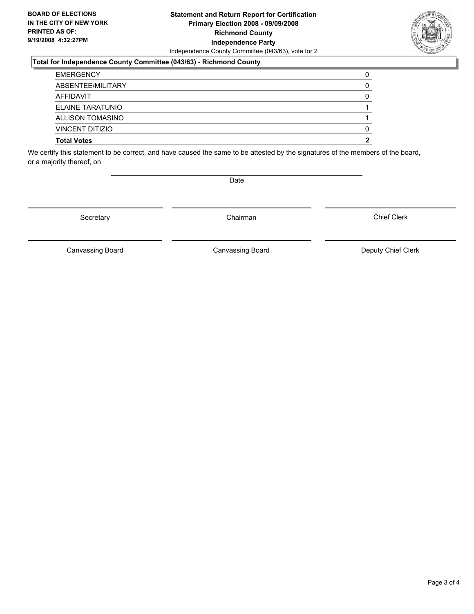#### **Statement and Return Report for Certification Primary Election 2008 - 09/09/2008 Richmond County Independence Party** Independence County Committee (043/63), vote for 2

#### **Total for Independence County Committee (043/63) - Richmond County**

We certify this statement to be correct, and have caused the same to be attested by the signatures of the members of the board, or a majority thereof, on

Secretary **Chairman** 

Chief Clerk

Canvassing Board **Canvassing Board** Canvassing Board **Deputy Chief Clerk** 

Canvassing Board



Date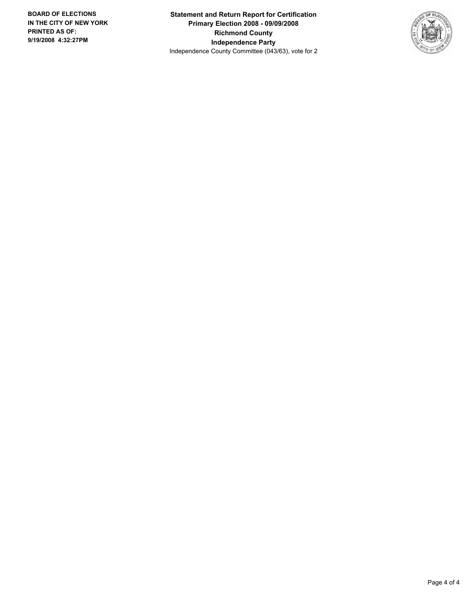**Statement and Return Report for Certification Primary Election 2008 - 09/09/2008 Richmond County Independence Party** Independence County Committee (043/63), vote for 2

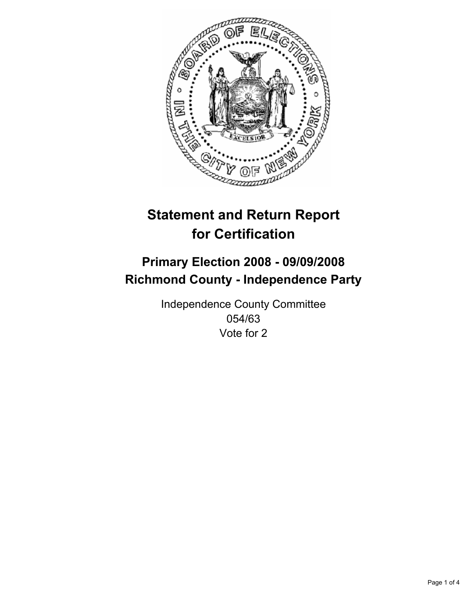

# **Primary Election 2008 - 09/09/2008 Richmond County - Independence Party**

Independence County Committee 054/63 Vote for 2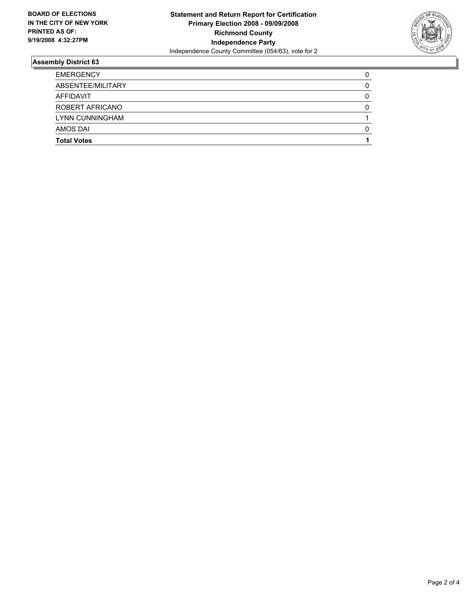

| <b>EMERGENCY</b>   |  |
|--------------------|--|
| ABSENTEE/MILITARY  |  |
| AFFIDAVIT          |  |
| ROBERT AFRICANO    |  |
| LYNN CUNNINGHAM    |  |
| AMOS DAI           |  |
| <b>Total Votes</b> |  |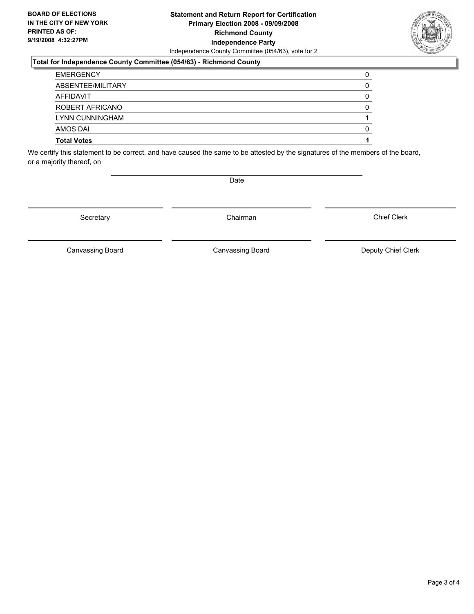#### **Statement and Return Report for Certification Primary Election 2008 - 09/09/2008 Richmond County Independence Party** Independence County Committee (054/63), vote for 2

#### **Total for Independence County Committee (054/63) - Richmond County**

We certify this statement to be correct, and have caused the same to be attested by the signatures of the members of the board, or a majority thereof, on

Secretary **Chairman** 

Chief Clerk

Canvassing Board **Canvassing Board** Canvassing Board **Deputy Chief Clerk** 

Canvassing Board



Date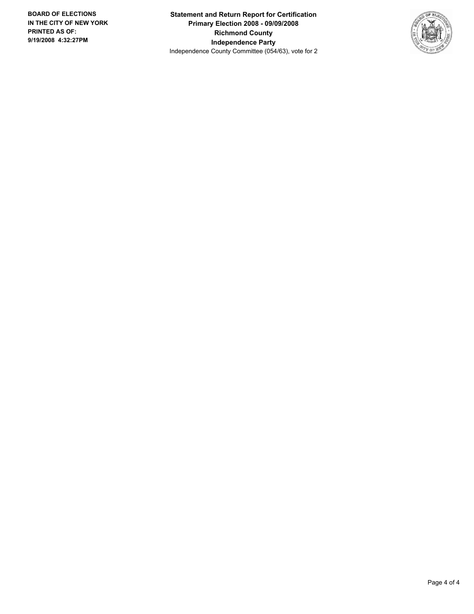**Statement and Return Report for Certification Primary Election 2008 - 09/09/2008 Richmond County Independence Party** Independence County Committee (054/63), vote for 2

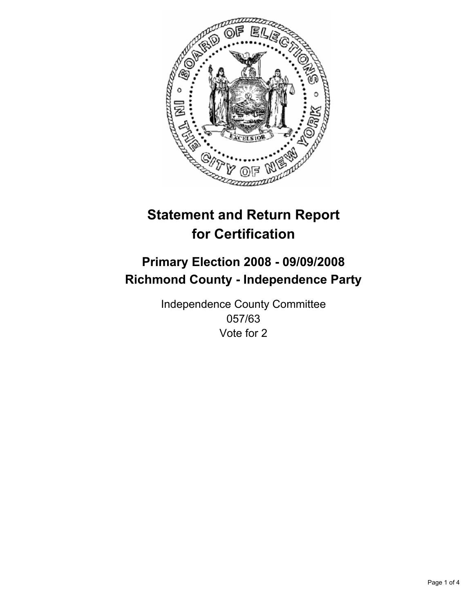

## **Primary Election 2008 - 09/09/2008 Richmond County - Independence Party**

Independence County Committee 057/63 Vote for 2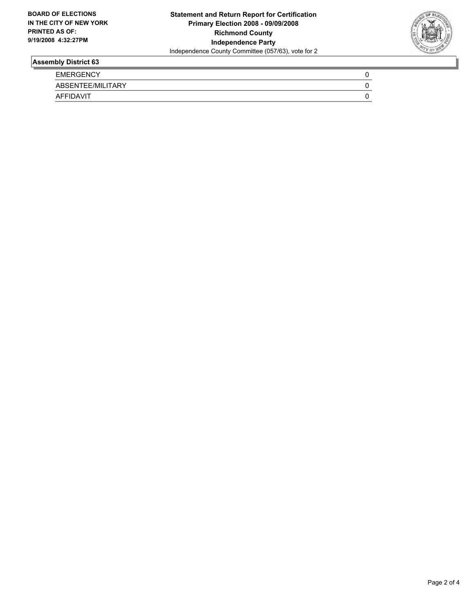

| <b>EMERGENCY</b>  |  |
|-------------------|--|
| ABSENTEE/MILITARY |  |
| <b>AFFIDAVIT</b>  |  |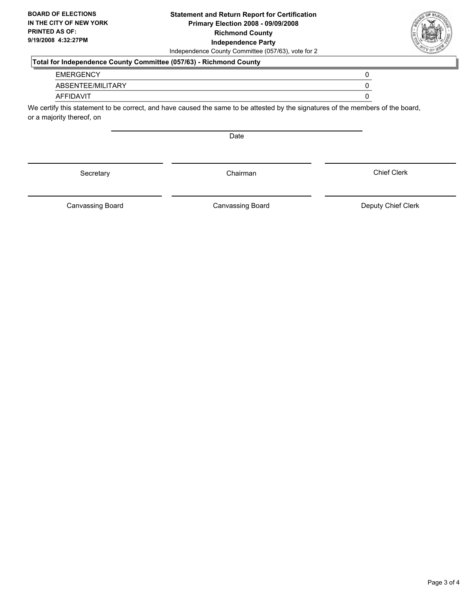#### **Statement and Return Report for Certification Primary Election 2008 - 09/09/2008 Richmond County Independence Party** Independence County Committee (057/63), vote for 2

### **Total for Independence County Committee (057/63) - Richmond County**

| <b>EMERGENCY</b> |  |
|------------------|--|
|------------------|--|

ABSENTEE/MILITARY 0

#### AFFIDAVIT 0

We certify this statement to be correct, and have caused the same to be attested by the signatures of the members of the board, or a majority thereof, on

Date

Canvassing Board

Canvassing Board **Canvassing Board** Canvassing Board **Deputy Chief Clerk** 

Chief Clerk



Secretary **Chairman**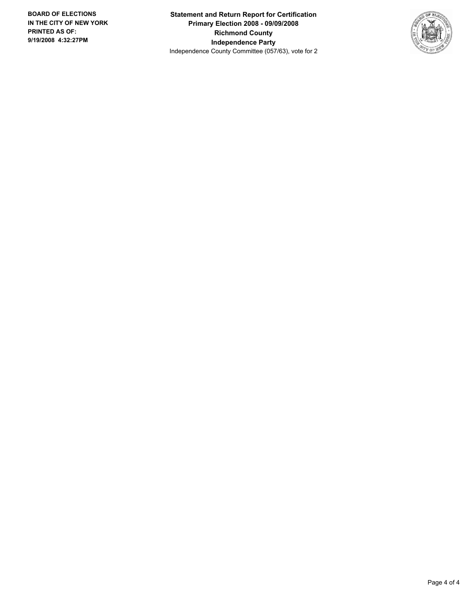**Statement and Return Report for Certification Primary Election 2008 - 09/09/2008 Richmond County Independence Party** Independence County Committee (057/63), vote for 2

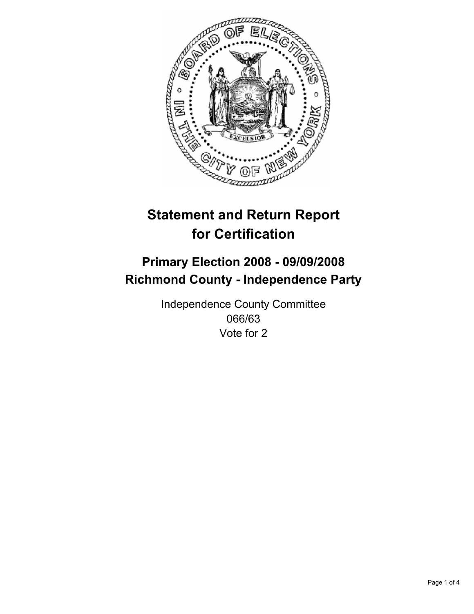

## **Primary Election 2008 - 09/09/2008 Richmond County - Independence Party**

Independence County Committee 066/63 Vote for 2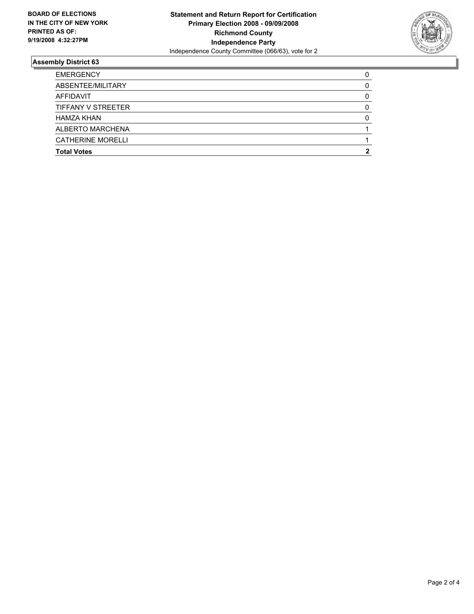

| <b>EMERGENCY</b>         |  |
|--------------------------|--|
| ABSENTEE/MILITARY        |  |
| AFFIDAVIT                |  |
| TIFFANY V STREETER       |  |
| <b>HAMZA KHAN</b>        |  |
| <b>ALBERTO MARCHENA</b>  |  |
| <b>CATHERINE MORELLI</b> |  |
| <b>Total Votes</b>       |  |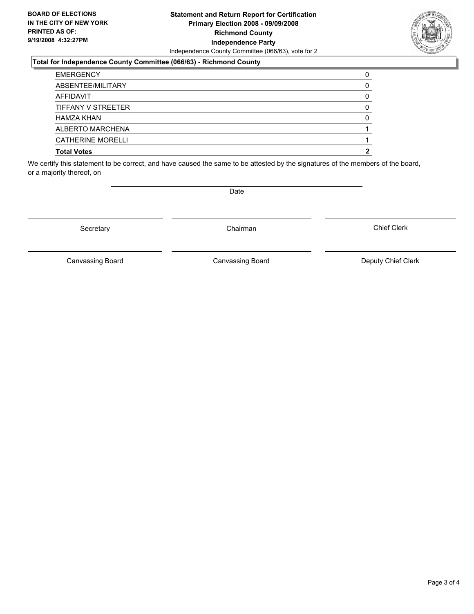#### **Statement and Return Report for Certification Primary Election 2008 - 09/09/2008 Richmond County Independence Party** Independence County Committee (066/63), vote for 2

#### **Total for Independence County Committee (066/63) - Richmond County**

| <b>Total Votes</b> |  |
|--------------------|--|
| CATHERINE MORELLI  |  |
| ALBERTO MARCHENA   |  |
| HAMZA KHAN         |  |
| TIFFANY V STREETER |  |
| AFFIDAVIT          |  |
| ABSENTEE/MILITARY  |  |
| <b>EMERGENCY</b>   |  |

We certify this statement to be correct, and have caused the same to be attested by the signatures of the members of the board, or a majority thereof, on

Secretary **Chairman** 

Canvassing Board

Canvassing Board **Canvassing Board** Canvassing Board **Deputy Chief Clerk** 

Chief Clerk



Date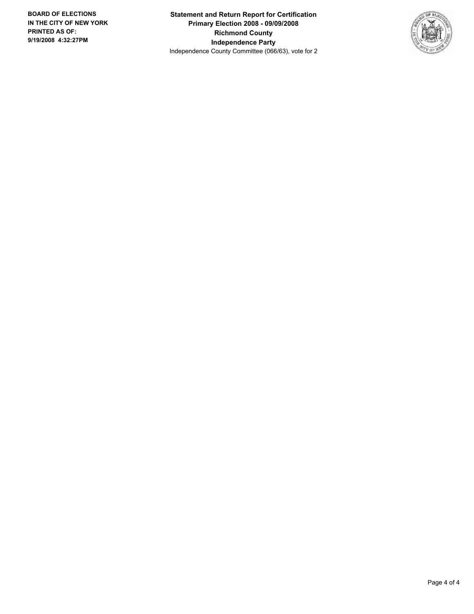**Statement and Return Report for Certification Primary Election 2008 - 09/09/2008 Richmond County Independence Party** Independence County Committee (066/63), vote for 2

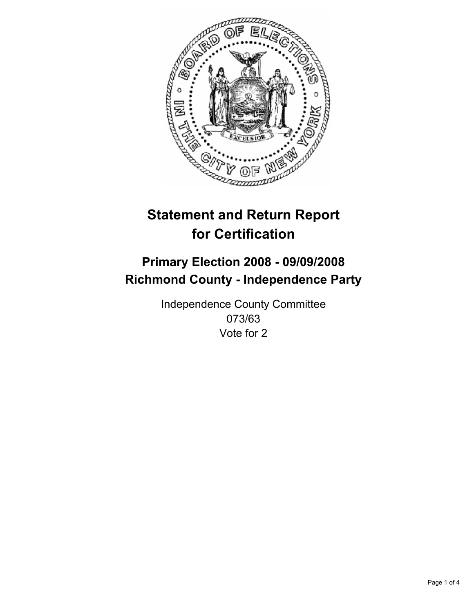

## **Primary Election 2008 - 09/09/2008 Richmond County - Independence Party**

Independence County Committee 073/63 Vote for 2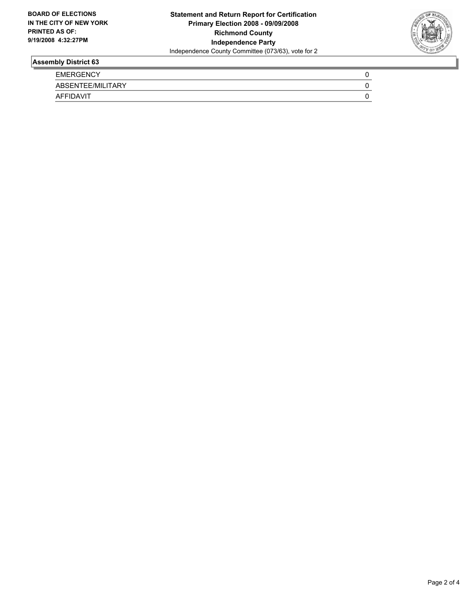

| <b>EMERGENCY</b>  |  |
|-------------------|--|
| ABSENTEE/MILITARY |  |
| <b>AFFIDAVIT</b>  |  |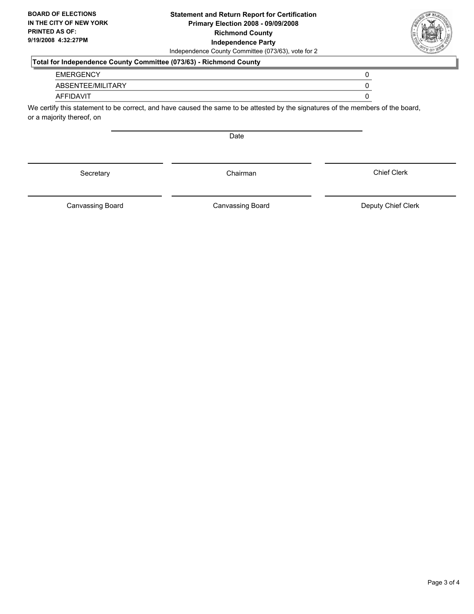#### **Statement and Return Report for Certification Primary Election 2008 - 09/09/2008 Richmond County Independence Party** Independence County Committee (073/63), vote for 2

### **Total for Independence County Committee (073/63) - Richmond County**

| <b>EMERGENCY</b> |  |
|------------------|--|
|------------------|--|

ABSENTEE/MILITARY 0

#### AFFIDAVIT 0

We certify this statement to be correct, and have caused the same to be attested by the signatures of the members of the board, or a majority thereof, on

Date

Secretary **Chairman** 

Canvassing Board

Canvassing Board **Canvassing Board** Canvassing Board **Deputy Chief Clerk** 

Chief Clerk

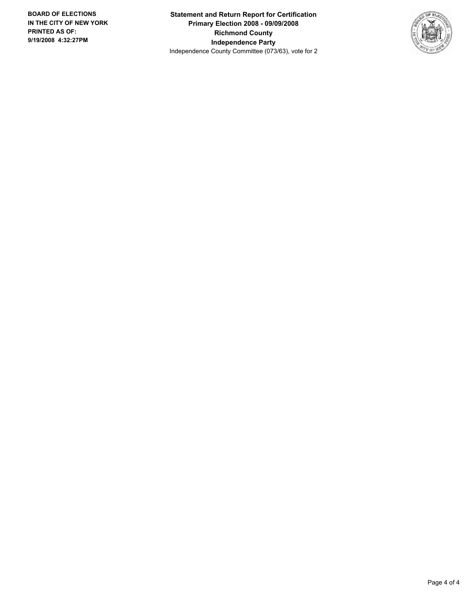**Statement and Return Report for Certification Primary Election 2008 - 09/09/2008 Richmond County Independence Party** Independence County Committee (073/63), vote for 2

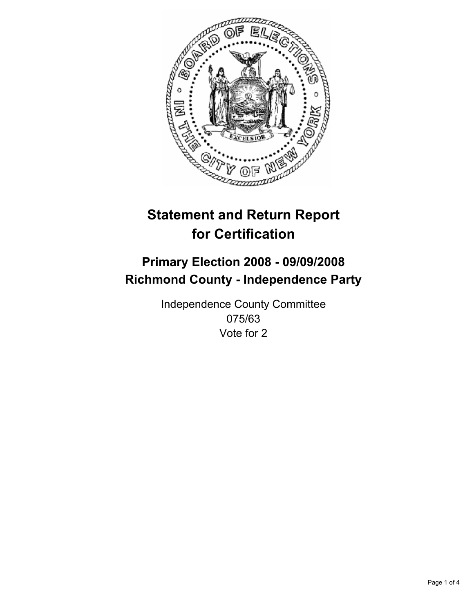

## **Primary Election 2008 - 09/09/2008 Richmond County - Independence Party**

Independence County Committee 075/63 Vote for 2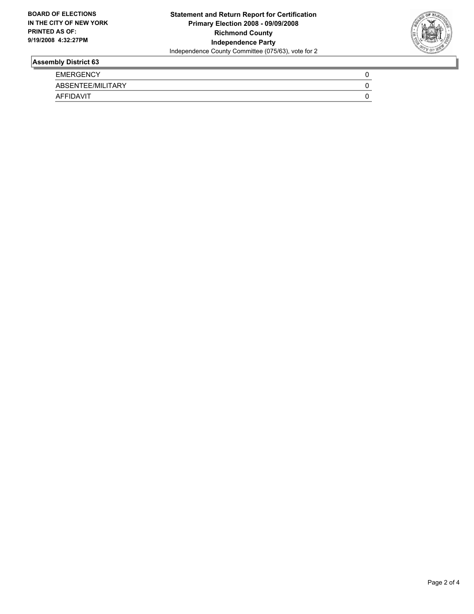

| <b>EMERGENCY</b>  |  |
|-------------------|--|
| ABSENTEE/MILITARY |  |
| <b>AFFIDAVIT</b>  |  |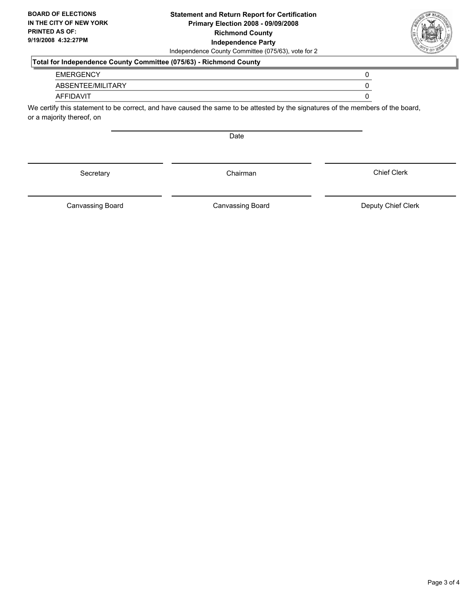#### **Statement and Return Report for Certification Primary Election 2008 - 09/09/2008 Richmond County Independence Party** Independence County Committee (075/63), vote for 2

### **Total for Independence County Committee (075/63) - Richmond County**

| <b>EMERGENCY</b> |  |
|------------------|--|
|------------------|--|

ABSENTEE/MILITARY 0

#### AFFIDAVIT 0

We certify this statement to be correct, and have caused the same to be attested by the signatures of the members of the board, or a majority thereof, on

Date

Canvassing Board

Canvassing Board **Canvassing Board** Canvassing Board **Deputy Chief Clerk** 

Chief Clerk



Secretary **Chairman**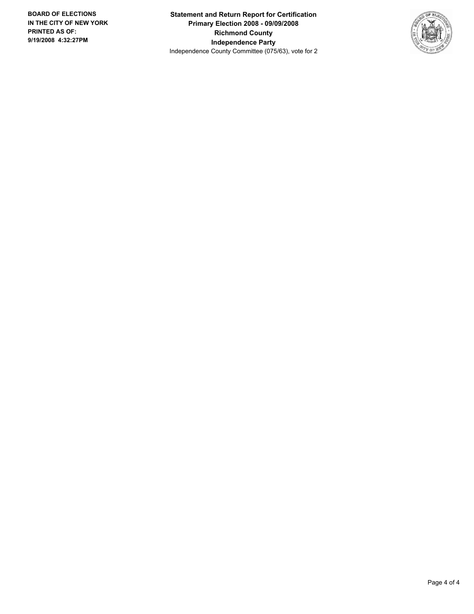**Statement and Return Report for Certification Primary Election 2008 - 09/09/2008 Richmond County Independence Party** Independence County Committee (075/63), vote for 2

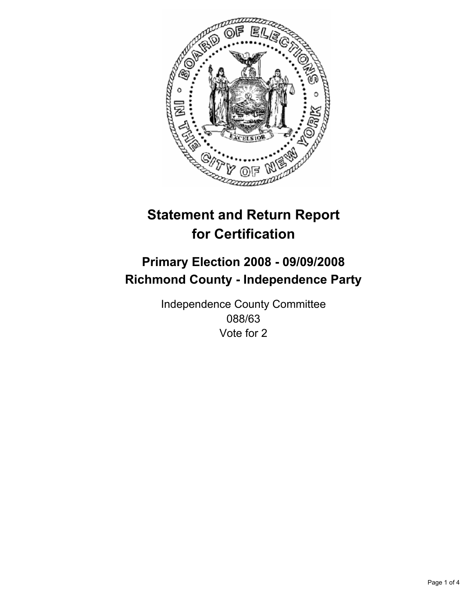

## **Primary Election 2008 - 09/09/2008 Richmond County - Independence Party**

Independence County Committee 088/63 Vote for 2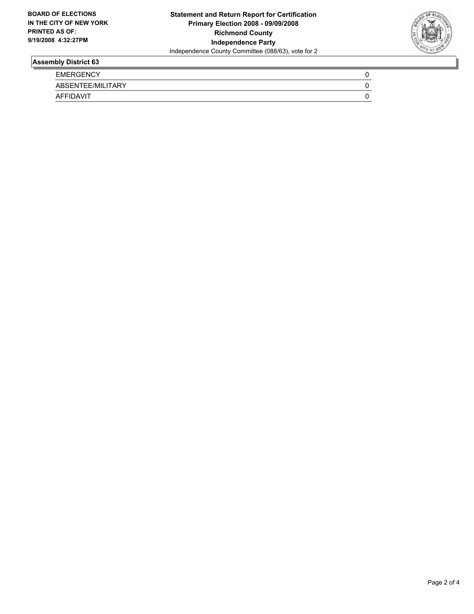

| <b>EMERGENCY</b>  |  |
|-------------------|--|
| ABSENTEE/MILITARY |  |
| <b>AFFIDAVIT</b>  |  |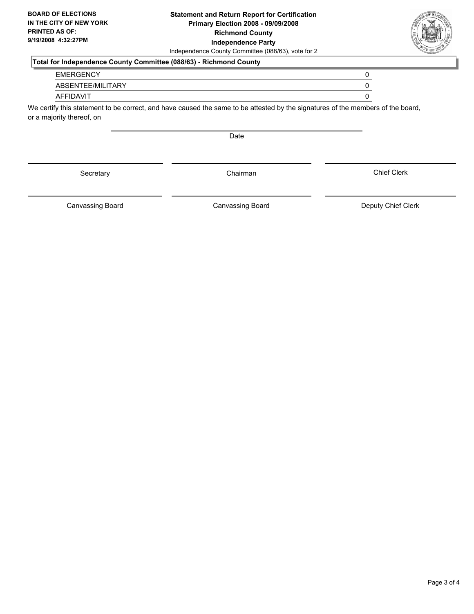#### **Statement and Return Report for Certification Primary Election 2008 - 09/09/2008 Richmond County Independence Party** Independence County Committee (088/63), vote for 2

### **Total for Independence County Committee (088/63) - Richmond County**

#### EMERGENCY 0

ABSENTEE/MILITARY 0

#### AFFIDAVIT 0

We certify this statement to be correct, and have caused the same to be attested by the signatures of the members of the board, or a majority thereof, on

Date

Canvassing Board

Canvassing Board **Canvassing Board** Canvassing Board **Deputy Chief Clerk** 

Chief Clerk



Secretary **Chairman**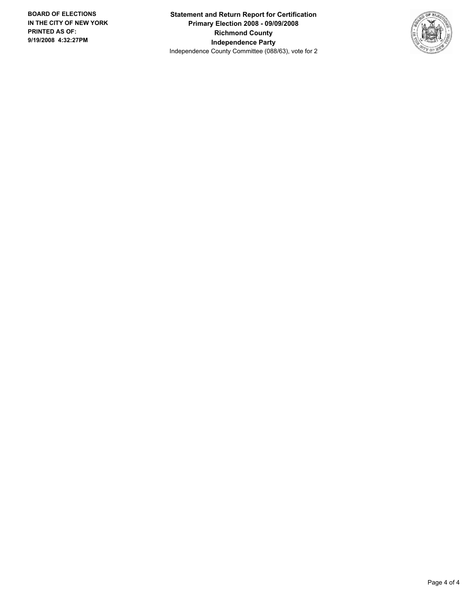**Statement and Return Report for Certification Primary Election 2008 - 09/09/2008 Richmond County Independence Party** Independence County Committee (088/63), vote for 2

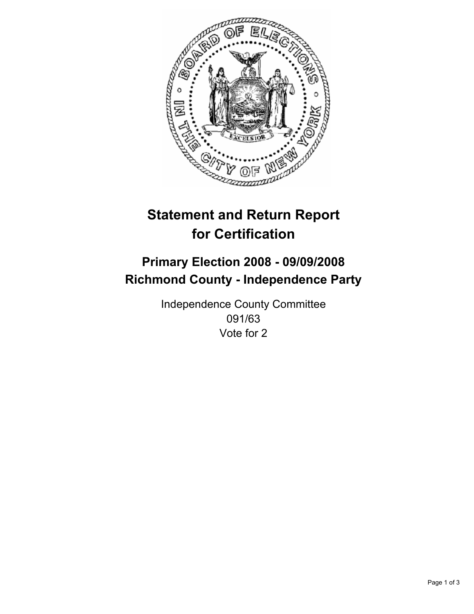

## **Primary Election 2008 - 09/09/2008 Richmond County - Independence Party**

Independence County Committee 091/63 Vote for 2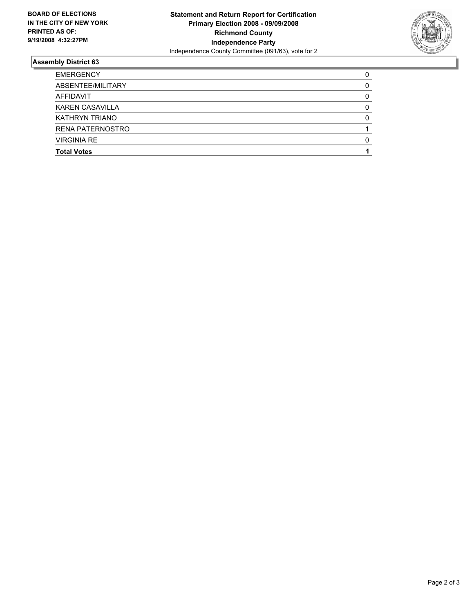

| <b>EMERGENCY</b>        |  |
|-------------------------|--|
| ABSENTEE/MILITARY       |  |
| AFFIDAVIT               |  |
| <b>KAREN CASAVILLA</b>  |  |
| KATHRYN TRIANO          |  |
| <b>RENA PATERNOSTRO</b> |  |
| <b>VIRGINIA RE</b>      |  |
| <b>Total Votes</b>      |  |